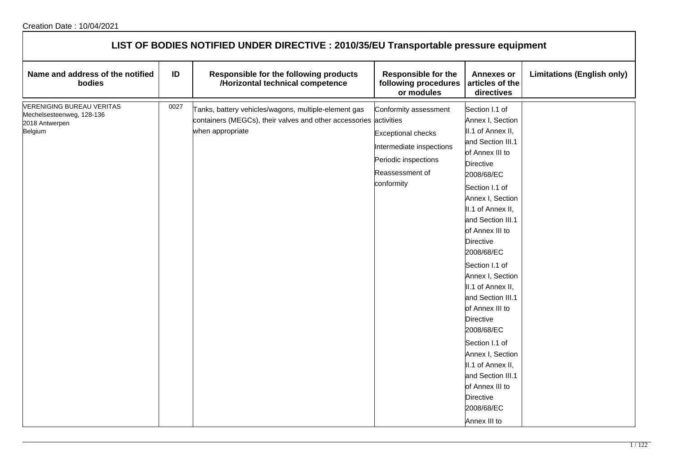| LIST OF BODIES NOTIFIED UNDER DIRECTIVE : 2010/35/EU Transportable pressure equipment      |      |                                                                                                                                               |                                                                                                                                         |                                                                                                                                                                                                                                                                                                                                                                                                                                                                                                                                                  |                                   |  |
|--------------------------------------------------------------------------------------------|------|-----------------------------------------------------------------------------------------------------------------------------------------------|-----------------------------------------------------------------------------------------------------------------------------------------|--------------------------------------------------------------------------------------------------------------------------------------------------------------------------------------------------------------------------------------------------------------------------------------------------------------------------------------------------------------------------------------------------------------------------------------------------------------------------------------------------------------------------------------------------|-----------------------------------|--|
| Name and address of the notified<br>bodies                                                 | ID   | Responsible for the following products<br>/Horizontal technical competence                                                                    | <b>Responsible for the</b><br>following procedures<br>or modules                                                                        | <b>Annexes or</b><br>articles of the<br>directives                                                                                                                                                                                                                                                                                                                                                                                                                                                                                               | <b>Limitations (English only)</b> |  |
| <b>VERENIGING BUREAU VERITAS</b><br>Mechelsesteenweg, 128-136<br>2018 Antwerpen<br>Belgium | 0027 | Tanks, battery vehicles/wagons, multiple-element gas<br>containers (MEGCs), their valves and other accessories activities<br>when appropriate | Conformity assessment<br><b>Exceptional checks</b><br>Intermediate inspections<br>Periodic inspections<br>Reassessment of<br>conformity | Section I.1 of<br>Annex I, Section<br>II.1 of Annex II,<br>and Section III.1<br>of Annex III to<br><b>Directive</b><br>2008/68/EC<br>Section I.1 of<br>Annex I, Section<br>II.1 of Annex II,<br>and Section III.1<br>of Annex III to<br><b>Directive</b><br>2008/68/EC<br>Section I.1 of<br>Annex I, Section<br>II.1 of Annex II,<br>and Section III.1<br>of Annex III to<br><b>Directive</b><br>2008/68/EC<br>Section I.1 of<br>Annex I, Section<br>II.1 of Annex II,<br>and Section III.1<br>of Annex III to<br><b>Directive</b><br>2008/68/EC |                                   |  |
|                                                                                            |      |                                                                                                                                               |                                                                                                                                         | Annex III to                                                                                                                                                                                                                                                                                                                                                                                                                                                                                                                                     |                                   |  |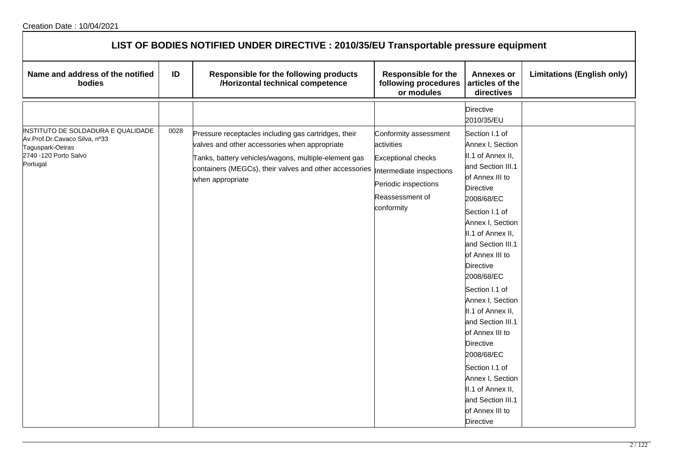| LIST OF BODIES NOTIFIED UNDER DIRECTIVE : 2010/35/EU Transportable pressure equipment                                        |      |                                                                                                                                                                                                                                             |                                                                                                                                                       |                                                                                                                                                                                                                                                                                                                                                                                                                                 |                                   |  |
|------------------------------------------------------------------------------------------------------------------------------|------|---------------------------------------------------------------------------------------------------------------------------------------------------------------------------------------------------------------------------------------------|-------------------------------------------------------------------------------------------------------------------------------------------------------|---------------------------------------------------------------------------------------------------------------------------------------------------------------------------------------------------------------------------------------------------------------------------------------------------------------------------------------------------------------------------------------------------------------------------------|-----------------------------------|--|
| Name and address of the notified<br>bodies                                                                                   | ID   | Responsible for the following products<br>/Horizontal technical competence                                                                                                                                                                  | <b>Responsible for the</b><br>following procedures<br>or modules                                                                                      | <b>Annexes or</b><br>articles of the<br>directives                                                                                                                                                                                                                                                                                                                                                                              | <b>Limitations (English only)</b> |  |
| INSTITUTO DE SOLDADURA E QUALIDADE<br>Av.Prof.Dr.Cavaco Silva, nº33<br>Taguspark-Oeiras<br>2740 -120 Porto Salvo<br>Portugal | 0028 | Pressure receptacles including gas cartridges, their<br>valves and other accessories when appropriate<br>Tanks, battery vehicles/wagons, multiple-element gas<br>containers (MEGCs), their valves and other accessories<br>when appropriate | Conformity assessment<br>activities<br><b>Exceptional checks</b><br>Intermediate inspections<br>Periodic inspections<br>Reassessment of<br>conformity | <b>Directive</b><br>2010/35/EU<br>Section I.1 of<br>Annex I, Section<br>II.1 of Annex II,<br>and Section III.1<br>of Annex III to<br><b>Directive</b><br>2008/68/EC<br>Section I.1 of<br>Annex I, Section<br>II.1 of Annex II,<br>and Section III.1<br>of Annex III to<br><b>Directive</b><br>2008/68/EC<br>Section I.1 of<br>Annex I, Section<br>II.1 of Annex II,<br>and Section III.1<br>of Annex III to<br><b>Directive</b> |                                   |  |
|                                                                                                                              |      |                                                                                                                                                                                                                                             |                                                                                                                                                       | 2008/68/EC<br>Section I.1 of<br>Annex I, Section<br>II.1 of Annex II,<br>and Section III.1<br>of Annex III to<br><b>Directive</b>                                                                                                                                                                                                                                                                                               |                                   |  |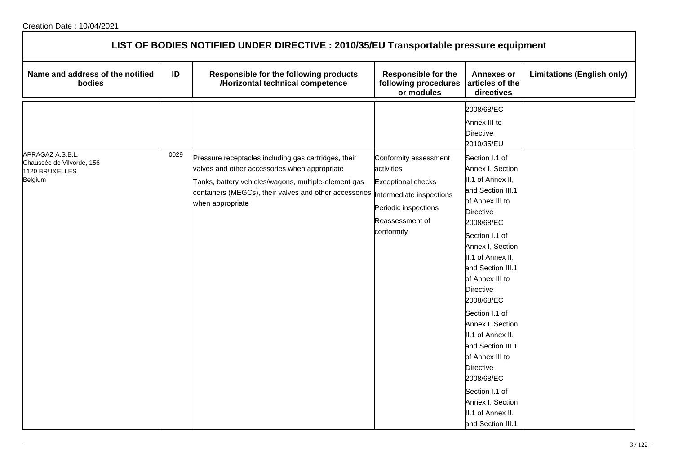| LIST OF BODIES NOTIFIED UNDER DIRECTIVE : 2010/35/EU Transportable pressure equipment |      |                                                                                                                                                                                                                                             |                                                                                                                                                       |                                                                                                                                                                                                                                                                                                                                                                                                                                                                                             |                                   |  |
|---------------------------------------------------------------------------------------|------|---------------------------------------------------------------------------------------------------------------------------------------------------------------------------------------------------------------------------------------------|-------------------------------------------------------------------------------------------------------------------------------------------------------|---------------------------------------------------------------------------------------------------------------------------------------------------------------------------------------------------------------------------------------------------------------------------------------------------------------------------------------------------------------------------------------------------------------------------------------------------------------------------------------------|-----------------------------------|--|
| Name and address of the notified<br>bodies                                            | ID   | Responsible for the following products<br>/Horizontal technical competence                                                                                                                                                                  | <b>Responsible for the</b><br>following procedures<br>or modules                                                                                      | <b>Annexes or</b><br>articles of the<br>directives                                                                                                                                                                                                                                                                                                                                                                                                                                          | <b>Limitations (English only)</b> |  |
|                                                                                       |      |                                                                                                                                                                                                                                             |                                                                                                                                                       | 2008/68/EC<br>Annex III to<br><b>Directive</b><br>2010/35/EU                                                                                                                                                                                                                                                                                                                                                                                                                                |                                   |  |
| APRAGAZ A.S.B.L.<br>Chaussée de Vilvorde, 156<br>1120 BRUXELLES<br>Belgium            | 0029 | Pressure receptacles including gas cartridges, their<br>valves and other accessories when appropriate<br>Tanks, battery vehicles/wagons, multiple-element gas<br>containers (MEGCs), their valves and other accessories<br>when appropriate | Conformity assessment<br>activities<br><b>Exceptional checks</b><br>Intermediate inspections<br>Periodic inspections<br>Reassessment of<br>conformity | Section I.1 of<br>Annex I, Section<br>II.1 of Annex II,<br>and Section III.1<br>of Annex III to<br><b>Directive</b><br>2008/68/EC<br>Section I.1 of<br>Annex I, Section<br>II.1 of Annex II,<br>and Section III.1<br>of Annex III to<br><b>Directive</b><br>2008/68/EC<br>Section I.1 of<br>Annex I, Section<br>II.1 of Annex II,<br>and Section III.1<br>of Annex III to<br><b>Directive</b><br>2008/68/EC<br>Section I.1 of<br>Annex I, Section<br>II.1 of Annex II,<br>and Section III.1 |                                   |  |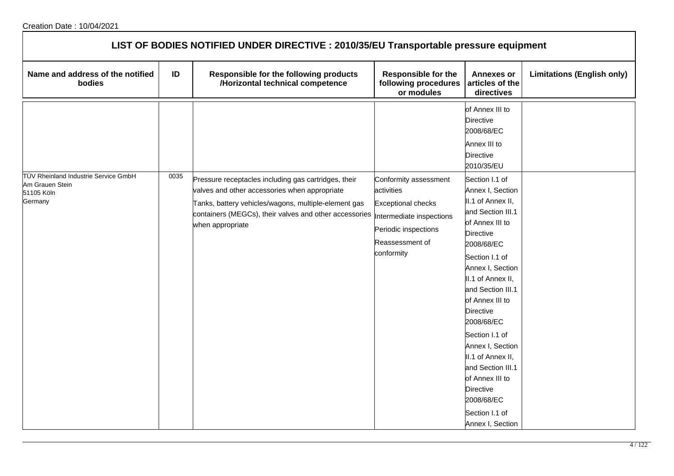| LIST OF BODIES NOTIFIED UNDER DIRECTIVE : 2010/35/EU Transportable pressure equipment    |      |                                                                                                                                                                                                                                             |                                                                                                                                                       |                                                                                                                                                                                                                                                                                                                                                                                                                                                   |                                   |  |
|------------------------------------------------------------------------------------------|------|---------------------------------------------------------------------------------------------------------------------------------------------------------------------------------------------------------------------------------------------|-------------------------------------------------------------------------------------------------------------------------------------------------------|---------------------------------------------------------------------------------------------------------------------------------------------------------------------------------------------------------------------------------------------------------------------------------------------------------------------------------------------------------------------------------------------------------------------------------------------------|-----------------------------------|--|
| Name and address of the notified<br>bodies                                               | ID   | Responsible for the following products<br>/Horizontal technical competence                                                                                                                                                                  | <b>Responsible for the</b><br>following procedures<br>or modules                                                                                      | <b>Annexes or</b><br>articles of the<br>directives                                                                                                                                                                                                                                                                                                                                                                                                | <b>Limitations (English only)</b> |  |
|                                                                                          |      |                                                                                                                                                                                                                                             |                                                                                                                                                       | of Annex III to<br><b>Directive</b><br>2008/68/EC<br>Annex III to<br><b>Directive</b><br>2010/35/EU                                                                                                                                                                                                                                                                                                                                               |                                   |  |
| <b>T</b> ÜV Rheinland Industrie Service GmbH<br>Am Grauen Stein<br>51105 Köln<br>Germany | 0035 | Pressure receptacles including gas cartridges, their<br>valves and other accessories when appropriate<br>Tanks, battery vehicles/wagons, multiple-element gas<br>containers (MEGCs), their valves and other accessories<br>when appropriate | Conformity assessment<br>activities<br><b>Exceptional checks</b><br>Intermediate inspections<br>Periodic inspections<br>Reassessment of<br>conformity | Section I.1 of<br>Annex I, Section<br>II.1 of Annex II,<br>and Section III.1<br>of Annex III to<br><b>Directive</b><br>2008/68/EC<br>Section I.1 of<br>Annex I, Section<br>II.1 of Annex II,<br>and Section III.1<br>of Annex III to<br><b>Directive</b><br>2008/68/EC<br>Section I.1 of<br>Annex I, Section<br>II.1 of Annex II,<br>and Section III.1<br>of Annex III to<br><b>Directive</b><br>2008/68/EC<br>Section I.1 of<br>Annex I, Section |                                   |  |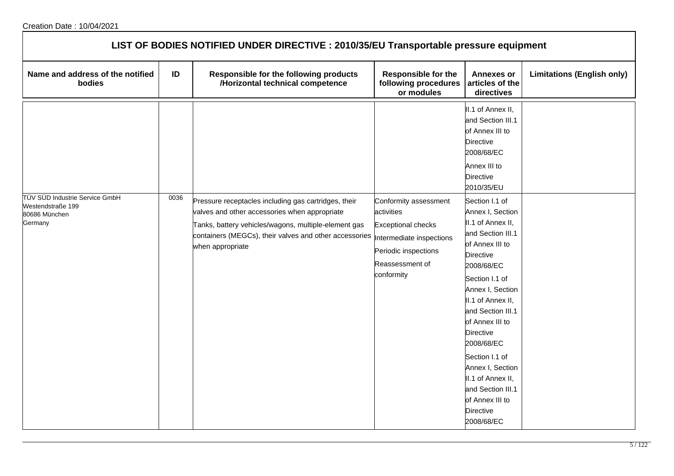| LIST OF BODIES NOTIFIED UNDER DIRECTIVE : 2010/35/EU Transportable pressure equipment |      |                                                                                                                                                                                                                                             |                                                                                                                                                       |                                                                                                                                                                                                                                                                                                                                                                                               |                                   |  |  |
|---------------------------------------------------------------------------------------|------|---------------------------------------------------------------------------------------------------------------------------------------------------------------------------------------------------------------------------------------------|-------------------------------------------------------------------------------------------------------------------------------------------------------|-----------------------------------------------------------------------------------------------------------------------------------------------------------------------------------------------------------------------------------------------------------------------------------------------------------------------------------------------------------------------------------------------|-----------------------------------|--|--|
| Name and address of the notified<br>bodies                                            | ID   | Responsible for the following products<br>/Horizontal technical competence                                                                                                                                                                  | <b>Responsible for the</b><br>following procedures<br>or modules                                                                                      | <b>Annexes or</b><br>articles of the<br>directives                                                                                                                                                                                                                                                                                                                                            | <b>Limitations (English only)</b> |  |  |
|                                                                                       |      |                                                                                                                                                                                                                                             |                                                                                                                                                       | II.1 of Annex II,<br>and Section III.1<br>of Annex III to<br>Directive<br>2008/68/EC<br>Annex III to<br><b>Directive</b><br>2010/35/EU                                                                                                                                                                                                                                                        |                                   |  |  |
| TÜV SÜD Industrie Service GmbH<br>Westendstraße 199<br>80686 München<br>Germany       | 0036 | Pressure receptacles including gas cartridges, their<br>valves and other accessories when appropriate<br>Tanks, battery vehicles/wagons, multiple-element gas<br>containers (MEGCs), their valves and other accessories<br>when appropriate | Conformity assessment<br>activities<br><b>Exceptional checks</b><br>Intermediate inspections<br>Periodic inspections<br>Reassessment of<br>conformity | Section I.1 of<br>Annex I, Section<br>II.1 of Annex II,<br>and Section III.1<br>of Annex III to<br><b>Directive</b><br>2008/68/EC<br>Section I.1 of<br>Annex I, Section<br>II.1 of Annex II,<br>and Section III.1<br>of Annex III to<br>Directive<br>2008/68/EC<br>Section I.1 of<br>Annex I, Section<br>II.1 of Annex II,<br>and Section III.1<br>of Annex III to<br>Directive<br>2008/68/EC |                                   |  |  |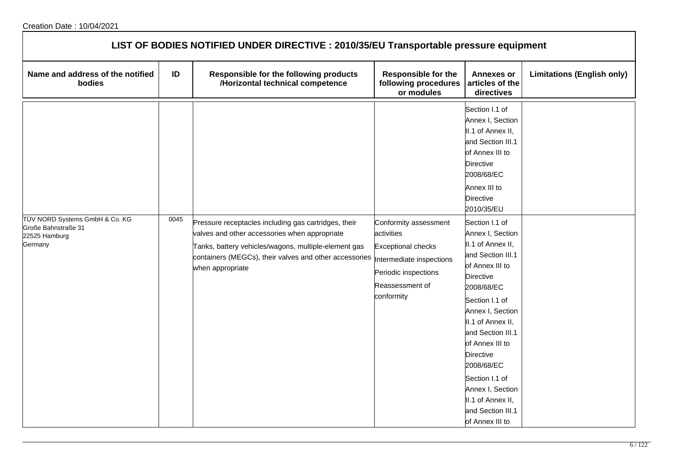| LIST OF BODIES NOTIFIED UNDER DIRECTIVE : 2010/35/EU Transportable pressure equipment |      |                                                                                                                                                                                                                                             |                                                                                                                                                       |                                                                                                                                                                                                                                                                                                                                                                    |                                   |  |  |
|---------------------------------------------------------------------------------------|------|---------------------------------------------------------------------------------------------------------------------------------------------------------------------------------------------------------------------------------------------|-------------------------------------------------------------------------------------------------------------------------------------------------------|--------------------------------------------------------------------------------------------------------------------------------------------------------------------------------------------------------------------------------------------------------------------------------------------------------------------------------------------------------------------|-----------------------------------|--|--|
| Name and address of the notified<br>bodies                                            | ID   | Responsible for the following products<br>/Horizontal technical competence                                                                                                                                                                  | <b>Responsible for the</b><br>following procedures<br>or modules                                                                                      | <b>Annexes or</b><br>articles of the<br>directives                                                                                                                                                                                                                                                                                                                 | <b>Limitations (English only)</b> |  |  |
|                                                                                       |      |                                                                                                                                                                                                                                             |                                                                                                                                                       | Section I.1 of<br>Annex I, Section<br>II.1 of Annex II,<br>and Section III.1<br>of Annex III to<br>Directive<br>2008/68/EC<br>Annex III to<br><b>Directive</b><br>2010/35/EU                                                                                                                                                                                       |                                   |  |  |
| TÜV NORD Systems GmbH & Co. KG<br>Große Bahnstraße 31<br>22525 Hamburg<br>Germany     | 0045 | Pressure receptacles including gas cartridges, their<br>valves and other accessories when appropriate<br>Tanks, battery vehicles/wagons, multiple-element gas<br>containers (MEGCs), their valves and other accessories<br>when appropriate | Conformity assessment<br>activities<br><b>Exceptional checks</b><br>Intermediate inspections<br>Periodic inspections<br>Reassessment of<br>conformity | Section I.1 of<br>Annex I, Section<br>II.1 of Annex II,<br>and Section III.1<br>of Annex III to<br><b>Directive</b><br>2008/68/EC<br>Section I.1 of<br>Annex I, Section<br>II.1 of Annex II,<br>and Section III.1<br>of Annex III to<br>Directive<br>2008/68/EC<br>Section I.1 of<br>Annex I, Section<br>II.1 of Annex II,<br>and Section III.1<br>of Annex III to |                                   |  |  |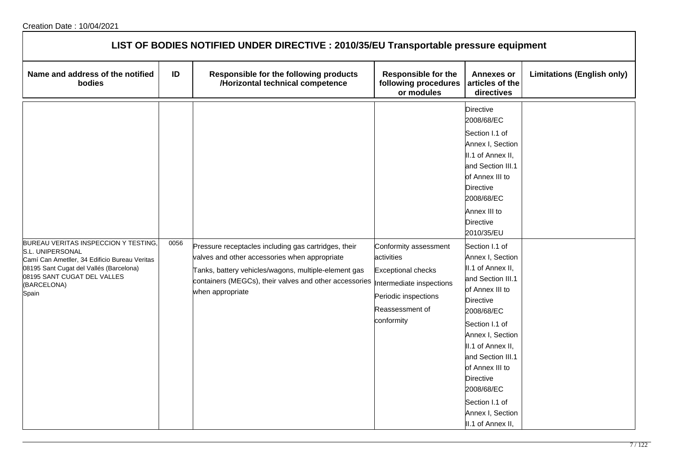| LIST OF BODIES NOTIFIED UNDER DIRECTIVE : 2010/35/EU Transportable pressure equipment                                                                                                                      |      |                                                                                                                                                                                                                                                                       |                                                                                                                           |                                                                                                                                                                                                                                                                                                                                                                                                                                                                                                                                                            |                                   |  |  |
|------------------------------------------------------------------------------------------------------------------------------------------------------------------------------------------------------------|------|-----------------------------------------------------------------------------------------------------------------------------------------------------------------------------------------------------------------------------------------------------------------------|---------------------------------------------------------------------------------------------------------------------------|------------------------------------------------------------------------------------------------------------------------------------------------------------------------------------------------------------------------------------------------------------------------------------------------------------------------------------------------------------------------------------------------------------------------------------------------------------------------------------------------------------------------------------------------------------|-----------------------------------|--|--|
| Name and address of the notified<br>bodies                                                                                                                                                                 | ID   | Responsible for the following products<br>/Horizontal technical competence                                                                                                                                                                                            | <b>Responsible for the</b><br>following procedures<br>or modules                                                          | <b>Annexes or</b><br>articles of the<br>directives                                                                                                                                                                                                                                                                                                                                                                                                                                                                                                         | <b>Limitations (English only)</b> |  |  |
| BUREAU VERITAS INSPECCION Y TESTING<br>S.L. UNIPERSONAL<br>Camí Can Ametller, 34 Edificio Bureau Veritas<br>08195 Sant Cugat del Vallés (Barcelona)<br>08195 SANT CUGAT DEL VALLES<br>(BARCELONA)<br>Spain | 0056 | Pressure receptacles including gas cartridges, their<br>valves and other accessories when appropriate<br>Tanks, battery vehicles/wagons, multiple-element gas<br>containers (MEGCs), their valves and other accessories  Intermediate inspections<br>when appropriate | Conformity assessment<br>activities<br><b>Exceptional checks</b><br>Periodic inspections<br>Reassessment of<br>conformity | <b>Directive</b><br>2008/68/EC<br>Section I.1 of<br>Annex I, Section<br>II.1 of Annex II,<br>and Section III.1<br>of Annex III to<br><b>Directive</b><br>2008/68/EC<br>Annex III to<br><b>Directive</b><br>2010/35/EU<br>Section I.1 of<br>Annex I, Section<br>II.1 of Annex II,<br>and Section III.1<br>of Annex III to<br><b>Directive</b><br>2008/68/EC<br>Section I.1 of<br>Annex I, Section<br>II.1 of Annex II,<br>and Section III.1<br>of Annex III to<br><b>Directive</b><br>2008/68/EC<br>Section I.1 of<br>Annex I, Section<br>II.1 of Annex II, |                                   |  |  |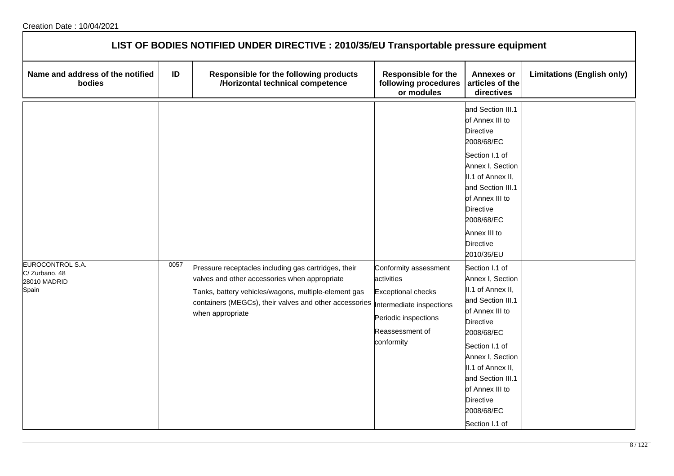| LIST OF BODIES NOTIFIED UNDER DIRECTIVE : 2010/35/EU Transportable pressure equipment |      |                                                                                                                                                                                                                                             |                                                                                                                                                       |                                                                                                                                                                                                                                                                                                                                                                                                                                                                                                                                                           |                                   |  |  |
|---------------------------------------------------------------------------------------|------|---------------------------------------------------------------------------------------------------------------------------------------------------------------------------------------------------------------------------------------------|-------------------------------------------------------------------------------------------------------------------------------------------------------|-----------------------------------------------------------------------------------------------------------------------------------------------------------------------------------------------------------------------------------------------------------------------------------------------------------------------------------------------------------------------------------------------------------------------------------------------------------------------------------------------------------------------------------------------------------|-----------------------------------|--|--|
| Name and address of the notified<br>bodies                                            | ID   | Responsible for the following products<br>/Horizontal technical competence                                                                                                                                                                  | <b>Responsible for the</b><br>following procedures<br>or modules                                                                                      | <b>Annexes or</b><br>articles of the<br>directives                                                                                                                                                                                                                                                                                                                                                                                                                                                                                                        | <b>Limitations (English only)</b> |  |  |
| EUROCONTROL S.A.<br>C/Zurbano, 48<br>28010 MADRID<br>Spain                            | 0057 | Pressure receptacles including gas cartridges, their<br>valves and other accessories when appropriate<br>Tanks, battery vehicles/wagons, multiple-element gas<br>containers (MEGCs), their valves and other accessories<br>when appropriate | Conformity assessment<br>activities<br><b>Exceptional checks</b><br>Intermediate inspections<br>Periodic inspections<br>Reassessment of<br>conformity | and Section III.1<br>of Annex III to<br><b>Directive</b><br>2008/68/EC<br>Section I.1 of<br>Annex I, Section<br>II.1 of Annex II,<br>and Section III.1<br>of Annex III to<br><b>Directive</b><br>2008/68/EC<br>Annex III to<br><b>Directive</b><br>2010/35/EU<br>Section I.1 of<br>Annex I, Section<br>II.1 of Annex II,<br>and Section III.1<br>of Annex III to<br><b>Directive</b><br>2008/68/EC<br>Section I.1 of<br>Annex I, Section<br>II.1 of Annex II,<br>and Section III.1<br>of Annex III to<br><b>Directive</b><br>2008/68/EC<br>Section I.1 of |                                   |  |  |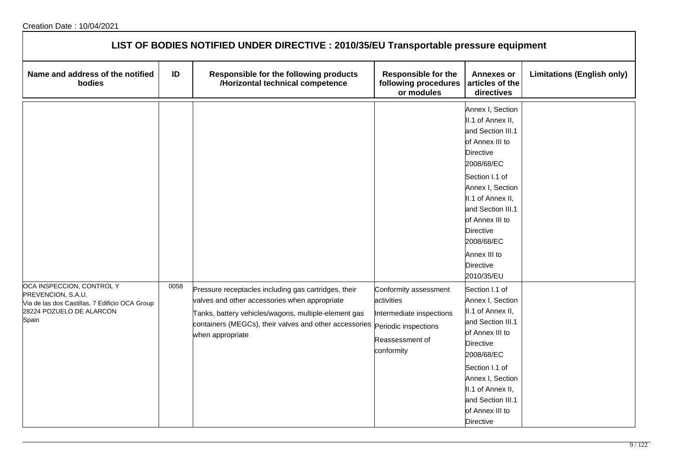| LIST OF BODIES NOTIFIED UNDER DIRECTIVE : 2010/35/EU Transportable pressure equipment                                                  |      |                                                                                                                                                                                                                                                                  |                                                                                                  |                                                                                                                                                                                                                                                                                                        |                                   |  |  |
|----------------------------------------------------------------------------------------------------------------------------------------|------|------------------------------------------------------------------------------------------------------------------------------------------------------------------------------------------------------------------------------------------------------------------|--------------------------------------------------------------------------------------------------|--------------------------------------------------------------------------------------------------------------------------------------------------------------------------------------------------------------------------------------------------------------------------------------------------------|-----------------------------------|--|--|
| Name and address of the notified<br>bodies                                                                                             | ID   | Responsible for the following products<br>/Horizontal technical competence                                                                                                                                                                                       | <b>Responsible for the</b><br>following procedures<br>or modules                                 | <b>Annexes or</b><br>articles of the<br>directives                                                                                                                                                                                                                                                     | <b>Limitations (English only)</b> |  |  |
|                                                                                                                                        |      |                                                                                                                                                                                                                                                                  |                                                                                                  | Annex I, Section<br>II.1 of Annex II,<br>and Section III.1<br>of Annex III to<br><b>Directive</b><br>2008/68/EC<br>Section I.1 of<br>Annex I, Section<br>II.1 of Annex II,<br>and Section III.1<br>of Annex III to<br><b>Directive</b><br>2008/68/EC<br>Annex III to<br><b>Directive</b><br>2010/35/EU |                                   |  |  |
| OCA INSPECCION, CONTROL Y<br>PREVENCION, S.A.U.<br>Via de las dos Castillas, 7 Edificio OCA Group<br>28224 POZUELO DE ALARCON<br>Spain | 0058 | Pressure receptacles including gas cartridges, their<br>valves and other accessories when appropriate<br>Tanks, battery vehicles/wagons, multiple-element gas<br>containers (MEGCs), their valves and other accessories Periodic inspections<br>when appropriate | Conformity assessment<br>activities<br>Intermediate inspections<br>Reassessment of<br>conformity | Section I.1 of<br>Annex I, Section<br>II.1 of Annex II,<br>and Section III.1<br>of Annex III to<br><b>Directive</b><br>2008/68/EC<br>Section I.1 of<br>Annex I, Section<br>II.1 of Annex II,<br>and Section III.1<br>of Annex III to<br><b>Directive</b>                                               |                                   |  |  |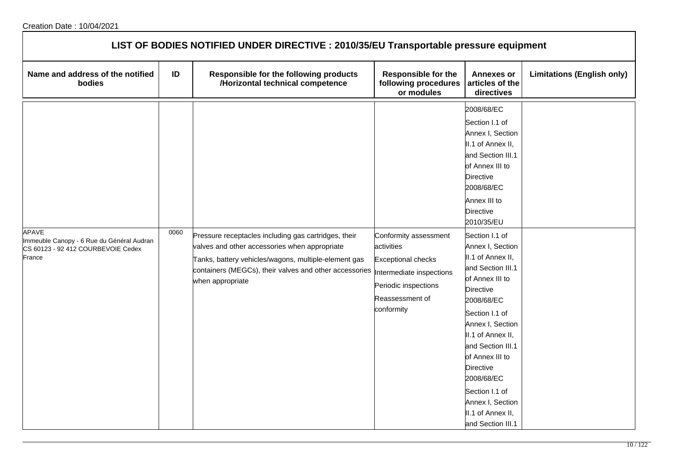| LIST OF BODIES NOTIFIED UNDER DIRECTIVE : 2010/35/EU Transportable pressure equipment              |      |                                                                                                                                                                                                                                                                       |                                                                                                                           |                                                                                                                                                                                                                                                                                                                                                                                                                                                                                                                                                             |                                   |  |  |
|----------------------------------------------------------------------------------------------------|------|-----------------------------------------------------------------------------------------------------------------------------------------------------------------------------------------------------------------------------------------------------------------------|---------------------------------------------------------------------------------------------------------------------------|-------------------------------------------------------------------------------------------------------------------------------------------------------------------------------------------------------------------------------------------------------------------------------------------------------------------------------------------------------------------------------------------------------------------------------------------------------------------------------------------------------------------------------------------------------------|-----------------------------------|--|--|
| Name and address of the notified<br>bodies                                                         | ID   | Responsible for the following products<br>/Horizontal technical competence                                                                                                                                                                                            | <b>Responsible for the</b><br>following procedures<br>or modules                                                          | <b>Annexes or</b><br>articles of the<br>directives                                                                                                                                                                                                                                                                                                                                                                                                                                                                                                          | <b>Limitations (English only)</b> |  |  |
| APAVE<br>Immeuble Canopy - 6 Rue du Général Audran<br>CS 60123 - 92 412 COURBEVOIE Cedex<br>France | 0060 | Pressure receptacles including gas cartridges, their<br>valves and other accessories when appropriate<br>Tanks, battery vehicles/wagons, multiple-element gas<br>containers (MEGCs), their valves and other accessories  Intermediate inspections<br>when appropriate | Conformity assessment<br>activities<br><b>Exceptional checks</b><br>Periodic inspections<br>Reassessment of<br>conformity | 2008/68/EC<br>Section I.1 of<br>Annex I, Section<br>II.1 of Annex II,<br>and Section III.1<br>of Annex III to<br><b>Directive</b><br>2008/68/EC<br>Annex III to<br><b>Directive</b><br>2010/35/EU<br>Section I.1 of<br>Annex I, Section<br>II.1 of Annex II,<br>and Section III.1<br>of Annex III to<br><b>Directive</b><br>2008/68/EC<br>Section I.1 of<br>Annex I, Section<br>II.1 of Annex II,<br>and Section III.1<br>of Annex III to<br><b>Directive</b><br>2008/68/EC<br>Section I.1 of<br>Annex I, Section<br>II.1 of Annex II,<br>and Section III.1 |                                   |  |  |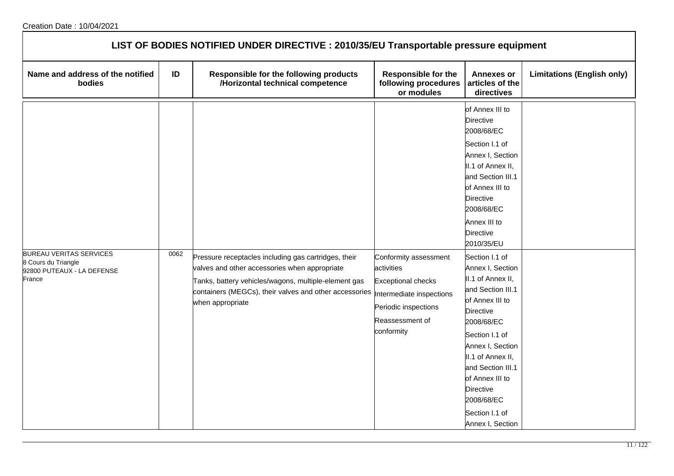| LIST OF BODIES NOTIFIED UNDER DIRECTIVE : 2010/35/EU Transportable pressure equipment         |      |                                                                                                                                                                                                                                             |                                                                                                                                                       |                                                                                                                                                                                                                                                                                                                                                                                                                                                                                                                                                   |                                   |  |  |
|-----------------------------------------------------------------------------------------------|------|---------------------------------------------------------------------------------------------------------------------------------------------------------------------------------------------------------------------------------------------|-------------------------------------------------------------------------------------------------------------------------------------------------------|---------------------------------------------------------------------------------------------------------------------------------------------------------------------------------------------------------------------------------------------------------------------------------------------------------------------------------------------------------------------------------------------------------------------------------------------------------------------------------------------------------------------------------------------------|-----------------------------------|--|--|
| Name and address of the notified<br>bodies                                                    | ID   | Responsible for the following products<br>/Horizontal technical competence                                                                                                                                                                  | <b>Responsible for the</b><br>following procedures<br>or modules                                                                                      | <b>Annexes or</b><br>articles of the<br>directives                                                                                                                                                                                                                                                                                                                                                                                                                                                                                                | <b>Limitations (English only)</b> |  |  |
| <b>BUREAU VERITAS SERVICES</b><br>8 Cours du Triangle<br>92800 PUTEAUX - LA DEFENSE<br>France | 0062 | Pressure receptacles including gas cartridges, their<br>valves and other accessories when appropriate<br>Tanks, battery vehicles/wagons, multiple-element gas<br>containers (MEGCs), their valves and other accessories<br>when appropriate | Conformity assessment<br>activities<br><b>Exceptional checks</b><br>Intermediate inspections<br>Periodic inspections<br>Reassessment of<br>conformity | of Annex III to<br><b>Directive</b><br>2008/68/EC<br>Section I.1 of<br>Annex I, Section<br>II.1 of Annex II,<br>and Section III.1<br>of Annex III to<br><b>Directive</b><br>2008/68/EC<br>Annex III to<br>Directive<br>2010/35/EU<br>Section I.1 of<br>Annex I, Section<br>II.1 of Annex II,<br>and Section III.1<br>of Annex III to<br><b>Directive</b><br>2008/68/EC<br>Section I.1 of<br>Annex I, Section<br>II.1 of Annex II,<br>and Section III.1<br>of Annex III to<br><b>Directive</b><br>2008/68/EC<br>Section I.1 of<br>Annex I, Section |                                   |  |  |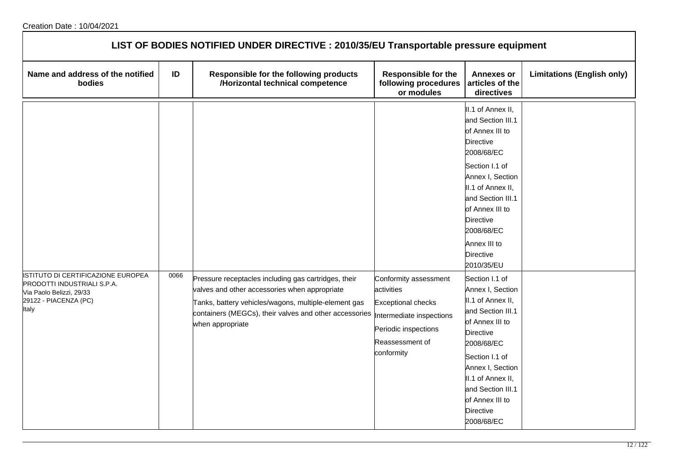| LIST OF BODIES NOTIFIED UNDER DIRECTIVE : 2010/35/EU Transportable pressure equipment                                                  |      |                                                                                                                                                                                                                                             |                                                                                                                                                       |                                                                                                                                                                                                                                                                                    |                                   |  |  |
|----------------------------------------------------------------------------------------------------------------------------------------|------|---------------------------------------------------------------------------------------------------------------------------------------------------------------------------------------------------------------------------------------------|-------------------------------------------------------------------------------------------------------------------------------------------------------|------------------------------------------------------------------------------------------------------------------------------------------------------------------------------------------------------------------------------------------------------------------------------------|-----------------------------------|--|--|
| Name and address of the notified<br>bodies                                                                                             | ID   | Responsible for the following products<br>/Horizontal technical competence                                                                                                                                                                  | <b>Responsible for the</b><br>following procedures<br>or modules                                                                                      | <b>Annexes or</b><br>articles of the<br>directives                                                                                                                                                                                                                                 | <b>Limitations (English only)</b> |  |  |
|                                                                                                                                        |      |                                                                                                                                                                                                                                             |                                                                                                                                                       | II.1 of Annex II,<br>and Section III.1<br>of Annex III to<br><b>Directive</b><br>2008/68/EC<br>Section I.1 of<br>Annex I, Section<br>II.1 of Annex II,<br>and Section III.1<br>of Annex III to<br><b>Directive</b><br>2008/68/EC<br>Annex III to<br><b>Directive</b><br>2010/35/EU |                                   |  |  |
| ISTITUTO DI CERTIFICAZIONE EUROPEA<br><b>PRODOTTI INDUSTRIALI S.P.A.</b><br>Via Paolo Belizzi, 29/33<br>29122 - PIACENZA (PC)<br>Italy | 0066 | Pressure receptacles including gas cartridges, their<br>valves and other accessories when appropriate<br>Tanks, battery vehicles/wagons, multiple-element gas<br>containers (MEGCs), their valves and other accessories<br>when appropriate | Conformity assessment<br>activities<br><b>Exceptional checks</b><br>Intermediate inspections<br>Periodic inspections<br>Reassessment of<br>conformity | Section I.1 of<br>Annex I, Section<br>II.1 of Annex II,<br>and Section III.1<br>of Annex III to<br><b>Directive</b><br>2008/68/EC<br>Section I.1 of<br>Annex I, Section<br>II.1 of Annex II,<br>and Section III.1<br>of Annex III to<br>Directive<br>2008/68/EC                    |                                   |  |  |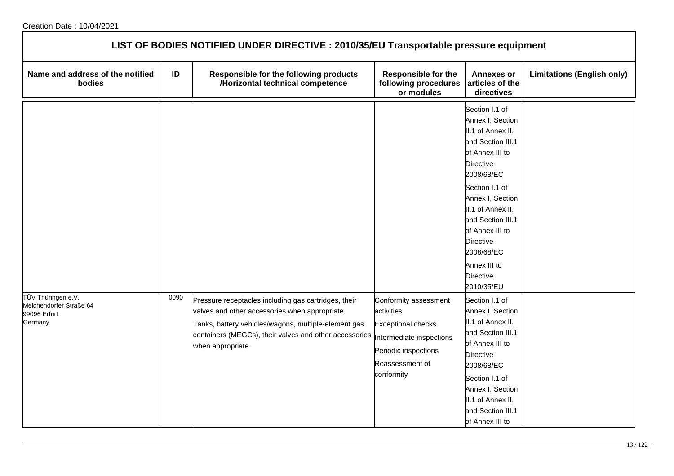| LIST OF BODIES NOTIFIED UNDER DIRECTIVE : 2010/35/EU Transportable pressure equipment |      |                                                                                                                                                                                                                                             |                                                                                                                                                       |                                                                                                                                                                                                                                                                                                                   |                                   |  |  |
|---------------------------------------------------------------------------------------|------|---------------------------------------------------------------------------------------------------------------------------------------------------------------------------------------------------------------------------------------------|-------------------------------------------------------------------------------------------------------------------------------------------------------|-------------------------------------------------------------------------------------------------------------------------------------------------------------------------------------------------------------------------------------------------------------------------------------------------------------------|-----------------------------------|--|--|
| Name and address of the notified<br>bodies                                            | ID   | Responsible for the following products<br>/Horizontal technical competence                                                                                                                                                                  | <b>Responsible for the</b><br>following procedures<br>or modules                                                                                      | <b>Annexes or</b><br>articles of the<br>directives                                                                                                                                                                                                                                                                | <b>Limitations (English only)</b> |  |  |
|                                                                                       |      |                                                                                                                                                                                                                                             |                                                                                                                                                       | Section I.1 of<br>Annex I, Section<br>II.1 of Annex II,<br>and Section III.1<br>of Annex III to<br><b>Directive</b><br>2008/68/EC<br>Section I.1 of<br>Annex I, Section<br>II.1 of Annex II,<br>and Section III.1<br>of Annex III to<br>Directive<br>2008/68/EC<br>Annex III to<br><b>Directive</b><br>2010/35/EU |                                   |  |  |
| TÜV Thüringen e.V.<br>Melchendorfer Straße 64<br>99096 Erfurt<br>Germany              | 0090 | Pressure receptacles including gas cartridges, their<br>valves and other accessories when appropriate<br>Tanks, battery vehicles/wagons, multiple-element gas<br>containers (MEGCs), their valves and other accessories<br>when appropriate | Conformity assessment<br>activities<br><b>Exceptional checks</b><br>Intermediate inspections<br>Periodic inspections<br>Reassessment of<br>conformity | Section I.1 of<br>Annex I, Section<br>II.1 of Annex II,<br>and Section III.1<br>of Annex III to<br><b>Directive</b><br>2008/68/EC<br>Section I.1 of<br>Annex I, Section<br>II.1 of Annex II,<br>and Section III.1<br>of Annex III to                                                                              |                                   |  |  |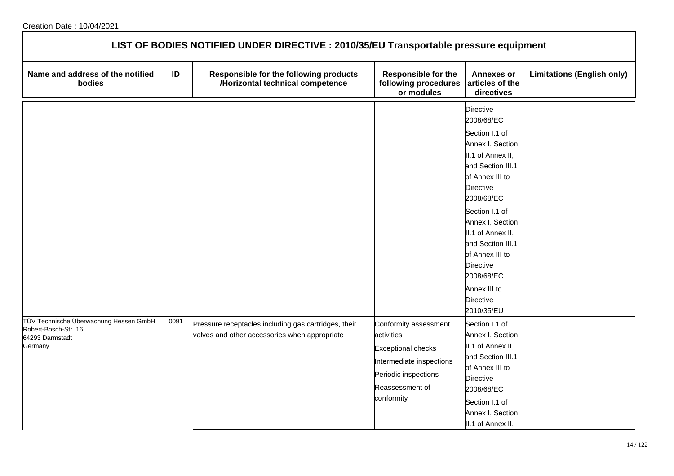| LIST OF BODIES NOTIFIED UNDER DIRECTIVE : 2010/35/EU Transportable pressure equipment        |      |                                                                                                       |                                                                                   |                                                                                                                                                                                                                                                                                                                                                                                                  |                                   |  |
|----------------------------------------------------------------------------------------------|------|-------------------------------------------------------------------------------------------------------|-----------------------------------------------------------------------------------|--------------------------------------------------------------------------------------------------------------------------------------------------------------------------------------------------------------------------------------------------------------------------------------------------------------------------------------------------------------------------------------------------|-----------------------------------|--|
| Name and address of the notified<br>bodies                                                   | ID   | Responsible for the following products<br>/Horizontal technical competence                            | <b>Responsible for the</b><br>following procedures<br>or modules                  | <b>Annexes or</b><br>articles of the<br>directives                                                                                                                                                                                                                                                                                                                                               | <b>Limitations (English only)</b> |  |
| TÜV Technische Überwachung Hessen GmbH<br>Robert-Bosch-Str. 16<br>64293 Darmstadt<br>Germany | 0091 | Pressure receptacles including gas cartridges, their<br>valves and other accessories when appropriate | Conformity assessment<br>activities<br><b>Exceptional checks</b>                  | <b>Directive</b><br>2008/68/EC<br>Section I.1 of<br>Annex I, Section<br>II.1 of Annex II,<br>and Section III.1<br>of Annex III to<br>Directive<br>2008/68/EC<br>Section I.1 of<br>Annex I, Section<br>II.1 of Annex II,<br>and Section III.1<br>of Annex III to<br>Directive<br>2008/68/EC<br>Annex III to<br>Directive<br>2010/35/EU<br>Section I.1 of<br>Annex I, Section<br>II.1 of Annex II, |                                   |  |
|                                                                                              |      |                                                                                                       | Intermediate inspections<br>Periodic inspections<br>Reassessment of<br>conformity | and Section III.1<br>of Annex III to<br>Directive<br>2008/68/EC<br>Section I.1 of<br>Annex I, Section<br>II.1 of Annex II,                                                                                                                                                                                                                                                                       |                                   |  |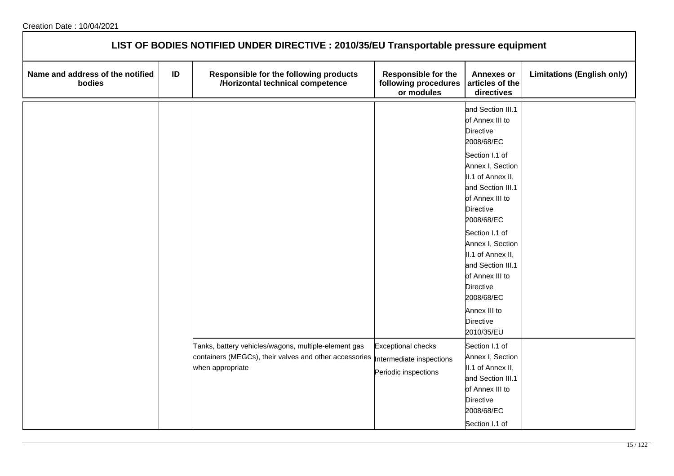| LIST OF BODIES NOTIFIED UNDER DIRECTIVE : 2010/35/EU Transportable pressure equipment |    |                                                                                                                                    |                                                                               |                                                                                                                                                                                                                                                                                                                                                                                                    |                                   |  |  |
|---------------------------------------------------------------------------------------|----|------------------------------------------------------------------------------------------------------------------------------------|-------------------------------------------------------------------------------|----------------------------------------------------------------------------------------------------------------------------------------------------------------------------------------------------------------------------------------------------------------------------------------------------------------------------------------------------------------------------------------------------|-----------------------------------|--|--|
| Name and address of the notified<br>bodies                                            | ID | Responsible for the following products<br>/Horizontal technical competence                                                         | <b>Responsible for the</b><br>following procedures<br>or modules              | <b>Annexes or</b><br>articles of the<br>directives                                                                                                                                                                                                                                                                                                                                                 | <b>Limitations (English only)</b> |  |  |
|                                                                                       |    |                                                                                                                                    |                                                                               | and Section III.1<br>of Annex III to<br><b>Directive</b><br>2008/68/EC<br>Section I.1 of<br>Annex I, Section<br>II.1 of Annex II,<br>and Section III.1<br>of Annex III to<br><b>Directive</b><br>2008/68/EC<br>Section I.1 of<br>Annex I, Section<br>II.1 of Annex II,<br>and Section III.1<br>of Annex III to<br><b>Directive</b><br>2008/68/EC<br>Annex III to<br><b>Directive</b><br>2010/35/EU |                                   |  |  |
|                                                                                       |    | Tanks, battery vehicles/wagons, multiple-element gas<br>containers (MEGCs), their valves and other accessories<br>when appropriate | <b>Exceptional checks</b><br>Intermediate inspections<br>Periodic inspections | Section I.1 of<br>Annex I, Section<br>II.1 of Annex II,<br>and Section III.1<br>of Annex III to<br><b>Directive</b><br>2008/68/EC<br>Section I.1 of                                                                                                                                                                                                                                                |                                   |  |  |

┑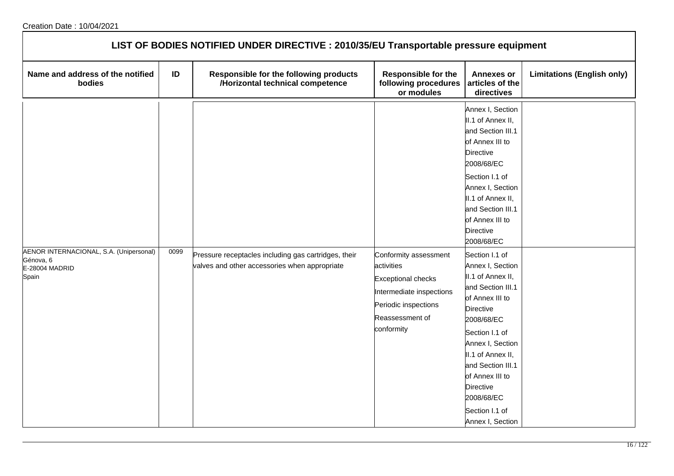| LIST OF BODIES NOTIFIED UNDER DIRECTIVE : 2010/35/EU Transportable pressure equipment |      |                                                                                                       |                                                                                                                                                       |                                                                                                                                                                                                                                                                                                                                                                                                                                                                                                                                                                      |                                   |  |  |
|---------------------------------------------------------------------------------------|------|-------------------------------------------------------------------------------------------------------|-------------------------------------------------------------------------------------------------------------------------------------------------------|----------------------------------------------------------------------------------------------------------------------------------------------------------------------------------------------------------------------------------------------------------------------------------------------------------------------------------------------------------------------------------------------------------------------------------------------------------------------------------------------------------------------------------------------------------------------|-----------------------------------|--|--|
| Name and address of the notified<br>bodies                                            | ID   | Responsible for the following products<br>/Horizontal technical competence                            | <b>Responsible for the</b><br>following procedures<br>or modules                                                                                      | <b>Annexes or</b><br>articles of the<br>directives                                                                                                                                                                                                                                                                                                                                                                                                                                                                                                                   | <b>Limitations (English only)</b> |  |  |
| AENOR INTERNACIONAL, S.A. (Unipersonal)<br>Génova, 6<br>E-28004 MADRID<br>Spain       | 0099 | Pressure receptacles including gas cartridges, their<br>valves and other accessories when appropriate | Conformity assessment<br>activities<br><b>Exceptional checks</b><br>Intermediate inspections<br>Periodic inspections<br>Reassessment of<br>conformity | Annex I, Section<br>II.1 of Annex II,<br>and Section III.1<br>of Annex III to<br><b>Directive</b><br>2008/68/EC<br>Section I.1 of<br>Annex I, Section<br>II.1 of Annex II,<br>and Section III.1<br>of Annex III to<br><b>Directive</b><br>2008/68/EC<br>Section I.1 of<br>Annex I, Section<br>II.1 of Annex II,<br>and Section III.1<br>of Annex III to<br><b>Directive</b><br>2008/68/EC<br>Section I.1 of<br>Annex I, Section<br>II.1 of Annex II,<br>and Section III.1<br>of Annex III to<br><b>Directive</b><br>2008/68/EC<br>Section I.1 of<br>Annex I, Section |                                   |  |  |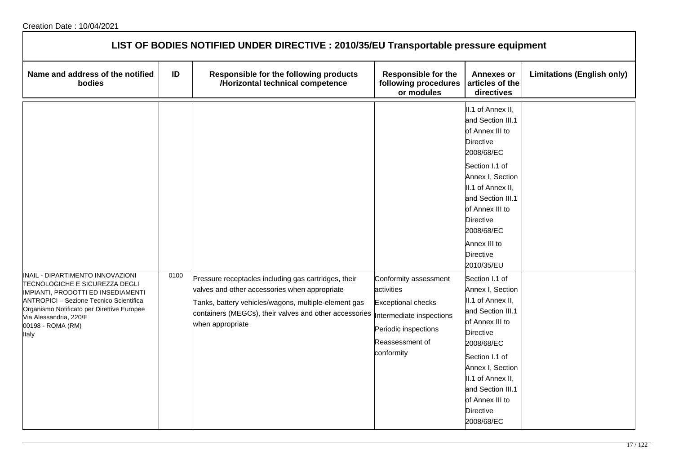| LIST OF BODIES NOTIFIED UNDER DIRECTIVE : 2010/35/EU Transportable pressure equipment                                                                                                                                                                     |      |                                                                                                                                                                                                                                             |                                                                                                                                                       |                                                                                                                                                                                                                                                                      |                                   |  |  |
|-----------------------------------------------------------------------------------------------------------------------------------------------------------------------------------------------------------------------------------------------------------|------|---------------------------------------------------------------------------------------------------------------------------------------------------------------------------------------------------------------------------------------------|-------------------------------------------------------------------------------------------------------------------------------------------------------|----------------------------------------------------------------------------------------------------------------------------------------------------------------------------------------------------------------------------------------------------------------------|-----------------------------------|--|--|
| Name and address of the notified<br>bodies                                                                                                                                                                                                                | ID   | Responsible for the following products<br>/Horizontal technical competence                                                                                                                                                                  | <b>Responsible for the</b><br>following procedures<br>or modules                                                                                      | <b>Annexes or</b><br>articles of the<br>directives                                                                                                                                                                                                                   | <b>Limitations (English only)</b> |  |  |
|                                                                                                                                                                                                                                                           |      |                                                                                                                                                                                                                                             |                                                                                                                                                       | II.1 of Annex II,<br>and Section III.1<br>of Annex III to<br>Directive<br>2008/68/EC<br>Section I.1 of<br>Annex I, Section<br>II.1 of Annex II,<br>and Section III.1<br>of Annex III to<br><b>Directive</b><br>2008/68/EC<br>Annex III to<br>Directive<br>2010/35/EU |                                   |  |  |
| INAIL - DIPARTIMENTO INNOVAZIONI<br>TECNOLOGICHE E SICUREZZA DEGLI<br>IMPIANTI, PRODOTTI ED INSEDIAMENTI<br>ANTROPICI - Sezione Tecnico Scientifica<br>Organismo Notificato per Direttive Europee<br>Via Alessandria, 220/E<br>00198 - ROMA (RM)<br>Italy | 0100 | Pressure receptacles including gas cartridges, their<br>valves and other accessories when appropriate<br>Tanks, battery vehicles/wagons, multiple-element gas<br>containers (MEGCs), their valves and other accessories<br>when appropriate | Conformity assessment<br>activities<br><b>Exceptional checks</b><br>Intermediate inspections<br>Periodic inspections<br>Reassessment of<br>conformity | Section I.1 of<br>Annex I, Section<br>II.1 of Annex II,<br>and Section III.1<br>of Annex III to<br><b>Directive</b><br>2008/68/EC<br>Section I.1 of<br>Annex I, Section<br>II.1 of Annex II,<br>and Section III.1<br>of Annex III to<br>Directive<br>2008/68/EC      |                                   |  |  |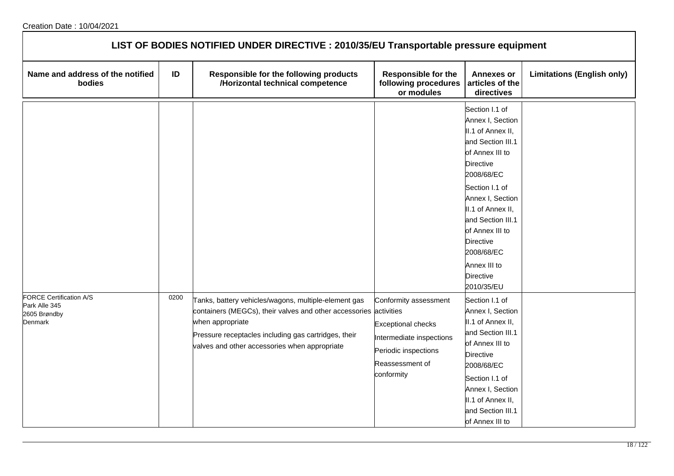| LIST OF BODIES NOTIFIED UNDER DIRECTIVE : 2010/35/EU Transportable pressure equipment |      |                                                                                                                                                                                                                                                        |                                                                                                                                         |                                                                                                                                                                                                                                                                                                                   |                                   |  |  |
|---------------------------------------------------------------------------------------|------|--------------------------------------------------------------------------------------------------------------------------------------------------------------------------------------------------------------------------------------------------------|-----------------------------------------------------------------------------------------------------------------------------------------|-------------------------------------------------------------------------------------------------------------------------------------------------------------------------------------------------------------------------------------------------------------------------------------------------------------------|-----------------------------------|--|--|
| Name and address of the notified<br>bodies                                            | ID   | Responsible for the following products<br>/Horizontal technical competence                                                                                                                                                                             | <b>Responsible for the</b><br>following procedures<br>or modules                                                                        | <b>Annexes or</b><br>articles of the<br>directives                                                                                                                                                                                                                                                                | <b>Limitations (English only)</b> |  |  |
|                                                                                       |      |                                                                                                                                                                                                                                                        |                                                                                                                                         | Section I.1 of<br>Annex I, Section<br>II.1 of Annex II,<br>and Section III.1<br>of Annex III to<br><b>Directive</b><br>2008/68/EC<br>Section I.1 of<br>Annex I, Section<br>II.1 of Annex II,<br>and Section III.1<br>of Annex III to<br>Directive<br>2008/68/EC<br>Annex III to<br><b>Directive</b><br>2010/35/EU |                                   |  |  |
| FORCE Certification A/S<br>Park Alle 345<br>2605 Brøndby<br>Denmark                   | 0200 | Tanks, battery vehicles/wagons, multiple-element gas<br>containers (MEGCs), their valves and other accessories activities<br>when appropriate<br>Pressure receptacles including gas cartridges, their<br>valves and other accessories when appropriate | Conformity assessment<br><b>Exceptional checks</b><br>Intermediate inspections<br>Periodic inspections<br>Reassessment of<br>conformity | Section I.1 of<br>Annex I, Section<br>II.1 of Annex II,<br>and Section III.1<br>of Annex III to<br><b>Directive</b><br>2008/68/EC<br>Section I.1 of<br>Annex I, Section<br>II.1 of Annex II,<br>and Section III.1<br>of Annex III to                                                                              |                                   |  |  |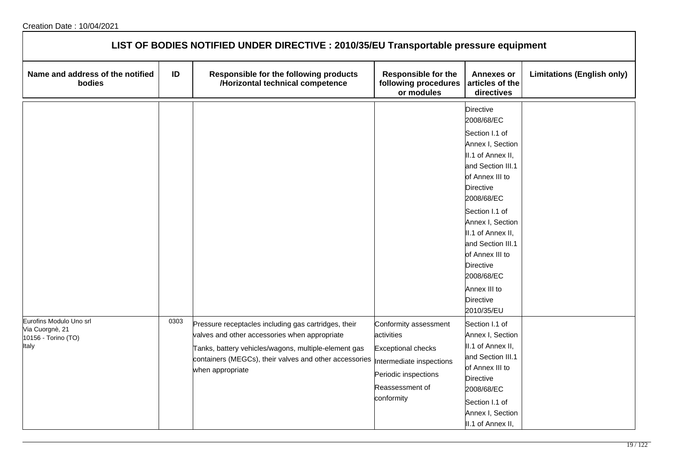| LIST OF BODIES NOTIFIED UNDER DIRECTIVE : 2010/35/EU Transportable pressure equipment |      |                                                                                                                                                                                                                                             |                                                                                                                                                       |                                                                                                                                                                                                                                                                                                                                       |                                   |  |  |
|---------------------------------------------------------------------------------------|------|---------------------------------------------------------------------------------------------------------------------------------------------------------------------------------------------------------------------------------------------|-------------------------------------------------------------------------------------------------------------------------------------------------------|---------------------------------------------------------------------------------------------------------------------------------------------------------------------------------------------------------------------------------------------------------------------------------------------------------------------------------------|-----------------------------------|--|--|
| Name and address of the notified<br>bodies                                            | ID   | Responsible for the following products<br>/Horizontal technical competence                                                                                                                                                                  | <b>Responsible for the</b><br>following procedures<br>or modules                                                                                      | <b>Annexes or</b><br>articles of the<br>directives                                                                                                                                                                                                                                                                                    | <b>Limitations (English only)</b> |  |  |
|                                                                                       |      |                                                                                                                                                                                                                                             |                                                                                                                                                       | <b>Directive</b><br>2008/68/EC<br>Section I.1 of<br>Annex I, Section<br>II.1 of Annex II,<br>and Section III.1<br>of Annex III to<br>Directive<br>2008/68/EC<br>Section I.1 of<br>Annex I, Section<br>II.1 of Annex II,<br>and Section III.1<br>of Annex III to<br>Directive<br>2008/68/EC<br>Annex III to<br>Directive<br>2010/35/EU |                                   |  |  |
| Eurofins Modulo Uno srl<br>Via Cuorgnè, 21<br>10156 - Torino (TO)<br>Italy            | 0303 | Pressure receptacles including gas cartridges, their<br>valves and other accessories when appropriate<br>Tanks, battery vehicles/wagons, multiple-element gas<br>containers (MEGCs), their valves and other accessories<br>when appropriate | Conformity assessment<br>activities<br><b>Exceptional checks</b><br>Intermediate inspections<br>Periodic inspections<br>Reassessment of<br>conformity | Section I.1 of<br>Annex I, Section<br>II.1 of Annex II,<br>and Section III.1<br>of Annex III to<br><b>Directive</b><br>2008/68/EC<br>Section I.1 of<br>Annex I, Section<br>II.1 of Annex II,                                                                                                                                          |                                   |  |  |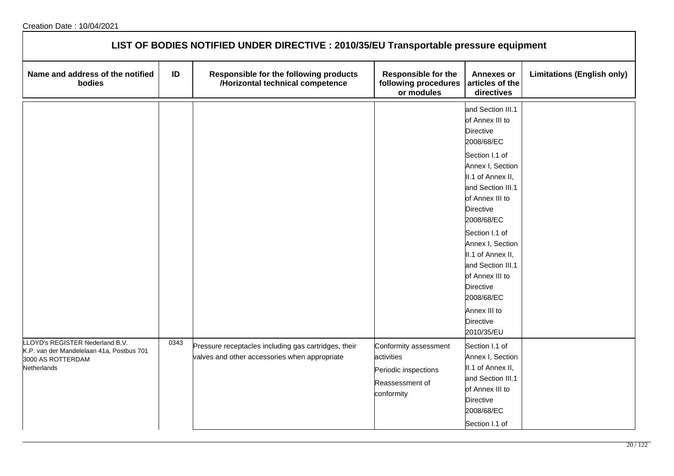| LIST OF BODIES NOTIFIED UNDER DIRECTIVE : 2010/35/EU Transportable pressure equipment                           |      |                                                                                                       |                                                                                              |                                                                                                                                                                                                                                                                                                                                                                                                    |                                   |  |  |
|-----------------------------------------------------------------------------------------------------------------|------|-------------------------------------------------------------------------------------------------------|----------------------------------------------------------------------------------------------|----------------------------------------------------------------------------------------------------------------------------------------------------------------------------------------------------------------------------------------------------------------------------------------------------------------------------------------------------------------------------------------------------|-----------------------------------|--|--|
| Name and address of the notified<br>bodies                                                                      | ID   | Responsible for the following products<br>/Horizontal technical competence                            | <b>Responsible for the</b><br>following procedures<br>or modules                             | <b>Annexes or</b><br>articles of the<br>directives                                                                                                                                                                                                                                                                                                                                                 | <b>Limitations (English only)</b> |  |  |
|                                                                                                                 |      |                                                                                                       |                                                                                              | and Section III.1<br>of Annex III to<br><b>Directive</b><br>2008/68/EC<br>Section I.1 of<br>Annex I, Section<br>II.1 of Annex II,<br>and Section III.1<br>of Annex III to<br><b>Directive</b><br>2008/68/EC<br>Section I.1 of<br>Annex I, Section<br>II.1 of Annex II,<br>and Section III.1<br>of Annex III to<br><b>Directive</b><br>2008/68/EC<br>Annex III to<br><b>Directive</b><br>2010/35/EU |                                   |  |  |
| LOYD's REGISTER Nederland B.V.<br>K.P. van der Mandelelaan 41a, Postbus 701<br>3000 AS ROTTERDAM<br>Netherlands | 0343 | Pressure receptacles including gas cartridges, their<br>valves and other accessories when appropriate | Conformity assessment<br>activities<br>Periodic inspections<br>Reassessment of<br>conformity | Section I.1 of<br>Annex I, Section<br>II.1 of Annex II,<br>and Section III.1<br>of Annex III to<br>Directive<br>2008/68/EC<br>Section I.1 of                                                                                                                                                                                                                                                       |                                   |  |  |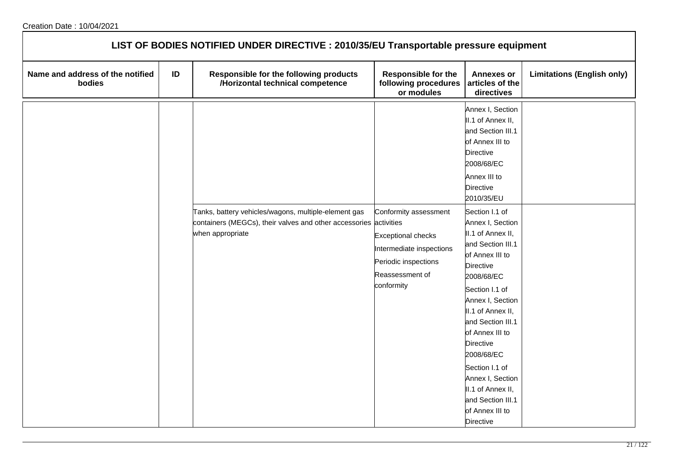| LIST OF BODIES NOTIFIED UNDER DIRECTIVE : 2010/35/EU Transportable pressure equipment |    |                                                                                                                                               |                                                                                                                                         |                                                                                                                                                                                                                                                                                                                                                                                                                                                                                                                                                             |                                   |  |  |  |
|---------------------------------------------------------------------------------------|----|-----------------------------------------------------------------------------------------------------------------------------------------------|-----------------------------------------------------------------------------------------------------------------------------------------|-------------------------------------------------------------------------------------------------------------------------------------------------------------------------------------------------------------------------------------------------------------------------------------------------------------------------------------------------------------------------------------------------------------------------------------------------------------------------------------------------------------------------------------------------------------|-----------------------------------|--|--|--|
| Name and address of the notified<br>bodies                                            | ID | Responsible for the following products<br>/Horizontal technical competence                                                                    | <b>Responsible for the</b><br>following procedures<br>or modules                                                                        | <b>Annexes or</b><br>articles of the<br>directives                                                                                                                                                                                                                                                                                                                                                                                                                                                                                                          | <b>Limitations (English only)</b> |  |  |  |
|                                                                                       |    | Tanks, battery vehicles/wagons, multiple-element gas<br>containers (MEGCs), their valves and other accessories activities<br>when appropriate | Conformity assessment<br><b>Exceptional checks</b><br>Intermediate inspections<br>Periodic inspections<br>Reassessment of<br>conformity | Annex I, Section<br>II.1 of Annex II,<br>and Section III.1<br>of Annex III to<br><b>Directive</b><br>2008/68/EC<br>Annex III to<br><b>Directive</b><br>2010/35/EU<br>Section I.1 of<br>Annex I, Section<br>II.1 of Annex II,<br>and Section III.1<br>of Annex III to<br><b>Directive</b><br>2008/68/EC<br>Section I.1 of<br>Annex I, Section<br>II.1 of Annex II,<br>and Section III.1<br>of Annex III to<br><b>Directive</b><br>2008/68/EC<br>Section I.1 of<br>Annex I, Section<br>II.1 of Annex II,<br>and Section III.1<br>of Annex III to<br>Directive |                                   |  |  |  |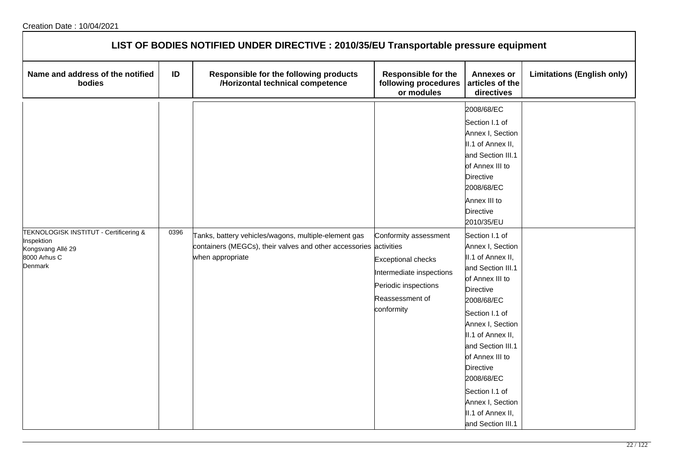| LIST OF BODIES NOTIFIED UNDER DIRECTIVE : 2010/35/EU Transportable pressure equipment                |      |                                                                                                                                               |                                                                                                                                         |                                                                                                                                                                                                                                                                                                                                                                                                                                                                                                                                                      |                                   |  |  |
|------------------------------------------------------------------------------------------------------|------|-----------------------------------------------------------------------------------------------------------------------------------------------|-----------------------------------------------------------------------------------------------------------------------------------------|------------------------------------------------------------------------------------------------------------------------------------------------------------------------------------------------------------------------------------------------------------------------------------------------------------------------------------------------------------------------------------------------------------------------------------------------------------------------------------------------------------------------------------------------------|-----------------------------------|--|--|
| Name and address of the notified<br>bodies                                                           | ID   | Responsible for the following products<br>/Horizontal technical competence                                                                    | <b>Responsible for the</b><br>following procedures<br>or modules                                                                        | <b>Annexes or</b><br>articles of the<br>directives                                                                                                                                                                                                                                                                                                                                                                                                                                                                                                   | <b>Limitations (English only)</b> |  |  |
| TEKNOLOGISK INSTITUT - Certificering &<br>Inspektion<br>Kongsvang Allé 29<br>8000 Arhus C<br>Denmark | 0396 | Tanks, battery vehicles/wagons, multiple-element gas<br>containers (MEGCs), their valves and other accessories activities<br>when appropriate | Conformity assessment<br><b>Exceptional checks</b><br>Intermediate inspections<br>Periodic inspections<br>Reassessment of<br>conformity | 2008/68/EC<br>Section I.1 of<br>Annex I, Section<br>II.1 of Annex II,<br>and Section III.1<br>of Annex III to<br><b>Directive</b><br>2008/68/EC<br>Annex III to<br><b>Directive</b><br>2010/35/EU<br>Section I.1 of<br>Annex I, Section<br>II.1 of Annex II,<br>and Section III.1<br>of Annex III to<br><b>Directive</b><br>2008/68/EC<br>Section I.1 of<br>Annex I, Section<br>II.1 of Annex II,<br>and Section III.1<br>of Annex III to<br>Directive<br>2008/68/EC<br>Section I.1 of<br>Annex I, Section<br>II.1 of Annex II,<br>and Section III.1 |                                   |  |  |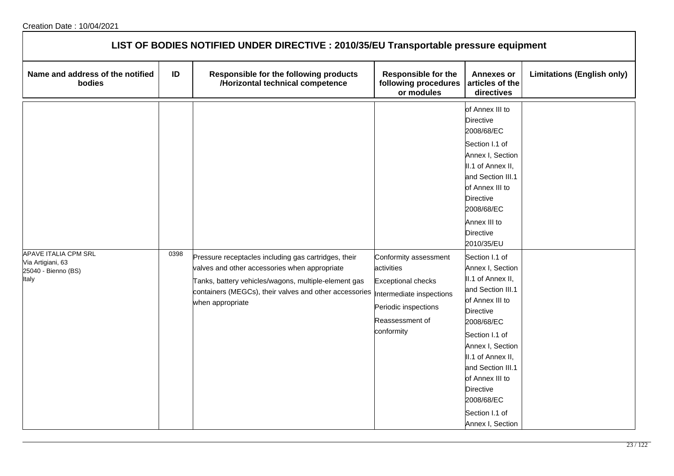| LIST OF BODIES NOTIFIED UNDER DIRECTIVE : 2010/35/EU Transportable pressure equipment |      |                                                                                                                                                                                                                                             |                                                                                                                                                       |                                                                                                                                                                                                                                                                                                                                                                                                                                                                                                                                                          |                                   |  |  |
|---------------------------------------------------------------------------------------|------|---------------------------------------------------------------------------------------------------------------------------------------------------------------------------------------------------------------------------------------------|-------------------------------------------------------------------------------------------------------------------------------------------------------|----------------------------------------------------------------------------------------------------------------------------------------------------------------------------------------------------------------------------------------------------------------------------------------------------------------------------------------------------------------------------------------------------------------------------------------------------------------------------------------------------------------------------------------------------------|-----------------------------------|--|--|
| Name and address of the notified<br>bodies                                            | ID   | Responsible for the following products<br>/Horizontal technical competence                                                                                                                                                                  | <b>Responsible for the</b><br>following procedures<br>or modules                                                                                      | <b>Annexes or</b><br>articles of the<br>directives                                                                                                                                                                                                                                                                                                                                                                                                                                                                                                       | <b>Limitations (English only)</b> |  |  |
| <b>APAVE ITALIA CPM SRL</b><br>Via Artigiani, 63<br>25040 - Bienno (BS)<br>Italy      | 0398 | Pressure receptacles including gas cartridges, their<br>valves and other accessories when appropriate<br>Tanks, battery vehicles/wagons, multiple-element gas<br>containers (MEGCs), their valves and other accessories<br>when appropriate | Conformity assessment<br>activities<br><b>Exceptional checks</b><br>Intermediate inspections<br>Periodic inspections<br>Reassessment of<br>conformity | of Annex III to<br><b>Directive</b><br>2008/68/EC<br>Section I.1 of<br>Annex I, Section<br>II.1 of Annex II,<br>and Section III.1<br>of Annex III to<br><b>Directive</b><br>2008/68/EC<br>Annex III to<br><b>Directive</b><br>2010/35/EU<br>Section I.1 of<br>Annex I, Section<br>II.1 of Annex II,<br>and Section III.1<br>of Annex III to<br><b>Directive</b><br>2008/68/EC<br>Section I.1 of<br>Annex I, Section<br>II.1 of Annex II,<br>and Section III.1<br>of Annex III to<br><b>Directive</b><br>2008/68/EC<br>Section I.1 of<br>Annex I, Section |                                   |  |  |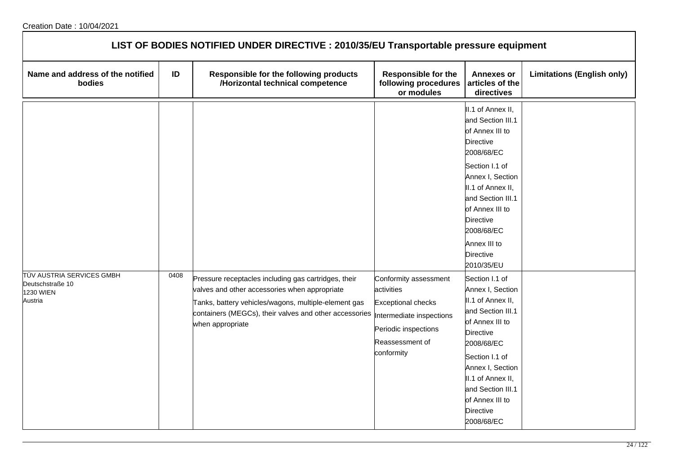| LIST OF BODIES NOTIFIED UNDER DIRECTIVE : 2010/35/EU Transportable pressure equipment |      |                                                                                                                                                                                                                                             |                                                                                                                                                       |                                                                                                                                                                                                                                                                             |                                   |  |  |
|---------------------------------------------------------------------------------------|------|---------------------------------------------------------------------------------------------------------------------------------------------------------------------------------------------------------------------------------------------|-------------------------------------------------------------------------------------------------------------------------------------------------------|-----------------------------------------------------------------------------------------------------------------------------------------------------------------------------------------------------------------------------------------------------------------------------|-----------------------------------|--|--|
| Name and address of the notified<br>bodies                                            | ID   | Responsible for the following products<br>/Horizontal technical competence                                                                                                                                                                  | <b>Responsible for the</b><br>following procedures<br>or modules                                                                                      | <b>Annexes or</b><br>articles of the<br>directives                                                                                                                                                                                                                          | <b>Limitations (English only)</b> |  |  |
|                                                                                       |      |                                                                                                                                                                                                                                             |                                                                                                                                                       | II.1 of Annex II,<br>and Section III.1<br>of Annex III to<br><b>Directive</b><br>2008/68/EC<br>Section I.1 of<br>Annex I, Section<br>II.1 of Annex II,<br>and Section III.1<br>of Annex III to<br>Directive<br>2008/68/EC<br>Annex III to<br><b>Directive</b><br>2010/35/EU |                                   |  |  |
| TÜV AUSTRIA SERVICES GMBH<br>Deutschstraße 10<br><b>1230 WIEN</b><br>Austria          | 0408 | Pressure receptacles including gas cartridges, their<br>valves and other accessories when appropriate<br>Tanks, battery vehicles/wagons, multiple-element gas<br>containers (MEGCs), their valves and other accessories<br>when appropriate | Conformity assessment<br>activities<br><b>Exceptional checks</b><br>Intermediate inspections<br>Periodic inspections<br>Reassessment of<br>conformity | Section I.1 of<br>Annex I, Section<br>II.1 of Annex II,<br>and Section III.1<br>of Annex III to<br><b>Directive</b><br>2008/68/EC<br>Section I.1 of<br>Annex I, Section<br>II.1 of Annex II,<br>and Section III.1<br>of Annex III to<br><b>Directive</b><br>2008/68/EC      |                                   |  |  |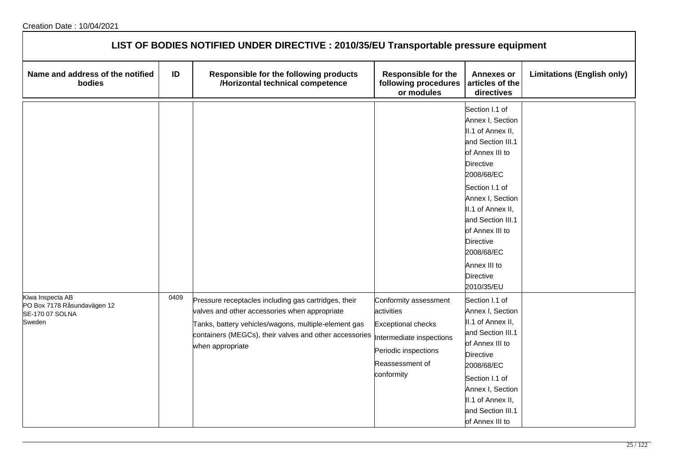| LIST OF BODIES NOTIFIED UNDER DIRECTIVE : 2010/35/EU Transportable pressure equipment |      |                                                                                                                                                                                                                                             |                                                                                                                                                       |                                                                                                                                                                                                                                                                                                                   |                                   |  |  |
|---------------------------------------------------------------------------------------|------|---------------------------------------------------------------------------------------------------------------------------------------------------------------------------------------------------------------------------------------------|-------------------------------------------------------------------------------------------------------------------------------------------------------|-------------------------------------------------------------------------------------------------------------------------------------------------------------------------------------------------------------------------------------------------------------------------------------------------------------------|-----------------------------------|--|--|
| Name and address of the notified<br>bodies                                            | ID   | Responsible for the following products<br>/Horizontal technical competence                                                                                                                                                                  | <b>Responsible for the</b><br>following procedures<br>or modules                                                                                      | <b>Annexes or</b><br>articles of the<br>directives                                                                                                                                                                                                                                                                | <b>Limitations (English only)</b> |  |  |
|                                                                                       |      |                                                                                                                                                                                                                                             |                                                                                                                                                       | Section I.1 of<br>Annex I, Section<br>II.1 of Annex II,<br>and Section III.1<br>of Annex III to<br><b>Directive</b><br>2008/68/EC<br>Section I.1 of<br>Annex I, Section<br>II.1 of Annex II,<br>and Section III.1<br>of Annex III to<br>Directive<br>2008/68/EC<br>Annex III to<br><b>Directive</b><br>2010/35/EU |                                   |  |  |
| Kiwa Inspecta AB<br>PO Box 7178 Råsundavägen 12<br>SE-170 07 SOLNA<br>Sweden          | 0409 | Pressure receptacles including gas cartridges, their<br>valves and other accessories when appropriate<br>Tanks, battery vehicles/wagons, multiple-element gas<br>containers (MEGCs), their valves and other accessories<br>when appropriate | Conformity assessment<br>activities<br><b>Exceptional checks</b><br>Intermediate inspections<br>Periodic inspections<br>Reassessment of<br>conformity | Section I.1 of<br>Annex I, Section<br>II.1 of Annex II,<br>and Section III.1<br>of Annex III to<br><b>Directive</b><br>2008/68/EC<br>Section I.1 of<br>Annex I, Section<br>II.1 of Annex II,<br>and Section III.1<br>of Annex III to                                                                              |                                   |  |  |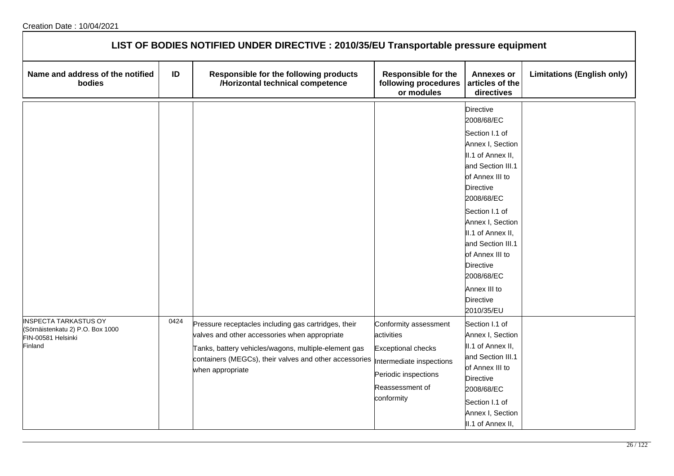| LIST OF BODIES NOTIFIED UNDER DIRECTIVE : 2010/35/EU Transportable pressure equipment             |      |                                                                                                                                                                                                                                             |                                                                                                                                                       |                                                                                                                                                                                                                                                                                                                                       |                                   |  |  |
|---------------------------------------------------------------------------------------------------|------|---------------------------------------------------------------------------------------------------------------------------------------------------------------------------------------------------------------------------------------------|-------------------------------------------------------------------------------------------------------------------------------------------------------|---------------------------------------------------------------------------------------------------------------------------------------------------------------------------------------------------------------------------------------------------------------------------------------------------------------------------------------|-----------------------------------|--|--|
| Name and address of the notified<br>bodies                                                        | ID   | Responsible for the following products<br>/Horizontal technical competence                                                                                                                                                                  | <b>Responsible for the</b><br>following procedures<br>or modules                                                                                      | <b>Annexes or</b><br>articles of the<br>directives                                                                                                                                                                                                                                                                                    | <b>Limitations (English only)</b> |  |  |
|                                                                                                   |      |                                                                                                                                                                                                                                             |                                                                                                                                                       | <b>Directive</b><br>2008/68/EC<br>Section I.1 of<br>Annex I, Section<br>II.1 of Annex II,<br>and Section III.1<br>of Annex III to<br>Directive<br>2008/68/EC<br>Section I.1 of<br>Annex I, Section<br>II.1 of Annex II,<br>and Section III.1<br>of Annex III to<br>Directive<br>2008/68/EC<br>Annex III to<br>Directive<br>2010/35/EU |                                   |  |  |
| <b>INSPECTA TARKASTUS OY</b><br>(Sörnäistenkatu 2) P.O. Box 1000<br>FIN-00581 Helsinki<br>Finland | 0424 | Pressure receptacles including gas cartridges, their<br>valves and other accessories when appropriate<br>Tanks, battery vehicles/wagons, multiple-element gas<br>containers (MEGCs), their valves and other accessories<br>when appropriate | Conformity assessment<br>activities<br><b>Exceptional checks</b><br>Intermediate inspections<br>Periodic inspections<br>Reassessment of<br>conformity | Section I.1 of<br>Annex I, Section<br>II.1 of Annex II,<br>and Section III.1<br>of Annex III to<br>Directive<br>2008/68/EC<br>Section I.1 of<br>Annex I, Section<br>II.1 of Annex II,                                                                                                                                                 |                                   |  |  |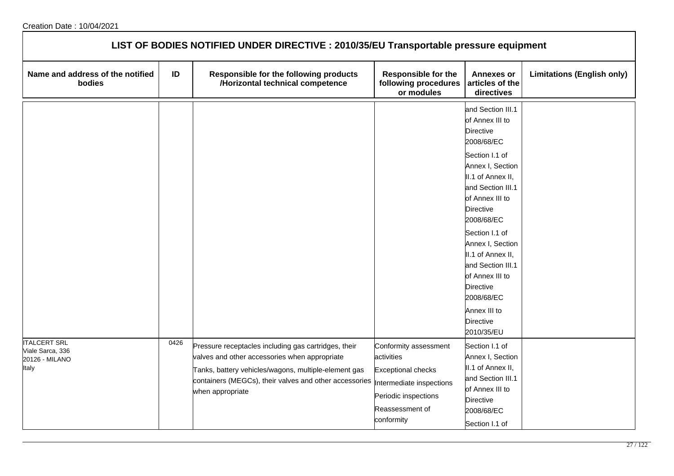| LIST OF BODIES NOTIFIED UNDER DIRECTIVE : 2010/35/EU Transportable pressure equipment |      |                                                                                                                                                                                                                                             |                                                                                                                                                       |                                                                                                                                                                                                                                                                                                                                                                                                    |                                   |  |  |
|---------------------------------------------------------------------------------------|------|---------------------------------------------------------------------------------------------------------------------------------------------------------------------------------------------------------------------------------------------|-------------------------------------------------------------------------------------------------------------------------------------------------------|----------------------------------------------------------------------------------------------------------------------------------------------------------------------------------------------------------------------------------------------------------------------------------------------------------------------------------------------------------------------------------------------------|-----------------------------------|--|--|
| Name and address of the notified<br>bodies                                            | ID   | Responsible for the following products<br>/Horizontal technical competence                                                                                                                                                                  | <b>Responsible for the</b><br>following procedures<br>or modules                                                                                      | <b>Annexes or</b><br>articles of the<br>directives                                                                                                                                                                                                                                                                                                                                                 | <b>Limitations (English only)</b> |  |  |
|                                                                                       |      |                                                                                                                                                                                                                                             |                                                                                                                                                       | and Section III.1<br>of Annex III to<br><b>Directive</b><br>2008/68/EC<br>Section I.1 of<br>Annex I, Section<br>II.1 of Annex II,<br>and Section III.1<br>of Annex III to<br><b>Directive</b><br>2008/68/EC<br>Section I.1 of<br>Annex I, Section<br>II.1 of Annex II,<br>and Section III.1<br>of Annex III to<br><b>Directive</b><br>2008/68/EC<br>Annex III to<br><b>Directive</b><br>2010/35/EU |                                   |  |  |
| <b>ITALCERT SRL</b><br>Viale Sarca, 336<br>20126 - MILANO<br>Italy                    | 0426 | Pressure receptacles including gas cartridges, their<br>valves and other accessories when appropriate<br>Tanks, battery vehicles/wagons, multiple-element gas<br>containers (MEGCs), their valves and other accessories<br>when appropriate | Conformity assessment<br>activities<br><b>Exceptional checks</b><br>Intermediate inspections<br>Periodic inspections<br>Reassessment of<br>conformity | Section I.1 of<br>Annex I, Section<br>II.1 of Annex II,<br>and Section III.1<br>of Annex III to<br><b>Directive</b><br>2008/68/EC<br>Section I.1 of                                                                                                                                                                                                                                                |                                   |  |  |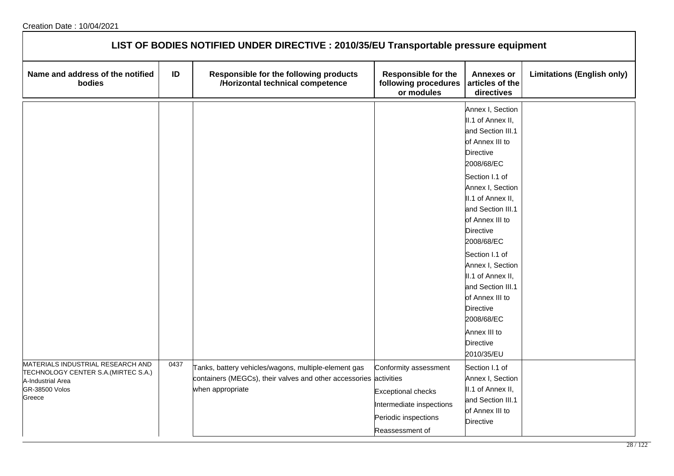| LIST OF BODIES NOTIFIED UNDER DIRECTIVE : 2010/35/EU Transportable pressure equipment                                             |      |                                                                                                                                               |                                                                                                                           |                                                                                                                                                                                                                                                                                                                                                                                                                                      |                                   |  |  |
|-----------------------------------------------------------------------------------------------------------------------------------|------|-----------------------------------------------------------------------------------------------------------------------------------------------|---------------------------------------------------------------------------------------------------------------------------|--------------------------------------------------------------------------------------------------------------------------------------------------------------------------------------------------------------------------------------------------------------------------------------------------------------------------------------------------------------------------------------------------------------------------------------|-----------------------------------|--|--|
| Name and address of the notified<br>bodies                                                                                        | ID   | Responsible for the following products<br>/Horizontal technical competence                                                                    | <b>Responsible for the</b><br>following procedures<br>or modules                                                          | <b>Annexes or</b><br>articles of the<br>directives                                                                                                                                                                                                                                                                                                                                                                                   | <b>Limitations (English only)</b> |  |  |
|                                                                                                                                   |      |                                                                                                                                               |                                                                                                                           | Annex I, Section<br>II.1 of Annex II,<br>and Section III.1<br>of Annex III to<br><b>Directive</b><br>2008/68/EC<br>Section I.1 of<br>Annex I, Section<br>II.1 of Annex II,<br>and Section III.1<br>of Annex III to<br>Directive<br>2008/68/EC<br>Section I.1 of<br>Annex I, Section<br>II.1 of Annex II,<br>and Section III.1<br>of Annex III to<br><b>Directive</b><br>2008/68/EC<br>Annex III to<br><b>Directive</b><br>2010/35/EU |                                   |  |  |
| MATERIALS INDUSTRIAL RESEARCH AND<br>TECHNOLOGY CENTER S.A. (MIRTEC S.A.)<br>A-Industrial Area<br><b>GR-38500 Volos</b><br>Greece | 0437 | Tanks, battery vehicles/wagons, multiple-element gas<br>containers (MEGCs), their valves and other accessories activities<br>when appropriate | Conformity assessment<br><b>Exceptional checks</b><br>Intermediate inspections<br>Periodic inspections<br>Reassessment of | Section I.1 of<br>Annex I, Section<br>II.1 of Annex II,<br>and Section III.1<br>of Annex III to<br><b>Directive</b>                                                                                                                                                                                                                                                                                                                  |                                   |  |  |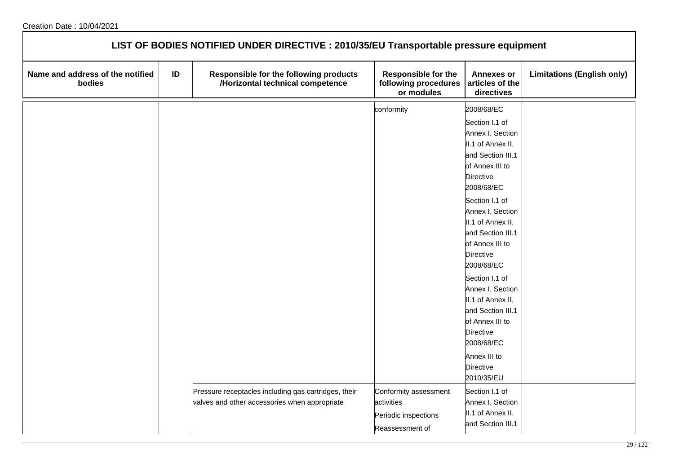| LIST OF BODIES NOTIFIED UNDER DIRECTIVE : 2010/35/EU Transportable pressure equipment |    |                                                                                                       |                                                                                |                                                                                                                                                                                                                                      |                                   |  |  |  |
|---------------------------------------------------------------------------------------|----|-------------------------------------------------------------------------------------------------------|--------------------------------------------------------------------------------|--------------------------------------------------------------------------------------------------------------------------------------------------------------------------------------------------------------------------------------|-----------------------------------|--|--|--|
| Name and address of the notified<br>bodies                                            | ID | Responsible for the following products<br>/Horizontal technical competence                            | Responsible for the<br>following procedures<br>or modules                      | <b>Annexes or</b><br>articles of the<br>directives                                                                                                                                                                                   | <b>Limitations (English only)</b> |  |  |  |
|                                                                                       |    |                                                                                                       | conformity                                                                     | 2008/68/EC                                                                                                                                                                                                                           |                                   |  |  |  |
|                                                                                       |    |                                                                                                       |                                                                                | Section I.1 of<br>Annex I, Section<br>II.1 of Annex II,<br>and Section III.1<br>of Annex III to<br><b>Directive</b><br>2008/68/EC<br>Section I.1 of<br>Annex I, Section<br>II.1 of Annex II,<br>and Section III.1<br>of Annex III to |                                   |  |  |  |
|                                                                                       |    |                                                                                                       |                                                                                | <b>Directive</b><br>2008/68/EC                                                                                                                                                                                                       |                                   |  |  |  |
|                                                                                       |    |                                                                                                       |                                                                                | Section I.1 of<br>Annex I, Section<br>II.1 of Annex II,<br>and Section III.1<br>of Annex III to<br><b>Directive</b><br>2008/68/EC                                                                                                    |                                   |  |  |  |
|                                                                                       |    |                                                                                                       |                                                                                | Annex III to<br><b>Directive</b><br>2010/35/EU                                                                                                                                                                                       |                                   |  |  |  |
|                                                                                       |    | Pressure receptacles including gas cartridges, their<br>valves and other accessories when appropriate | Conformity assessment<br>activities<br>Periodic inspections<br>Reassessment of | Section I.1 of<br>Annex I, Section<br>II.1 of Annex II,<br>and Section III.1                                                                                                                                                         |                                   |  |  |  |

┑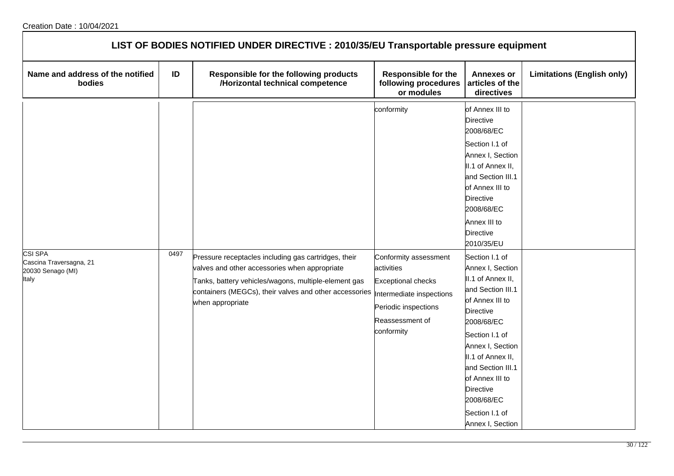| LIST OF BODIES NOTIFIED UNDER DIRECTIVE : 2010/35/EU Transportable pressure equipment |      |                                                                                                                                                                                                                                                                       |                                                                                                                                         |                                                                                                                                                                                                                                                                                                                                                                                                                                                                                                                       |                                   |  |  |
|---------------------------------------------------------------------------------------|------|-----------------------------------------------------------------------------------------------------------------------------------------------------------------------------------------------------------------------------------------------------------------------|-----------------------------------------------------------------------------------------------------------------------------------------|-----------------------------------------------------------------------------------------------------------------------------------------------------------------------------------------------------------------------------------------------------------------------------------------------------------------------------------------------------------------------------------------------------------------------------------------------------------------------------------------------------------------------|-----------------------------------|--|--|
| Name and address of the notified<br>bodies                                            | ID   | Responsible for the following products<br>/Horizontal technical competence                                                                                                                                                                                            | <b>Responsible for the</b><br>following procedures<br>or modules                                                                        | <b>Annexes or</b><br>articles of the<br>directives                                                                                                                                                                                                                                                                                                                                                                                                                                                                    | <b>Limitations (English only)</b> |  |  |
| CSI SPA<br>Cascina Traversagna, 21<br>20030 Senago (MI)<br>Italy                      | 0497 | Pressure receptacles including gas cartridges, their<br>valves and other accessories when appropriate<br>Tanks, battery vehicles/wagons, multiple-element gas<br>containers (MEGCs), their valves and other accessories  Intermediate inspections<br>when appropriate | conformity<br>Conformity assessment<br>activities<br><b>Exceptional checks</b><br>Periodic inspections<br>Reassessment of<br>conformity | of Annex III to<br>Directive<br>2008/68/EC<br>Section I.1 of<br>Annex I, Section<br>II.1 of Annex II,<br>and Section III.1<br>of Annex III to<br>Directive<br>2008/68/EC<br>Annex III to<br>Directive<br>2010/35/EU<br>Section I.1 of<br>Annex I, Section<br>II.1 of Annex II,<br>and Section III.1<br>of Annex III to<br>Directive<br>2008/68/EC<br>Section I.1 of<br>Annex I, Section<br>II.1 of Annex II,<br>and Section III.1<br>of Annex III to<br>Directive<br>2008/68/EC<br>Section I.1 of<br>Annex I, Section |                                   |  |  |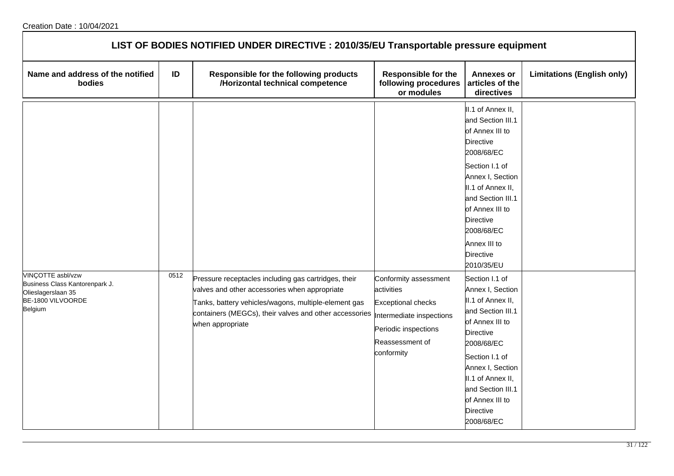| LIST OF BODIES NOTIFIED UNDER DIRECTIVE : 2010/35/EU Transportable pressure equipment                     |      |                                                                                                                                                                                                                                             |                                                                                                                                                       |                                                                                                                                                                                                                                                                             |                                   |  |  |
|-----------------------------------------------------------------------------------------------------------|------|---------------------------------------------------------------------------------------------------------------------------------------------------------------------------------------------------------------------------------------------|-------------------------------------------------------------------------------------------------------------------------------------------------------|-----------------------------------------------------------------------------------------------------------------------------------------------------------------------------------------------------------------------------------------------------------------------------|-----------------------------------|--|--|
| Name and address of the notified<br>bodies                                                                | ID   | Responsible for the following products<br>/Horizontal technical competence                                                                                                                                                                  | <b>Responsible for the</b><br>following procedures<br>or modules                                                                                      | <b>Annexes or</b><br>articles of the<br>directives                                                                                                                                                                                                                          | <b>Limitations (English only)</b> |  |  |
|                                                                                                           |      |                                                                                                                                                                                                                                             |                                                                                                                                                       | II.1 of Annex II,<br>and Section III.1<br>of Annex III to<br><b>Directive</b><br>2008/68/EC<br>Section I.1 of<br>Annex I, Section<br>II.1 of Annex II,<br>and Section III.1<br>of Annex III to<br>Directive<br>2008/68/EC<br>Annex III to<br><b>Directive</b><br>2010/35/EU |                                   |  |  |
| VINÇOTTE asbl/vzw<br>Business Class Kantorenpark J.<br>Olieslagerslaan 35<br>BE-1800 VILVOORDE<br>Belgium | 0512 | Pressure receptacles including gas cartridges, their<br>valves and other accessories when appropriate<br>Tanks, battery vehicles/wagons, multiple-element gas<br>containers (MEGCs), their valves and other accessories<br>when appropriate | Conformity assessment<br>activities<br><b>Exceptional checks</b><br>Intermediate inspections<br>Periodic inspections<br>Reassessment of<br>conformity | Section I.1 of<br>Annex I, Section<br>II.1 of Annex II,<br>and Section III.1<br>of Annex III to<br><b>Directive</b><br>2008/68/EC<br>Section I.1 of<br>Annex I, Section<br>II.1 of Annex II,<br>and Section III.1<br>of Annex III to<br><b>Directive</b><br>2008/68/EC      |                                   |  |  |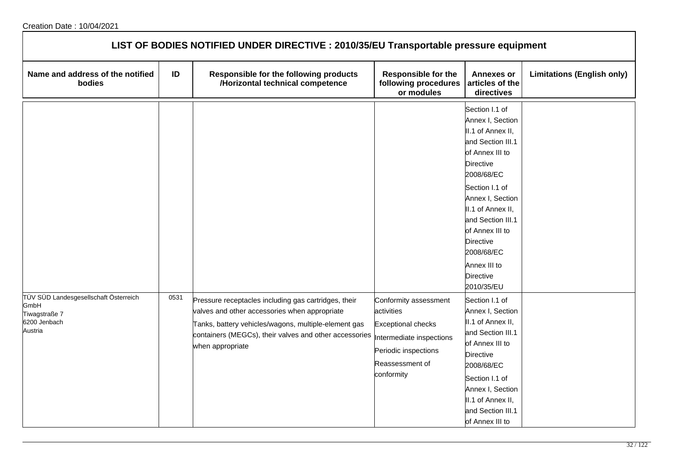| LIST OF BODIES NOTIFIED UNDER DIRECTIVE : 2010/35/EU Transportable pressure equipment     |      |                                                                                                                                                                                                                                             |                                                                                                                                                       |                                                                                                                                                                                                                                                                                                                          |                                   |  |  |
|-------------------------------------------------------------------------------------------|------|---------------------------------------------------------------------------------------------------------------------------------------------------------------------------------------------------------------------------------------------|-------------------------------------------------------------------------------------------------------------------------------------------------------|--------------------------------------------------------------------------------------------------------------------------------------------------------------------------------------------------------------------------------------------------------------------------------------------------------------------------|-----------------------------------|--|--|
| Name and address of the notified<br>bodies                                                | ID   | Responsible for the following products<br>/Horizontal technical competence                                                                                                                                                                  | Responsible for the<br>following procedures<br>or modules                                                                                             | <b>Annexes or</b><br>articles of the<br>directives                                                                                                                                                                                                                                                                       | <b>Limitations (English only)</b> |  |  |
|                                                                                           |      |                                                                                                                                                                                                                                             |                                                                                                                                                       | Section I.1 of<br>Annex I, Section<br>II.1 of Annex II,<br>and Section III.1<br>of Annex III to<br><b>Directive</b><br>2008/68/EC<br>Section I.1 of<br>Annex I, Section<br>II.1 of Annex II,<br>and Section III.1<br>of Annex III to<br><b>Directive</b><br>2008/68/EC<br>Annex III to<br><b>Directive</b><br>2010/35/EU |                                   |  |  |
| TÜV SÜD Landesgesellschaft Österreich<br>GmbH<br>Tiwagstraße 7<br>6200 Jenbach<br>Austria | 0531 | Pressure receptacles including gas cartridges, their<br>valves and other accessories when appropriate<br>Tanks, battery vehicles/wagons, multiple-element gas<br>containers (MEGCs), their valves and other accessories<br>when appropriate | Conformity assessment<br>activities<br><b>Exceptional checks</b><br>Intermediate inspections<br>Periodic inspections<br>Reassessment of<br>conformity | Section I.1 of<br>Annex I, Section<br>II.1 of Annex II,<br>and Section III.1<br>of Annex III to<br><b>Directive</b><br>2008/68/EC<br>Section I.1 of<br>Annex I, Section<br>II.1 of Annex II,<br>and Section III.1<br>of Annex III to                                                                                     |                                   |  |  |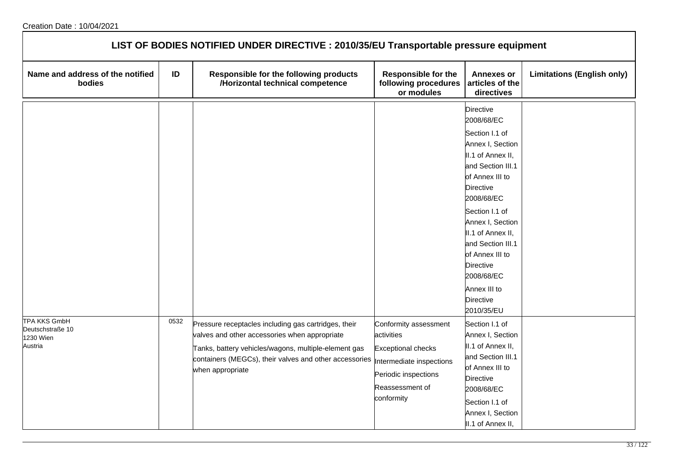| LIST OF BODIES NOTIFIED UNDER DIRECTIVE : 2010/35/EU Transportable pressure equipment |      |                                                                                                                                                                                                                                             |                                                                                                                                                       |                                                                                                                                                                                                                                                                                                                                       |                                   |  |  |
|---------------------------------------------------------------------------------------|------|---------------------------------------------------------------------------------------------------------------------------------------------------------------------------------------------------------------------------------------------|-------------------------------------------------------------------------------------------------------------------------------------------------------|---------------------------------------------------------------------------------------------------------------------------------------------------------------------------------------------------------------------------------------------------------------------------------------------------------------------------------------|-----------------------------------|--|--|
| Name and address of the notified<br>bodies                                            | ID   | Responsible for the following products<br>/Horizontal technical competence                                                                                                                                                                  | <b>Responsible for the</b><br>following procedures<br>or modules                                                                                      | <b>Annexes or</b><br>articles of the<br>directives                                                                                                                                                                                                                                                                                    | <b>Limitations (English only)</b> |  |  |
|                                                                                       |      |                                                                                                                                                                                                                                             |                                                                                                                                                       | Directive<br>2008/68/EC<br>Section I.1 of<br>Annex I, Section<br>II.1 of Annex II,<br>and Section III.1<br>of Annex III to<br>Directive<br>2008/68/EC<br>Section I.1 of<br>Annex I, Section<br>II.1 of Annex II,<br>and Section III.1<br>of Annex III to<br><b>Directive</b><br>2008/68/EC<br>Annex III to<br>Directive<br>2010/35/EU |                                   |  |  |
| <b>TPA KKS GmbH</b><br>Deutschstraße 10<br>1230 Wien<br>Austria                       | 0532 | Pressure receptacles including gas cartridges, their<br>valves and other accessories when appropriate<br>Tanks, battery vehicles/wagons, multiple-element gas<br>containers (MEGCs), their valves and other accessories<br>when appropriate | Conformity assessment<br>activities<br><b>Exceptional checks</b><br>Intermediate inspections<br>Periodic inspections<br>Reassessment of<br>conformity | Section I.1 of<br>Annex I, Section<br>II.1 of Annex II,<br>and Section III.1<br>of Annex III to<br>Directive<br>2008/68/EC<br>Section I.1 of<br>Annex I, Section<br>II.1 of Annex II,                                                                                                                                                 |                                   |  |  |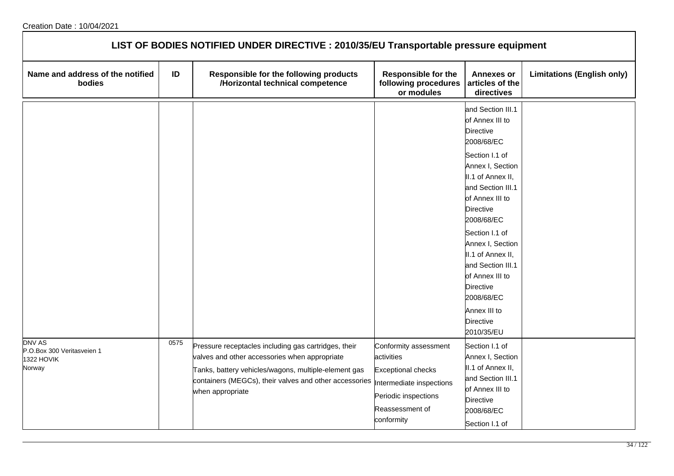| LIST OF BODIES NOTIFIED UNDER DIRECTIVE : 2010/35/EU Transportable pressure equipment |      |                                                                                                                                                                                                                                             |                                                                                                                                                       |                                                                                                                                                                                                                                                                                                                                                                                                    |                                   |  |  |
|---------------------------------------------------------------------------------------|------|---------------------------------------------------------------------------------------------------------------------------------------------------------------------------------------------------------------------------------------------|-------------------------------------------------------------------------------------------------------------------------------------------------------|----------------------------------------------------------------------------------------------------------------------------------------------------------------------------------------------------------------------------------------------------------------------------------------------------------------------------------------------------------------------------------------------------|-----------------------------------|--|--|
| Name and address of the notified<br>bodies                                            | ID   | Responsible for the following products<br>/Horizontal technical competence                                                                                                                                                                  | <b>Responsible for the</b><br>following procedures<br>or modules                                                                                      | <b>Annexes or</b><br>articles of the<br>directives                                                                                                                                                                                                                                                                                                                                                 | <b>Limitations (English only)</b> |  |  |
|                                                                                       |      |                                                                                                                                                                                                                                             |                                                                                                                                                       | and Section III.1<br>of Annex III to<br><b>Directive</b><br>2008/68/EC<br>Section I.1 of<br>Annex I, Section<br>II.1 of Annex II,<br>and Section III.1<br>of Annex III to<br><b>Directive</b><br>2008/68/EC<br>Section I.1 of<br>Annex I, Section<br>II.1 of Annex II,<br>and Section III.1<br>of Annex III to<br><b>Directive</b><br>2008/68/EC<br>Annex III to<br><b>Directive</b><br>2010/35/EU |                                   |  |  |
| <b>DNV AS</b><br>P.O.Box 300 Veritasveien 1<br>1322 HOVIK<br>Norway                   | 0575 | Pressure receptacles including gas cartridges, their<br>valves and other accessories when appropriate<br>Tanks, battery vehicles/wagons, multiple-element gas<br>containers (MEGCs), their valves and other accessories<br>when appropriate | Conformity assessment<br>activities<br><b>Exceptional checks</b><br>Intermediate inspections<br>Periodic inspections<br>Reassessment of<br>conformity | Section I.1 of<br>Annex I, Section<br>II.1 of Annex II,<br>and Section III.1<br>of Annex III to<br><b>Directive</b><br>2008/68/EC<br>Section I.1 of                                                                                                                                                                                                                                                |                                   |  |  |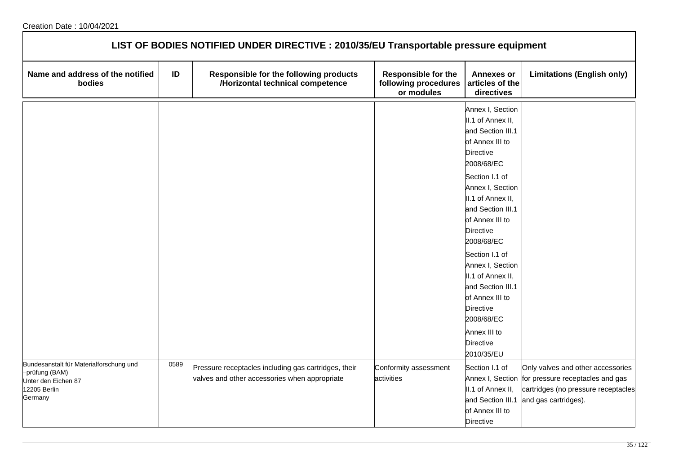| LIST OF BODIES NOTIFIED UNDER DIRECTIVE : 2010/35/EU Transportable pressure equipment                       |      |                                                                                                       |                                                                  |                                                                                                                                                                                                                                                                                                                                                                                                                                      |                                                                                                                                                       |  |
|-------------------------------------------------------------------------------------------------------------|------|-------------------------------------------------------------------------------------------------------|------------------------------------------------------------------|--------------------------------------------------------------------------------------------------------------------------------------------------------------------------------------------------------------------------------------------------------------------------------------------------------------------------------------------------------------------------------------------------------------------------------------|-------------------------------------------------------------------------------------------------------------------------------------------------------|--|
| Name and address of the notified<br>bodies                                                                  | ID   | Responsible for the following products<br>/Horizontal technical competence                            | <b>Responsible for the</b><br>following procedures<br>or modules | <b>Annexes or</b><br>articles of the<br>directives                                                                                                                                                                                                                                                                                                                                                                                   | <b>Limitations (English only)</b>                                                                                                                     |  |
|                                                                                                             |      |                                                                                                       |                                                                  | Annex I, Section<br>II.1 of Annex II,<br>and Section III.1<br>of Annex III to<br><b>Directive</b><br>2008/68/EC<br>Section I.1 of<br>Annex I, Section<br>II.1 of Annex II,<br>and Section III.1<br>of Annex III to<br><b>Directive</b><br>2008/68/EC<br>Section I.1 of<br>Annex I, Section<br>II.1 of Annex II,<br>and Section III.1<br>of Annex III to<br><b>Directive</b><br>2008/68/EC<br>Annex III to<br>Directive<br>2010/35/EU |                                                                                                                                                       |  |
| Bundesanstalt für Materialforschung und<br>-prüfung (BAM)<br>Unter den Eichen 87<br>12205 Berlin<br>Germany | 0589 | Pressure receptacles including gas cartridges, their<br>valves and other accessories when appropriate | Conformity assessment<br>activities                              | Section I.1 of<br>II.1 of Annex II,<br>and Section III.1<br>of Annex III to<br><b>Directive</b>                                                                                                                                                                                                                                                                                                                                      | Only valves and other accessories<br>Annex I, Section for pressure receptacles and gas<br>cartridges (no pressure receptacles<br>and gas cartridges). |  |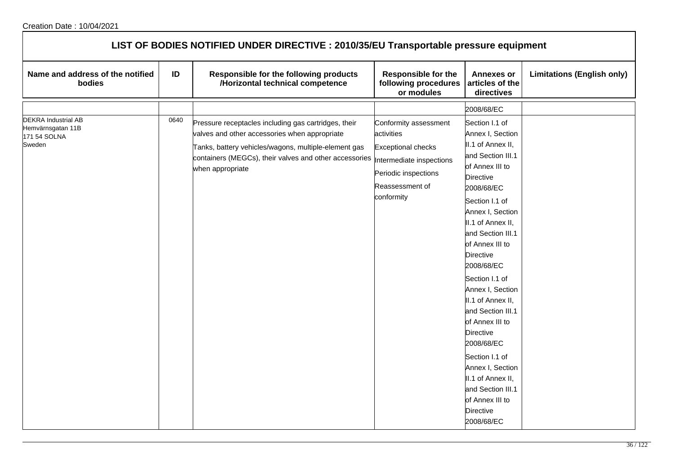| LIST OF BODIES NOTIFIED UNDER DIRECTIVE : 2010/35/EU Transportable pressure equipment |      |                                                                                                                                                                                                                                                                       |                                                                                                                           |                                                                                                                                                                                                                                                                                                                                                                                                                                                                                                                                                         |                                   |  |  |  |
|---------------------------------------------------------------------------------------|------|-----------------------------------------------------------------------------------------------------------------------------------------------------------------------------------------------------------------------------------------------------------------------|---------------------------------------------------------------------------------------------------------------------------|---------------------------------------------------------------------------------------------------------------------------------------------------------------------------------------------------------------------------------------------------------------------------------------------------------------------------------------------------------------------------------------------------------------------------------------------------------------------------------------------------------------------------------------------------------|-----------------------------------|--|--|--|
| Name and address of the notified<br>bodies                                            | ID   | Responsible for the following products<br>/Horizontal technical competence                                                                                                                                                                                            | <b>Responsible for the</b><br>following procedures<br>or modules                                                          | <b>Annexes or</b><br>articles of the<br>directives                                                                                                                                                                                                                                                                                                                                                                                                                                                                                                      | <b>Limitations (English only)</b> |  |  |  |
| <b>DEKRA Industrial AB</b><br>Hemvärnsgatan 11B<br>171 54 SOLNA<br>Sweden             | 0640 | Pressure receptacles including gas cartridges, their<br>valves and other accessories when appropriate<br>Tanks, battery vehicles/wagons, multiple-element gas<br>containers (MEGCs), their valves and other accessories  Intermediate inspections<br>when appropriate | Conformity assessment<br>activities<br><b>Exceptional checks</b><br>Periodic inspections<br>Reassessment of<br>conformity | 2008/68/EC<br>Section I.1 of<br>Annex I, Section<br>II.1 of Annex II,<br>and Section III.1<br>of Annex III to<br><b>Directive</b><br>2008/68/EC<br>Section I.1 of<br>Annex I, Section<br>II.1 of Annex II,<br>and Section III.1<br>of Annex III to<br>Directive<br>2008/68/EC<br>Section I.1 of<br>Annex I, Section<br>II.1 of Annex II,<br>and Section III.1<br>of Annex III to<br><b>Directive</b><br>2008/68/EC<br>Section I.1 of<br>Annex I, Section<br>II.1 of Annex II,<br>and Section III.1<br>of Annex III to<br><b>Directive</b><br>2008/68/EC |                                   |  |  |  |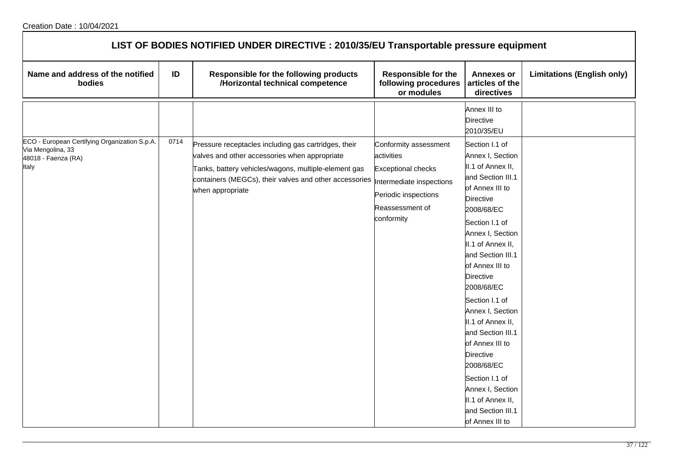| LIST OF BODIES NOTIFIED UNDER DIRECTIVE : 2010/35/EU Transportable pressure equipment              |      |                                                                                                                                                                                                                                             |                                                                                                                                                       |                                                                                                                                                                                                                                                                                                                                                                                                                                                                                                         |                                   |  |  |  |
|----------------------------------------------------------------------------------------------------|------|---------------------------------------------------------------------------------------------------------------------------------------------------------------------------------------------------------------------------------------------|-------------------------------------------------------------------------------------------------------------------------------------------------------|---------------------------------------------------------------------------------------------------------------------------------------------------------------------------------------------------------------------------------------------------------------------------------------------------------------------------------------------------------------------------------------------------------------------------------------------------------------------------------------------------------|-----------------------------------|--|--|--|
| Name and address of the notified<br>bodies                                                         | ID   | Responsible for the following products<br>/Horizontal technical competence                                                                                                                                                                  | <b>Responsible for the</b><br>following procedures<br>or modules                                                                                      | <b>Annexes or</b><br>articles of the<br>directives                                                                                                                                                                                                                                                                                                                                                                                                                                                      | <b>Limitations (English only)</b> |  |  |  |
|                                                                                                    |      |                                                                                                                                                                                                                                             |                                                                                                                                                       | Annex III to<br><b>Directive</b><br>2010/35/EU                                                                                                                                                                                                                                                                                                                                                                                                                                                          |                                   |  |  |  |
| ECO - European Certifying Organization S.p.A.<br>Via Mengolina, 33<br>48018 - Faenza (RA)<br>Italy | 0714 | Pressure receptacles including gas cartridges, their<br>valves and other accessories when appropriate<br>Tanks, battery vehicles/wagons, multiple-element gas<br>containers (MEGCs), their valves and other accessories<br>when appropriate | Conformity assessment<br>activities<br><b>Exceptional checks</b><br>Intermediate inspections<br>Periodic inspections<br>Reassessment of<br>conformity | Section I.1 of<br>Annex I, Section<br>II.1 of Annex II,<br>and Section III.1<br>of Annex III to<br><b>Directive</b><br>2008/68/EC<br>Section I.1 of<br>Annex I, Section<br>II.1 of Annex II,<br>and Section III.1<br>of Annex III to<br><b>Directive</b><br>2008/68/EC<br>Section I.1 of<br>Annex I, Section<br>II.1 of Annex II,<br>and Section III.1<br>of Annex III to<br>Directive<br>2008/68/EC<br>Section I.1 of<br>Annex I, Section<br>II.1 of Annex II,<br>and Section III.1<br>of Annex III to |                                   |  |  |  |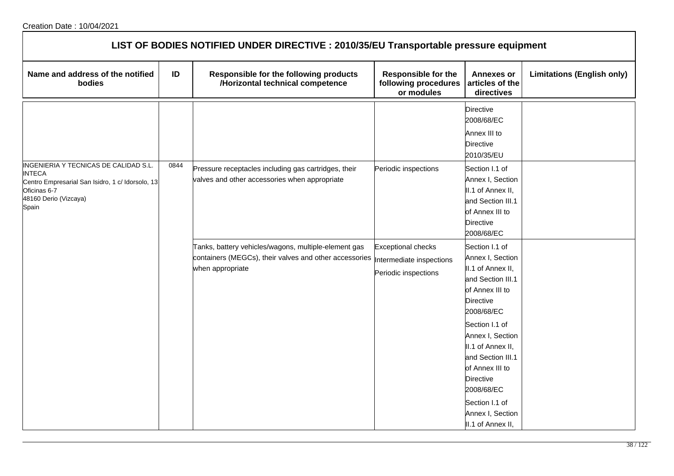| LIST OF BODIES NOTIFIED UNDER DIRECTIVE : 2010/35/EU Transportable pressure equipment                               |      |                                                                                                                                    |                                                                               |                                                                                                                                                                                                                                                                                                                            |                                   |  |
|---------------------------------------------------------------------------------------------------------------------|------|------------------------------------------------------------------------------------------------------------------------------------|-------------------------------------------------------------------------------|----------------------------------------------------------------------------------------------------------------------------------------------------------------------------------------------------------------------------------------------------------------------------------------------------------------------------|-----------------------------------|--|
| Name and address of the notified<br>bodies                                                                          | ID   | Responsible for the following products<br>/Horizontal technical competence                                                         | <b>Responsible for the</b><br>following procedures<br>or modules              | <b>Annexes or</b><br>articles of the<br>directives                                                                                                                                                                                                                                                                         | <b>Limitations (English only)</b> |  |
| INGENIERIA Y TECNICAS DE CALIDAD S.L.                                                                               | 0844 |                                                                                                                                    |                                                                               | Directive<br>2008/68/EC<br>Annex III to<br><b>Directive</b><br>2010/35/EU                                                                                                                                                                                                                                                  |                                   |  |
| <b>INTECA</b><br>Centro Empresarial San Isidro, 1 c/ Idorsolo, 13<br>Oficinas 6-7<br>48160 Derio (Vizcaya)<br>Spain |      | Pressure receptacles including gas cartridges, their<br>valves and other accessories when appropriate                              | Periodic inspections                                                          | Section I.1 of<br>Annex I, Section<br>II.1 of Annex II,<br>and Section III.1<br>of Annex III to<br><b>Directive</b><br>2008/68/EC                                                                                                                                                                                          |                                   |  |
|                                                                                                                     |      | Tanks, battery vehicles/wagons, multiple-element gas<br>containers (MEGCs), their valves and other accessories<br>when appropriate | <b>Exceptional checks</b><br>Intermediate inspections<br>Periodic inspections | Section I.1 of<br>Annex I, Section<br>II.1 of Annex II,<br>and Section III.1<br>of Annex III to<br>Directive<br>2008/68/EC<br>Section I.1 of<br>Annex I, Section<br>II.1 of Annex II,<br>and Section III.1<br>of Annex III to<br><b>Directive</b><br>2008/68/EC<br>Section I.1 of<br>Annex I, Section<br>II.1 of Annex II, |                                   |  |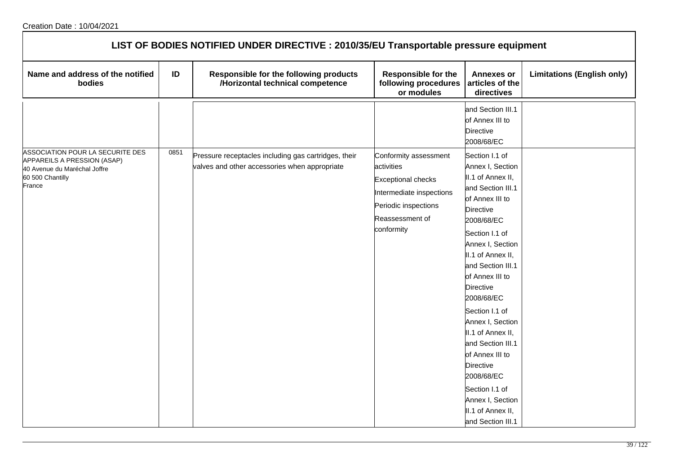| LIST OF BODIES NOTIFIED UNDER DIRECTIVE : 2010/35/EU Transportable pressure equipment                                         |      |                                                                                                       |                                                                                                                                                       |                                                                                                                                                                                                                                                                                                                                                                                                                                                                                      |                                   |  |  |
|-------------------------------------------------------------------------------------------------------------------------------|------|-------------------------------------------------------------------------------------------------------|-------------------------------------------------------------------------------------------------------------------------------------------------------|--------------------------------------------------------------------------------------------------------------------------------------------------------------------------------------------------------------------------------------------------------------------------------------------------------------------------------------------------------------------------------------------------------------------------------------------------------------------------------------|-----------------------------------|--|--|
| Name and address of the notified<br>bodies                                                                                    | ID   | Responsible for the following products<br>/Horizontal technical competence                            | <b>Responsible for the</b><br>following procedures<br>or modules                                                                                      | <b>Annexes or</b><br>articles of the<br>directives                                                                                                                                                                                                                                                                                                                                                                                                                                   | <b>Limitations (English only)</b> |  |  |
|                                                                                                                               |      |                                                                                                       |                                                                                                                                                       | and Section III.1<br>of Annex III to<br><b>Directive</b><br>2008/68/EC                                                                                                                                                                                                                                                                                                                                                                                                               |                                   |  |  |
| ASSOCIATION POUR LA SECURITE DES<br>APPAREILS A PRESSION (ASAP)<br>40 Avenue du Maréchal Joffre<br>60 500 Chantilly<br>France | 0851 | Pressure receptacles including gas cartridges, their<br>valves and other accessories when appropriate | Conformity assessment<br>activities<br><b>Exceptional checks</b><br>Intermediate inspections<br>Periodic inspections<br>Reassessment of<br>conformity | Section I.1 of<br>Annex I, Section<br>II.1 of Annex II,<br>and Section III.1<br>of Annex III to<br><b>Directive</b><br>2008/68/EC<br>Section I.1 of<br>Annex I, Section<br>II.1 of Annex II,<br>and Section III.1<br>of Annex III to<br><b>Directive</b><br>2008/68/EC<br>Section I.1 of<br>Annex I, Section<br>II.1 of Annex II,<br>and Section III.1<br>of Annex III to<br>Directive<br>2008/68/EC<br>Section I.1 of<br>Annex I, Section<br>II.1 of Annex II,<br>and Section III.1 |                                   |  |  |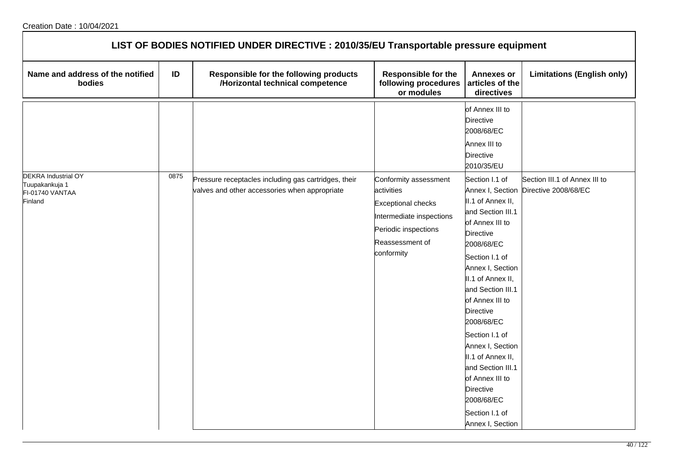| LIST OF BODIES NOTIFIED UNDER DIRECTIVE : 2010/35/EU Transportable pressure equipment |      |                                                                                                       |                                                                                                                                                       |                                                                                                                                                                                                                                                                                                                                                                                                                               |                                                                        |  |  |
|---------------------------------------------------------------------------------------|------|-------------------------------------------------------------------------------------------------------|-------------------------------------------------------------------------------------------------------------------------------------------------------|-------------------------------------------------------------------------------------------------------------------------------------------------------------------------------------------------------------------------------------------------------------------------------------------------------------------------------------------------------------------------------------------------------------------------------|------------------------------------------------------------------------|--|--|
| Name and address of the notified<br>bodies                                            | ID   | Responsible for the following products<br>/Horizontal technical competence                            | <b>Responsible for the</b><br>following procedures<br>or modules                                                                                      | <b>Annexes or</b><br>articles of the<br>directives                                                                                                                                                                                                                                                                                                                                                                            | <b>Limitations (English only)</b>                                      |  |  |
|                                                                                       |      |                                                                                                       |                                                                                                                                                       | of Annex III to<br><b>Directive</b><br>2008/68/EC<br>Annex III to<br><b>Directive</b><br>2010/35/EU                                                                                                                                                                                                                                                                                                                           |                                                                        |  |  |
| <b>DEKRA Industrial OY</b><br>Tuupakankuja 1<br>FI-01740 VANTAA<br>Finland            | 0875 | Pressure receptacles including gas cartridges, their<br>valves and other accessories when appropriate | Conformity assessment<br>activities<br><b>Exceptional checks</b><br>Intermediate inspections<br>Periodic inspections<br>Reassessment of<br>conformity | Section I.1 of<br>II.1 of Annex II,<br>and Section III.1<br>of Annex III to<br><b>Directive</b><br>2008/68/EC<br>Section I.1 of<br>Annex I, Section<br>II.1 of Annex II,<br>and Section III.1<br>of Annex III to<br><b>Directive</b><br>2008/68/EC<br>Section I.1 of<br>Annex I, Section<br>II.1 of Annex II,<br>and Section III.1<br>of Annex III to<br><b>Directive</b><br>2008/68/EC<br>Section I.1 of<br>Annex I, Section | Section III.1 of Annex III to<br>Annex I, Section Directive 2008/68/EC |  |  |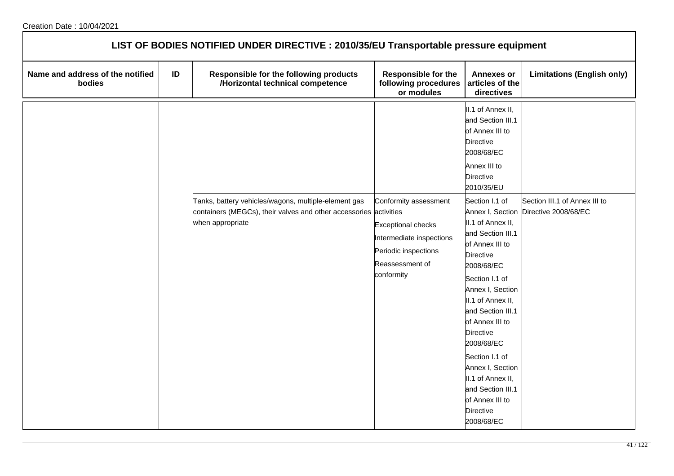| LIST OF BODIES NOTIFIED UNDER DIRECTIVE : 2010/35/EU Transportable pressure equipment |    |                                                                                                                                               |                                                                                                                                         |                                                                                                                                                                                                                                                                                                                                                                                         |                                                                        |  |  |  |
|---------------------------------------------------------------------------------------|----|-----------------------------------------------------------------------------------------------------------------------------------------------|-----------------------------------------------------------------------------------------------------------------------------------------|-----------------------------------------------------------------------------------------------------------------------------------------------------------------------------------------------------------------------------------------------------------------------------------------------------------------------------------------------------------------------------------------|------------------------------------------------------------------------|--|--|--|
| Name and address of the notified<br>bodies                                            | ID | Responsible for the following products<br>/Horizontal technical competence                                                                    | <b>Responsible for the</b><br>following procedures<br>or modules                                                                        | <b>Annexes or</b><br>articles of the<br>directives                                                                                                                                                                                                                                                                                                                                      | <b>Limitations (English only)</b>                                      |  |  |  |
|                                                                                       |    |                                                                                                                                               |                                                                                                                                         | II.1 of Annex II,<br>and Section III.1<br>of Annex III to<br><b>Directive</b><br>2008/68/EC<br>Annex III to<br><b>Directive</b><br>2010/35/EU                                                                                                                                                                                                                                           |                                                                        |  |  |  |
|                                                                                       |    | Tanks, battery vehicles/wagons, multiple-element gas<br>containers (MEGCs), their valves and other accessories activities<br>when appropriate | Conformity assessment<br><b>Exceptional checks</b><br>Intermediate inspections<br>Periodic inspections<br>Reassessment of<br>conformity | Section I.1 of<br>II.1 of Annex II,<br>and Section III.1<br>of Annex III to<br><b>Directive</b><br>2008/68/EC<br>Section I.1 of<br>Annex I, Section<br>II.1 of Annex II,<br>and Section III.1<br>of Annex III to<br><b>Directive</b><br>2008/68/EC<br>Section I.1 of<br>Annex I, Section<br>II.1 of Annex II,<br>and Section III.1<br>of Annex III to<br><b>Directive</b><br>2008/68/EC | Section III.1 of Annex III to<br>Annex I, Section Directive 2008/68/EC |  |  |  |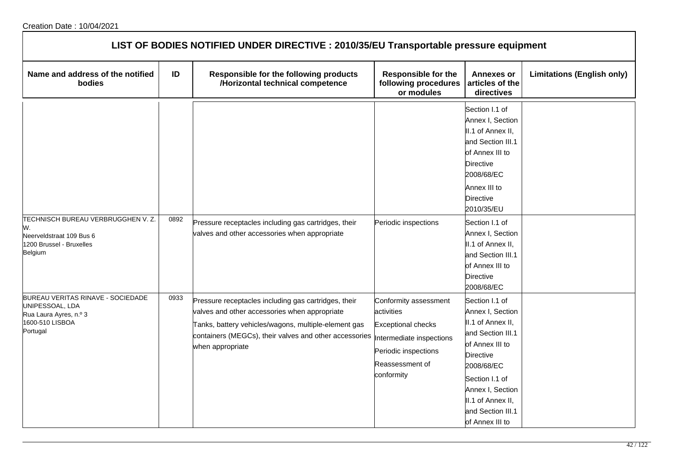| LIST OF BODIES NOTIFIED UNDER DIRECTIVE : 2010/35/EU Transportable pressure equipment                         |      |                                                                                                                                                                                                                                             |                                                                                                                                                       |                                                                                                                                                                                                                                                |                                   |  |  |
|---------------------------------------------------------------------------------------------------------------|------|---------------------------------------------------------------------------------------------------------------------------------------------------------------------------------------------------------------------------------------------|-------------------------------------------------------------------------------------------------------------------------------------------------------|------------------------------------------------------------------------------------------------------------------------------------------------------------------------------------------------------------------------------------------------|-----------------------------------|--|--|
| Name and address of the notified<br>bodies                                                                    | ID   | Responsible for the following products<br>/Horizontal technical competence                                                                                                                                                                  | <b>Responsible for the</b><br>following procedures<br>or modules                                                                                      | Annexes or<br>articles of the<br>directives                                                                                                                                                                                                    | <b>Limitations (English only)</b> |  |  |
| TECHNISCH BUREAU VERBRUGGHEN V. Z.<br>W.<br>Neerveldstraat 109 Bus 6<br>1200 Brussel - Bruxelles              | 0892 | Pressure receptacles including gas cartridges, their<br>valves and other accessories when appropriate                                                                                                                                       | Periodic inspections                                                                                                                                  | Section I.1 of<br>Annex I, Section<br>II.1 of Annex II,<br>and Section III.1<br>of Annex III to<br><b>Directive</b><br>2008/68/EC<br>Annex III to<br><b>Directive</b><br>2010/35/EU<br>Section I.1 of<br>Annex I, Section<br>II.1 of Annex II, |                                   |  |  |
| Belgium                                                                                                       |      |                                                                                                                                                                                                                                             |                                                                                                                                                       | and Section III.1<br>of Annex III to<br><b>Directive</b><br>2008/68/EC                                                                                                                                                                         |                                   |  |  |
| BUREAU VERITAS RINAVE - SOCIEDADE<br>UNIPESSOAL, LDA<br>Rua Laura Ayres, n.º 3<br>1600-510 LISBOA<br>Portugal | 0933 | Pressure receptacles including gas cartridges, their<br>valves and other accessories when appropriate<br>Tanks, battery vehicles/wagons, multiple-element gas<br>containers (MEGCs), their valves and other accessories<br>when appropriate | Conformity assessment<br>activities<br><b>Exceptional checks</b><br>Intermediate inspections<br>Periodic inspections<br>Reassessment of<br>conformity | Section I.1 of<br>Annex I, Section<br>II.1 of Annex II,<br>and Section III.1<br>of Annex III to<br><b>Directive</b><br>2008/68/EC<br>Section I.1 of<br>Annex I, Section<br>II.1 of Annex II,<br>and Section III.1<br>of Annex III to           |                                   |  |  |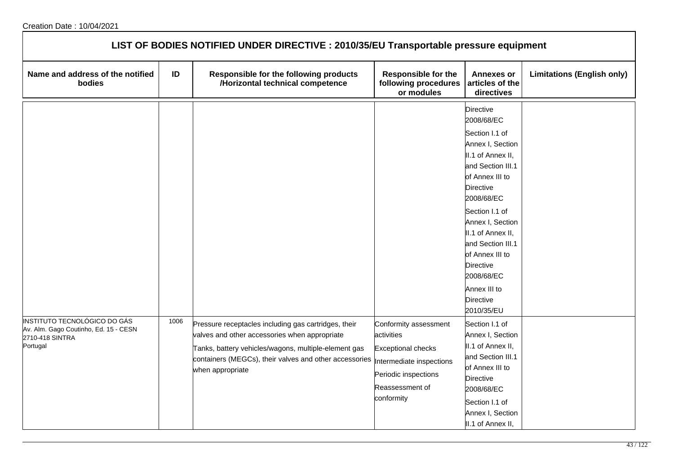| LIST OF BODIES NOTIFIED UNDER DIRECTIVE : 2010/35/EU Transportable pressure equipment                |      |                                                                                                                                                                                                                                             |                                                                                                                                                       |                                                                                                                                                                                                                                                                                                                                              |                                   |  |  |
|------------------------------------------------------------------------------------------------------|------|---------------------------------------------------------------------------------------------------------------------------------------------------------------------------------------------------------------------------------------------|-------------------------------------------------------------------------------------------------------------------------------------------------------|----------------------------------------------------------------------------------------------------------------------------------------------------------------------------------------------------------------------------------------------------------------------------------------------------------------------------------------------|-----------------------------------|--|--|
| Name and address of the notified<br>bodies                                                           | ID   | Responsible for the following products<br>/Horizontal technical competence                                                                                                                                                                  | <b>Responsible for the</b><br>following procedures<br>or modules                                                                                      | <b>Annexes or</b><br>articles of the<br>directives                                                                                                                                                                                                                                                                                           | <b>Limitations (English only)</b> |  |  |
|                                                                                                      |      |                                                                                                                                                                                                                                             |                                                                                                                                                       | Directive<br>2008/68/EC<br>Section I.1 of<br>Annex I, Section<br>II.1 of Annex II,<br>and Section III.1<br>of Annex III to<br><b>Directive</b><br>2008/68/EC<br>Section I.1 of<br>Annex I, Section<br>II.1 of Annex II,<br>and Section III.1<br>of Annex III to<br><b>Directive</b><br>2008/68/EC<br>Annex III to<br>Directive<br>2010/35/EU |                                   |  |  |
| INSTITUTO TECNOLÓGICO DO GÁS<br>Av. Alm. Gago Coutinho, Ed. 15 - CESN<br>2710-418 SINTRA<br>Portugal | 1006 | Pressure receptacles including gas cartridges, their<br>valves and other accessories when appropriate<br>Tanks, battery vehicles/wagons, multiple-element gas<br>containers (MEGCs), their valves and other accessories<br>when appropriate | Conformity assessment<br>activities<br><b>Exceptional checks</b><br>Intermediate inspections<br>Periodic inspections<br>Reassessment of<br>conformity | Section I.1 of<br>Annex I, Section<br>II.1 of Annex II,<br>and Section III.1<br>of Annex III to<br>Directive<br>2008/68/EC<br>Section I.1 of<br>Annex I, Section<br>II.1 of Annex II,                                                                                                                                                        |                                   |  |  |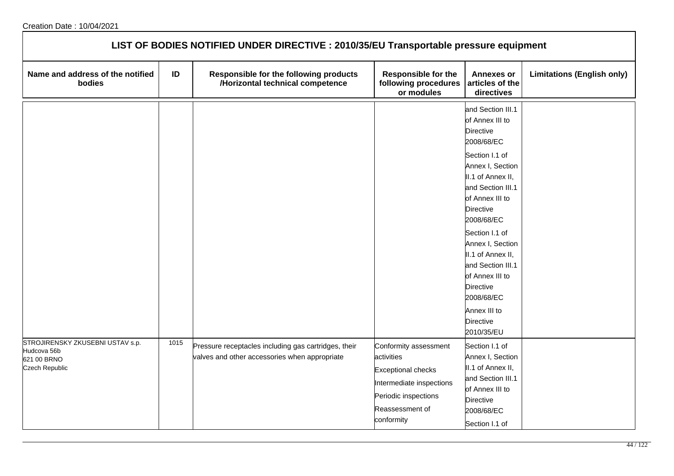| LIST OF BODIES NOTIFIED UNDER DIRECTIVE : 2010/35/EU Transportable pressure equipment |      |                                                                                                       |                                                                                                                                                       |                                                                                                                                                                                                                                                                                                                                                                                                    |                                   |  |  |  |
|---------------------------------------------------------------------------------------|------|-------------------------------------------------------------------------------------------------------|-------------------------------------------------------------------------------------------------------------------------------------------------------|----------------------------------------------------------------------------------------------------------------------------------------------------------------------------------------------------------------------------------------------------------------------------------------------------------------------------------------------------------------------------------------------------|-----------------------------------|--|--|--|
| Name and address of the notified<br>bodies                                            | ID   | Responsible for the following products<br>/Horizontal technical competence                            | <b>Responsible for the</b><br>following procedures<br>or modules                                                                                      | <b>Annexes or</b><br>articles of the<br>directives                                                                                                                                                                                                                                                                                                                                                 | <b>Limitations (English only)</b> |  |  |  |
|                                                                                       |      |                                                                                                       |                                                                                                                                                       | and Section III.1<br>of Annex III to<br><b>Directive</b><br>2008/68/EC<br>Section I.1 of<br>Annex I, Section<br>II.1 of Annex II,<br>and Section III.1<br>of Annex III to<br><b>Directive</b><br>2008/68/EC<br>Section I.1 of<br>Annex I, Section<br>II.1 of Annex II,<br>and Section III.1<br>of Annex III to<br><b>Directive</b><br>2008/68/EC<br>Annex III to<br><b>Directive</b><br>2010/35/EU |                                   |  |  |  |
| STROJIRENSKY ZKUSEBNI USTAV s.p.<br>Hudcova 56b<br>621 00 BRNO<br>Czech Republic      | 1015 | Pressure receptacles including gas cartridges, their<br>valves and other accessories when appropriate | Conformity assessment<br>activities<br><b>Exceptional checks</b><br>Intermediate inspections<br>Periodic inspections<br>Reassessment of<br>conformity | Section I.1 of<br>Annex I, Section<br>II.1 of Annex II,<br>and Section III.1<br>of Annex III to<br><b>Directive</b><br>2008/68/EC<br>Section I.1 of                                                                                                                                                                                                                                                |                                   |  |  |  |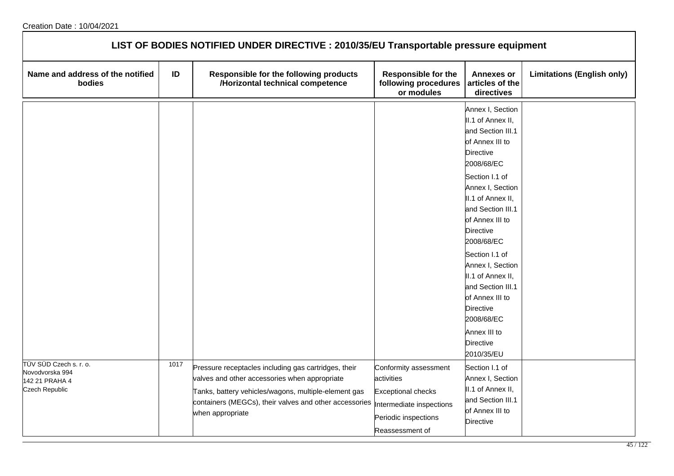| LIST OF BODIES NOTIFIED UNDER DIRECTIVE : 2010/35/EU Transportable pressure equipment |      |                                                                                                                                                                                                                                             |                                                                                                                                         |                                                                                                                                                                                                                                                                                                                                                                                                                                      |                                   |  |  |  |
|---------------------------------------------------------------------------------------|------|---------------------------------------------------------------------------------------------------------------------------------------------------------------------------------------------------------------------------------------------|-----------------------------------------------------------------------------------------------------------------------------------------|--------------------------------------------------------------------------------------------------------------------------------------------------------------------------------------------------------------------------------------------------------------------------------------------------------------------------------------------------------------------------------------------------------------------------------------|-----------------------------------|--|--|--|
| Name and address of the notified<br>bodies                                            | ID   | Responsible for the following products<br>/Horizontal technical competence                                                                                                                                                                  | <b>Responsible for the</b><br>following procedures<br>or modules                                                                        | <b>Annexes or</b><br>articles of the<br>directives                                                                                                                                                                                                                                                                                                                                                                                   | <b>Limitations (English only)</b> |  |  |  |
|                                                                                       |      |                                                                                                                                                                                                                                             |                                                                                                                                         | Annex I, Section<br>II.1 of Annex II,<br>and Section III.1<br>of Annex III to<br><b>Directive</b><br>2008/68/EC<br>Section I.1 of<br>Annex I, Section<br>II.1 of Annex II,<br>and Section III.1<br>of Annex III to<br><b>Directive</b><br>2008/68/EC<br>Section I.1 of<br>Annex I, Section<br>II.1 of Annex II,<br>and Section III.1<br>of Annex III to<br>Directive<br>2008/68/EC<br>Annex III to<br><b>Directive</b><br>2010/35/EU |                                   |  |  |  |
| TÜV SÜD Czech s. r. o.<br>Novodvorska 994<br>142 21 PRAHA 4<br>Czech Republic         | 1017 | Pressure receptacles including gas cartridges, their<br>valves and other accessories when appropriate<br>Tanks, battery vehicles/wagons, multiple-element gas<br>containers (MEGCs), their valves and other accessories<br>when appropriate | Conformity assessment<br>activities<br><b>Exceptional checks</b><br>Intermediate inspections<br>Periodic inspections<br>Reassessment of | Section I.1 of<br>Annex I, Section<br>II.1 of Annex II,<br>and Section III.1<br>of Annex III to<br><b>Directive</b>                                                                                                                                                                                                                                                                                                                  |                                   |  |  |  |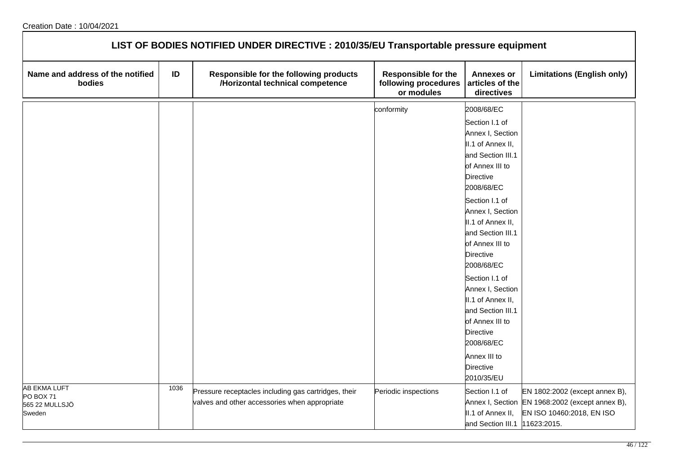| LIST OF BODIES NOTIFIED UNDER DIRECTIVE : 2010/35/EU Transportable pressure equipment |      |                                                                            |                                                                  |                                                    |                                                 |  |  |
|---------------------------------------------------------------------------------------|------|----------------------------------------------------------------------------|------------------------------------------------------------------|----------------------------------------------------|-------------------------------------------------|--|--|
| Name and address of the notified<br>bodies                                            | ID   | Responsible for the following products<br>/Horizontal technical competence | <b>Responsible for the</b><br>following procedures<br>or modules | <b>Annexes or</b><br>articles of the<br>directives | <b>Limitations (English only)</b>               |  |  |
|                                                                                       |      |                                                                            | conformity                                                       | 2008/68/EC                                         |                                                 |  |  |
|                                                                                       |      |                                                                            |                                                                  | Section I.1 of                                     |                                                 |  |  |
|                                                                                       |      |                                                                            |                                                                  | Annex I, Section                                   |                                                 |  |  |
|                                                                                       |      |                                                                            |                                                                  | II.1 of Annex II,                                  |                                                 |  |  |
|                                                                                       |      |                                                                            |                                                                  | and Section III.1                                  |                                                 |  |  |
|                                                                                       |      |                                                                            |                                                                  | of Annex III to                                    |                                                 |  |  |
|                                                                                       |      |                                                                            |                                                                  | Directive                                          |                                                 |  |  |
|                                                                                       |      |                                                                            |                                                                  | 2008/68/EC                                         |                                                 |  |  |
|                                                                                       |      |                                                                            |                                                                  | Section I.1 of                                     |                                                 |  |  |
|                                                                                       |      |                                                                            |                                                                  | Annex I, Section                                   |                                                 |  |  |
|                                                                                       |      |                                                                            |                                                                  | II.1 of Annex II,                                  |                                                 |  |  |
|                                                                                       |      |                                                                            |                                                                  | and Section III.1                                  |                                                 |  |  |
|                                                                                       |      |                                                                            |                                                                  | of Annex III to                                    |                                                 |  |  |
|                                                                                       |      |                                                                            |                                                                  | Directive                                          |                                                 |  |  |
|                                                                                       |      |                                                                            |                                                                  | 2008/68/EC                                         |                                                 |  |  |
|                                                                                       |      |                                                                            |                                                                  | Section I.1 of                                     |                                                 |  |  |
|                                                                                       |      |                                                                            |                                                                  | Annex I, Section                                   |                                                 |  |  |
|                                                                                       |      |                                                                            |                                                                  | II.1 of Annex II,                                  |                                                 |  |  |
|                                                                                       |      |                                                                            |                                                                  | and Section III.1                                  |                                                 |  |  |
|                                                                                       |      |                                                                            |                                                                  | of Annex III to                                    |                                                 |  |  |
|                                                                                       |      |                                                                            |                                                                  | Directive                                          |                                                 |  |  |
|                                                                                       |      |                                                                            |                                                                  | 2008/68/EC                                         |                                                 |  |  |
|                                                                                       |      |                                                                            |                                                                  | Annex III to                                       |                                                 |  |  |
|                                                                                       |      |                                                                            |                                                                  | Directive                                          |                                                 |  |  |
| AB EKMA LUFT                                                                          | 1036 |                                                                            |                                                                  | 2010/35/EU                                         |                                                 |  |  |
| PO BOX 71                                                                             |      | Pressure receptacles including gas cartridges, their                       | Periodic inspections                                             | Section I.1 of                                     | EN 1802:2002 (except annex B),                  |  |  |
| 565 22 MULLSJÖ                                                                        |      | valves and other accessories when appropriate                              |                                                                  |                                                    | Annex I, Section EN 1968:2002 (except annex B), |  |  |
| Sweden                                                                                |      |                                                                            |                                                                  | II.1 of Annex II,                                  | EN ISO 10460:2018, EN ISO                       |  |  |
|                                                                                       |      |                                                                            |                                                                  | and Section III.1 1623:2015.                       |                                                 |  |  |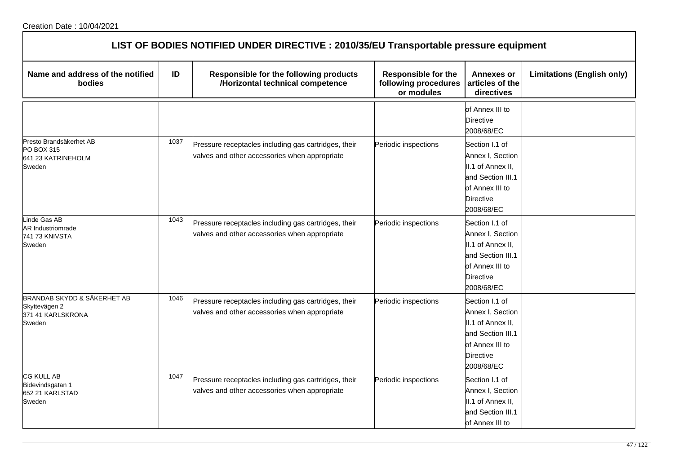| LIST OF BODIES NOTIFIED UNDER DIRECTIVE : 2010/35/EU Transportable pressure equipment |      |                                                                                                       |                                                                  |                                                                                                                                   |                                   |  |
|---------------------------------------------------------------------------------------|------|-------------------------------------------------------------------------------------------------------|------------------------------------------------------------------|-----------------------------------------------------------------------------------------------------------------------------------|-----------------------------------|--|
| Name and address of the notified<br>bodies                                            | ID   | Responsible for the following products<br>/Horizontal technical competence                            | <b>Responsible for the</b><br>following procedures<br>or modules | <b>Annexes or</b><br>articles of the<br>directives                                                                                | <b>Limitations (English only)</b> |  |
|                                                                                       |      |                                                                                                       |                                                                  | of Annex III to<br><b>Directive</b><br>2008/68/EC                                                                                 |                                   |  |
| Presto Brandsäkerhet AB<br><b>PO BOX 315</b><br>641 23 KATRINEHOLM<br>Sweden          | 1037 | Pressure receptacles including gas cartridges, their<br>valves and other accessories when appropriate | Periodic inspections                                             | Section I.1 of<br>Annex I, Section<br>II.1 of Annex II,<br>and Section III.1<br>of Annex III to<br><b>Directive</b><br>2008/68/EC |                                   |  |
| inde Gas AB<br><b>AR Industriomrade</b><br>741 73 KNIVSTA<br>Sweden                   | 1043 | Pressure receptacles including gas cartridges, their<br>valves and other accessories when appropriate | Periodic inspections                                             | Section I.1 of<br>Annex I, Section<br>II.1 of Annex II,<br>and Section III.1<br>of Annex III to<br><b>Directive</b><br>2008/68/EC |                                   |  |
| BRANDAB SKYDD & SÄKERHET AB<br>Skyttevägen 2<br>371 41 KARLSKRONA<br>Sweden           | 1046 | Pressure receptacles including gas cartridges, their<br>valves and other accessories when appropriate | Periodic inspections                                             | Section I.1 of<br>Annex I, Section<br>II.1 of Annex II,<br>and Section III.1<br>of Annex III to<br><b>Directive</b><br>2008/68/EC |                                   |  |
| CG KULL AB<br>Bidevindsgatan 1<br>652 21 KARLSTAD<br>Sweden                           | 1047 | Pressure receptacles including gas cartridges, their<br>valves and other accessories when appropriate | Periodic inspections                                             | Section I.1 of<br>Annex I, Section<br>II.1 of Annex II,<br>and Section III.1<br>of Annex III to                                   |                                   |  |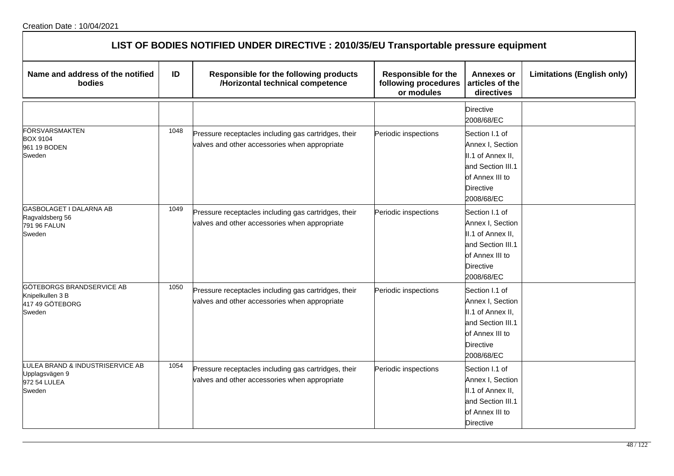| LIST OF BODIES NOTIFIED UNDER DIRECTIVE : 2010/35/EU Transportable pressure equipment |      |                                                                                                       |                                                                  |                                                                                                                                   |                                   |  |
|---------------------------------------------------------------------------------------|------|-------------------------------------------------------------------------------------------------------|------------------------------------------------------------------|-----------------------------------------------------------------------------------------------------------------------------------|-----------------------------------|--|
| Name and address of the notified<br>bodies                                            | ID   | Responsible for the following products<br>/Horizontal technical competence                            | <b>Responsible for the</b><br>following procedures<br>or modules | <b>Annexes or</b><br>articles of the<br>directives                                                                                | <b>Limitations (English only)</b> |  |
|                                                                                       |      |                                                                                                       |                                                                  | Directive<br>2008/68/EC                                                                                                           |                                   |  |
| <b>FÖRSVARSMAKTEN</b><br><b>BOX 9104</b><br>961 19 BODEN<br>Sweden                    | 1048 | Pressure receptacles including gas cartridges, their<br>valves and other accessories when appropriate | Periodic inspections                                             | Section I.1 of<br>Annex I, Section<br>II.1 of Annex II,<br>and Section III.1<br>of Annex III to<br><b>Directive</b><br>2008/68/EC |                                   |  |
| GASBOLAGET I DALARNA AB<br>Ragvaldsberg 56<br>791 96 FALUN<br>Sweden                  | 1049 | Pressure receptacles including gas cartridges, their<br>valves and other accessories when appropriate | Periodic inspections                                             | Section I.1 of<br>Annex I, Section<br>II.1 of Annex II,<br>and Section III.1<br>of Annex III to<br><b>Directive</b><br>2008/68/EC |                                   |  |
| <b>GÖTEBORGS BRANDSERVICE AB</b><br>Knipelkullen 3 B<br>417 49 GÖTEBORG<br>Sweden     | 1050 | Pressure receptacles including gas cartridges, their<br>valves and other accessories when appropriate | Periodic inspections                                             | Section I.1 of<br>Annex I, Section<br>II.1 of Annex II,<br>and Section III.1<br>of Annex III to<br>Directive<br>2008/68/EC        |                                   |  |
| LULEA BRAND & INDUSTRISERVICE AB<br>Upplagsvägen 9<br>972 54 LULEA<br>Sweden          | 1054 | Pressure receptacles including gas cartridges, their<br>valves and other accessories when appropriate | Periodic inspections                                             | Section I.1 of<br>Annex I, Section<br>II.1 of Annex II,<br>and Section III.1<br>of Annex III to<br><b>Directive</b>               |                                   |  |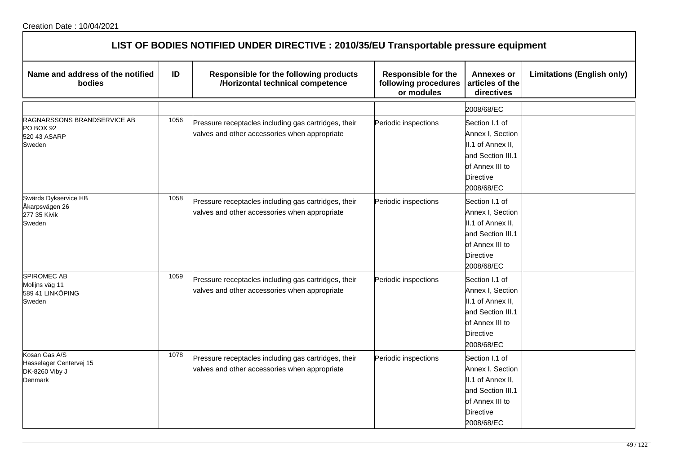| LIST OF BODIES NOTIFIED UNDER DIRECTIVE : 2010/35/EU Transportable pressure equipment |      |                                                                                                       |                                                                  |                                                                                                                                   |                                   |  |
|---------------------------------------------------------------------------------------|------|-------------------------------------------------------------------------------------------------------|------------------------------------------------------------------|-----------------------------------------------------------------------------------------------------------------------------------|-----------------------------------|--|
| Name and address of the notified<br>bodies                                            | ID   | Responsible for the following products<br>/Horizontal technical competence                            | <b>Responsible for the</b><br>following procedures<br>or modules | <b>Annexes or</b><br>articles of the<br>directives                                                                                | <b>Limitations (English only)</b> |  |
|                                                                                       |      |                                                                                                       |                                                                  | 2008/68/EC                                                                                                                        |                                   |  |
| RAGNARSSONS BRANDSERVICE AB<br>PO BOX 92<br>520 43 ASARP<br>Sweden                    | 1056 | Pressure receptacles including gas cartridges, their<br>valves and other accessories when appropriate | Periodic inspections                                             | Section I.1 of<br>Annex I, Section<br>II.1 of Annex II,<br>and Section III.1<br>of Annex III to<br><b>Directive</b><br>2008/68/EC |                                   |  |
| Swärds Dykservice HB<br>Åkarpsvägen 26<br>277 35 Kivik<br>Sweden                      | 1058 | Pressure receptacles including gas cartridges, their<br>valves and other accessories when appropriate | Periodic inspections                                             | Section I.1 of<br>Annex I, Section<br>II.1 of Annex II,<br>and Section III.1<br>of Annex III to<br><b>Directive</b><br>2008/68/EC |                                   |  |
| <b>SPIROMEC AB</b><br>Molijns väg 11<br>589 41 LINKÖPING<br>Sweden                    | 1059 | Pressure receptacles including gas cartridges, their<br>valves and other accessories when appropriate | Periodic inspections                                             | Section I.1 of<br>Annex I, Section<br>II.1 of Annex II,<br>and Section III.1<br>of Annex III to<br><b>Directive</b><br>2008/68/EC |                                   |  |
| Kosan Gas A/S<br>Hasselager Centervej 15<br>DK-8260 Viby J<br>Denmark                 | 1078 | Pressure receptacles including gas cartridges, their<br>valves and other accessories when appropriate | Periodic inspections                                             | Section I.1 of<br>Annex I, Section<br>II.1 of Annex II,<br>and Section III.1<br>of Annex III to<br><b>Directive</b><br>2008/68/EC |                                   |  |

٦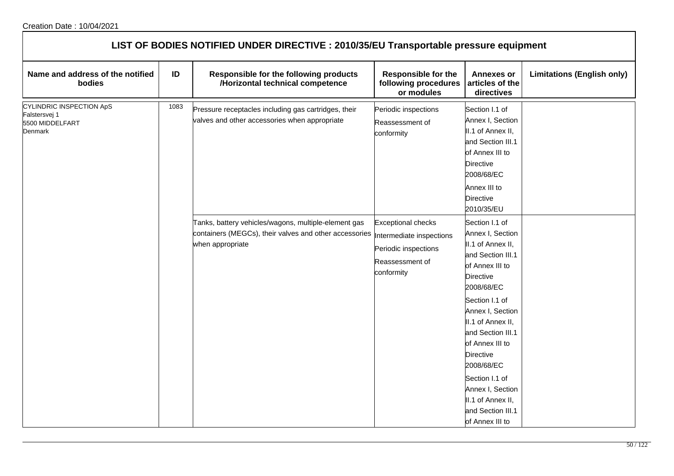| LIST OF BODIES NOTIFIED UNDER DIRECTIVE : 2010/35/EU Transportable pressure equipment |      |                                                                                                                                    |                                                                                                                |                                                                                                                                                                                     |                                   |  |  |
|---------------------------------------------------------------------------------------|------|------------------------------------------------------------------------------------------------------------------------------------|----------------------------------------------------------------------------------------------------------------|-------------------------------------------------------------------------------------------------------------------------------------------------------------------------------------|-----------------------------------|--|--|
| Name and address of the notified<br>bodies                                            | ID   | Responsible for the following products<br>/Horizontal technical competence                                                         | <b>Responsible for the</b><br>following procedures<br>or modules                                               | <b>Annexes or</b><br>articles of the<br>directives                                                                                                                                  | <b>Limitations (English only)</b> |  |  |
| <b>CYLINDRIC INSPECTION ApS</b><br>Falstersvej 1<br>5500 MIDDELFART<br>Denmark        | 1083 | Pressure receptacles including gas cartridges, their<br>valves and other accessories when appropriate                              | Periodic inspections<br>Reassessment of<br>conformity                                                          | Section I.1 of<br>Annex I, Section<br>II.1 of Annex II,<br>and Section III.1<br>of Annex III to<br><b>Directive</b><br>2008/68/EC<br>Annex III to<br><b>Directive</b><br>2010/35/EU |                                   |  |  |
|                                                                                       |      | Tanks, battery vehicles/wagons, multiple-element gas<br>containers (MEGCs), their valves and other accessories<br>when appropriate | <b>Exceptional checks</b><br>Intermediate inspections<br>Periodic inspections<br>Reassessment of<br>conformity | Section I.1 of<br>Annex I, Section<br>II.1 of Annex II,<br>and Section III.1<br>of Annex III to<br>Directive<br>2008/68/EC                                                          |                                   |  |  |
|                                                                                       |      |                                                                                                                                    |                                                                                                                | Section I.1 of<br>Annex I, Section<br>II.1 of Annex II,<br>and Section III.1<br>of Annex III to<br><b>Directive</b><br>2008/68/EC                                                   |                                   |  |  |
|                                                                                       |      |                                                                                                                                    |                                                                                                                | Section I.1 of<br>Annex I, Section<br>II.1 of Annex II,<br>and Section III.1<br>of Annex III to                                                                                     |                                   |  |  |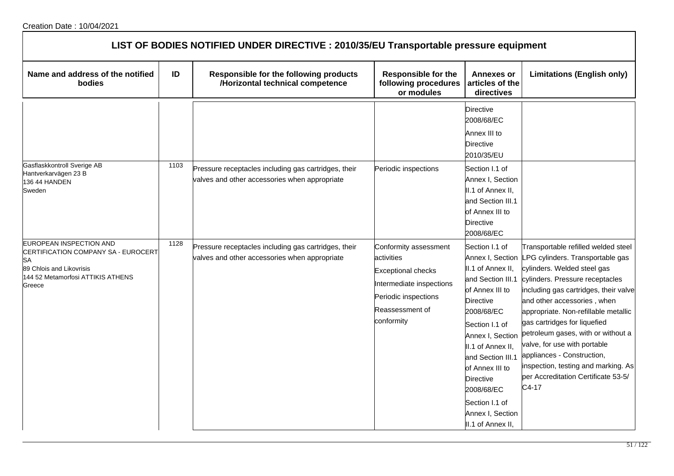| LIST OF BODIES NOTIFIED UNDER DIRECTIVE : 2010/35/EU Transportable pressure equipment                                                                  |      |                                                                                                       |                                                                                                                                                       |                                                                                                                                                                                                                                                                                                               |                                                                                                                                                                                                                                                                                                                                                                                                                                                                                                       |  |  |
|--------------------------------------------------------------------------------------------------------------------------------------------------------|------|-------------------------------------------------------------------------------------------------------|-------------------------------------------------------------------------------------------------------------------------------------------------------|---------------------------------------------------------------------------------------------------------------------------------------------------------------------------------------------------------------------------------------------------------------------------------------------------------------|-------------------------------------------------------------------------------------------------------------------------------------------------------------------------------------------------------------------------------------------------------------------------------------------------------------------------------------------------------------------------------------------------------------------------------------------------------------------------------------------------------|--|--|
| Name and address of the notified<br><b>bodies</b>                                                                                                      | ID   | Responsible for the following products<br>/Horizontal technical competence                            | <b>Responsible for the</b><br>following procedures<br>or modules                                                                                      | <b>Annexes or</b><br>articles of the<br>directives                                                                                                                                                                                                                                                            | <b>Limitations (English only)</b>                                                                                                                                                                                                                                                                                                                                                                                                                                                                     |  |  |
|                                                                                                                                                        |      |                                                                                                       |                                                                                                                                                       | <b>Directive</b><br>2008/68/EC<br>Annex III to<br><b>Directive</b><br>2010/35/EU                                                                                                                                                                                                                              |                                                                                                                                                                                                                                                                                                                                                                                                                                                                                                       |  |  |
| Gasflaskkontroll Sverige AB<br>Hantverkarvägen 23 B<br>136 44 HANDEN<br>Sweden                                                                         | 1103 | Pressure receptacles including gas cartridges, their<br>valves and other accessories when appropriate | Periodic inspections                                                                                                                                  | Section I.1 of<br>Annex I, Section<br>II.1 of Annex II,<br>and Section III.1<br>of Annex III to<br><b>Directive</b><br>2008/68/EC                                                                                                                                                                             |                                                                                                                                                                                                                                                                                                                                                                                                                                                                                                       |  |  |
| EUROPEAN INSPECTION AND<br>CERTIFICATION COMPANY SA - EUROCERT<br><b>SA</b><br>89 Chlois and Likovrisis<br>144 52 Metamorfosi ATTIKIS ATHENS<br>Greece | 1128 | Pressure receptacles including gas cartridges, their<br>valves and other accessories when appropriate | Conformity assessment<br>activities<br><b>Exceptional checks</b><br>Intermediate inspections<br>Periodic inspections<br>Reassessment of<br>conformity | Section I.1 of<br>II.1 of Annex II,<br>and Section III.1<br>of Annex III to<br><b>Directive</b><br>2008/68/EC<br>Section I.1 of<br>Annex I, Section<br>II.1 of Annex II,<br>and Section III.1<br>of Annex III to<br><b>Directive</b><br>2008/68/EC<br>Section I.1 of<br>Annex I, Section<br>II.1 of Annex II, | Transportable refilled welded steel<br>Annex I, Section LPG cylinders. Transportable gas<br>cylinders. Welded steel gas<br>cylinders. Pressure receptacles<br>including gas cartridges, their valve<br>and other accessories, when<br>appropriate. Non-refillable metallic<br>gas cartridges for liquefied<br>petroleum gases, with or without a<br>valve, for use with portable<br>appliances - Construction,<br>inspection, testing and marking. As<br>per Accreditation Certificate 53-5/<br>C4-17 |  |  |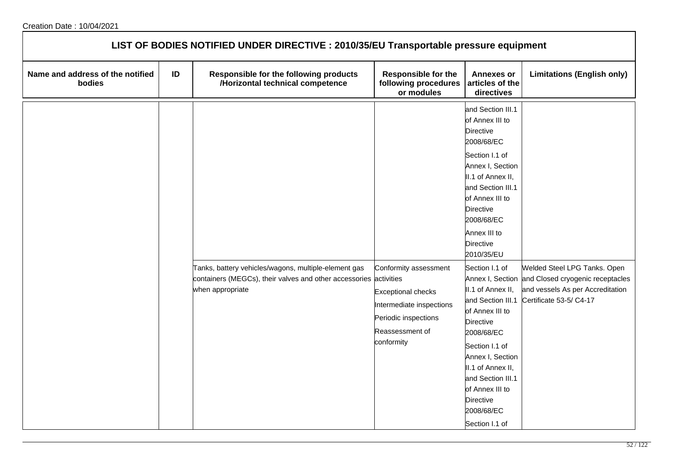| LIST OF BODIES NOTIFIED UNDER DIRECTIVE : 2010/35/EU Transportable pressure equipment |    |                                                                                       |                                                                                                                |                                                                                                                                                                                                                                                                                 |                                                                                                 |  |  |  |
|---------------------------------------------------------------------------------------|----|---------------------------------------------------------------------------------------|----------------------------------------------------------------------------------------------------------------|---------------------------------------------------------------------------------------------------------------------------------------------------------------------------------------------------------------------------------------------------------------------------------|-------------------------------------------------------------------------------------------------|--|--|--|
| Name and address of the notified<br>bodies                                            | ID | Responsible for the following products<br>/Horizontal technical competence            | <b>Responsible for the</b><br>following procedures<br>or modules                                               | <b>Annexes or</b><br>articles of the<br>directives                                                                                                                                                                                                                              | <b>Limitations (English only)</b>                                                               |  |  |  |
|                                                                                       |    | Tanks, battery vehicles/wagons, multiple-element gas                                  | Conformity assessment                                                                                          | and Section III.1<br>of Annex III to<br><b>Directive</b><br>2008/68/EC<br>Section I.1 of<br>Annex I, Section<br>II.1 of Annex II,<br>and Section III.1<br>of Annex III to<br><b>Directive</b><br>2008/68/EC<br>Annex III to<br><b>Directive</b><br>2010/35/EU<br>Section I.1 of | Welded Steel LPG Tanks. Open                                                                    |  |  |  |
|                                                                                       |    | containers (MEGCs), their valves and other accessories activities<br>when appropriate | <b>Exceptional checks</b><br>Intermediate inspections<br>Periodic inspections<br>Reassessment of<br>conformity | Annex I, Section<br>II.1 of Annex II,<br>and Section III.1<br>of Annex III to<br><b>Directive</b><br>2008/68/EC<br>Section I.1 of<br>Annex I, Section<br>II.1 of Annex II,<br>and Section III.1<br>of Annex III to<br><b>Directive</b><br>2008/68/EC<br>Section I.1 of          | and Closed cryogenic receptacles<br>and vessels As per Accreditation<br>Certificate 53-5/ C4-17 |  |  |  |

٦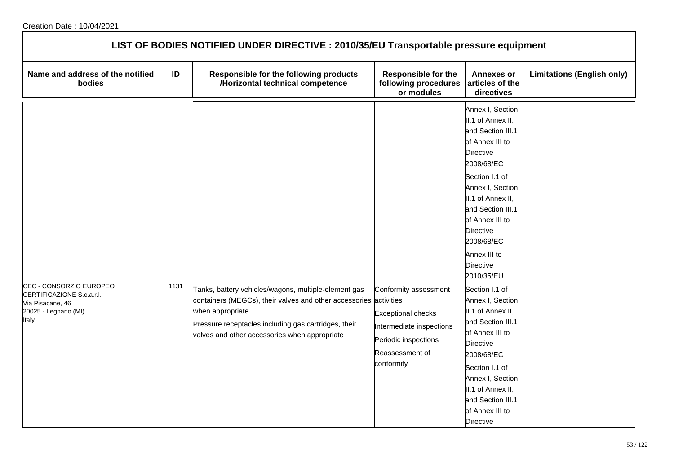| LIST OF BODIES NOTIFIED UNDER DIRECTIVE : 2010/35/EU Transportable pressure equipment                     |      |                                                                                                                                                                                                                                                        |                                                                                                                                         |                                                                                                                                                                                                                                                                                                        |                                   |  |  |  |
|-----------------------------------------------------------------------------------------------------------|------|--------------------------------------------------------------------------------------------------------------------------------------------------------------------------------------------------------------------------------------------------------|-----------------------------------------------------------------------------------------------------------------------------------------|--------------------------------------------------------------------------------------------------------------------------------------------------------------------------------------------------------------------------------------------------------------------------------------------------------|-----------------------------------|--|--|--|
| Name and address of the notified<br>bodies                                                                | ID   | Responsible for the following products<br>/Horizontal technical competence                                                                                                                                                                             | <b>Responsible for the</b><br>following procedures<br>or modules                                                                        | <b>Annexes or</b><br>articles of the<br>directives                                                                                                                                                                                                                                                     | <b>Limitations (English only)</b> |  |  |  |
|                                                                                                           |      |                                                                                                                                                                                                                                                        |                                                                                                                                         | Annex I, Section<br>II.1 of Annex II,<br>and Section III.1<br>of Annex III to<br><b>Directive</b><br>2008/68/EC<br>Section I.1 of<br>Annex I, Section<br>II.1 of Annex II,<br>and Section III.1<br>of Annex III to<br><b>Directive</b><br>2008/68/EC<br>Annex III to<br><b>Directive</b><br>2010/35/EU |                                   |  |  |  |
| CEC - CONSORZIO EUROPEO<br>CERTIFICAZIONE S.c.a.r.l.<br>Via Pisacane, 46<br>20025 - Legnano (MI)<br>Italy | 1131 | Tanks, battery vehicles/wagons, multiple-element gas<br>containers (MEGCs), their valves and other accessories activities<br>when appropriate<br>Pressure receptacles including gas cartridges, their<br>valves and other accessories when appropriate | Conformity assessment<br><b>Exceptional checks</b><br>Intermediate inspections<br>Periodic inspections<br>Reassessment of<br>conformity | Section I.1 of<br>Annex I, Section<br>II.1 of Annex II,<br>and Section III.1<br>of Annex III to<br><b>Directive</b><br>2008/68/EC<br>Section I.1 of<br>Annex I, Section<br>II.1 of Annex II,<br>and Section III.1<br>of Annex III to<br><b>Directive</b>                                               |                                   |  |  |  |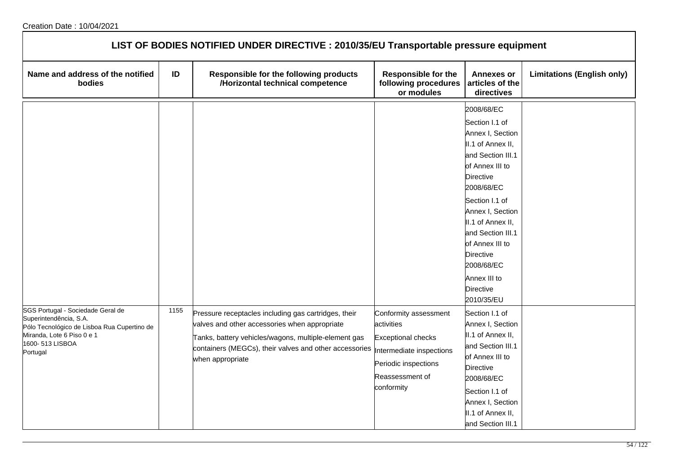| LIST OF BODIES NOTIFIED UNDER DIRECTIVE : 2010/35/EU Transportable pressure equipment                                                                                   |      |                                                                                                                                                                                                                                             |                                                                                                                                                       |                                                                                                                                                                                                                                                                                                                          |                                   |  |  |  |
|-------------------------------------------------------------------------------------------------------------------------------------------------------------------------|------|---------------------------------------------------------------------------------------------------------------------------------------------------------------------------------------------------------------------------------------------|-------------------------------------------------------------------------------------------------------------------------------------------------------|--------------------------------------------------------------------------------------------------------------------------------------------------------------------------------------------------------------------------------------------------------------------------------------------------------------------------|-----------------------------------|--|--|--|
| Name and address of the notified<br>bodies                                                                                                                              | ID   | Responsible for the following products<br>/Horizontal technical competence                                                                                                                                                                  | <b>Responsible for the</b><br>following procedures<br>or modules                                                                                      | <b>Annexes or</b><br>articles of the<br>directives                                                                                                                                                                                                                                                                       | <b>Limitations (English only)</b> |  |  |  |
|                                                                                                                                                                         |      |                                                                                                                                                                                                                                             |                                                                                                                                                       | 2008/68/EC<br>Section I.1 of<br>Annex I, Section<br>II.1 of Annex II,<br>and Section III.1<br>of Annex III to<br>Directive<br>2008/68/EC<br>Section I.1 of<br>Annex I, Section<br>II.1 of Annex II,<br>and Section III.1<br>of Annex III to<br>Directive<br>2008/68/EC<br>Annex III to<br><b>Directive</b><br>2010/35/EU |                                   |  |  |  |
| SGS Portugal - Sociedade Geral de<br>Superintendência, S.A.<br>Pólo Tecnológico de Lisboa Rua Cupertino de<br>Miranda, Lote 6 Piso 0 e 1<br>1600-513 LISBOA<br>Portugal | 1155 | Pressure receptacles including gas cartridges, their<br>valves and other accessories when appropriate<br>Tanks, battery vehicles/wagons, multiple-element gas<br>containers (MEGCs), their valves and other accessories<br>when appropriate | Conformity assessment<br>activities<br><b>Exceptional checks</b><br>Intermediate inspections<br>Periodic inspections<br>Reassessment of<br>conformity | Section I.1 of<br>Annex I, Section<br>II.1 of Annex II,<br>and Section III.1<br>of Annex III to<br><b>Directive</b><br>2008/68/EC<br>Section I.1 of<br>Annex I, Section<br>II.1 of Annex II,<br>and Section III.1                                                                                                        |                                   |  |  |  |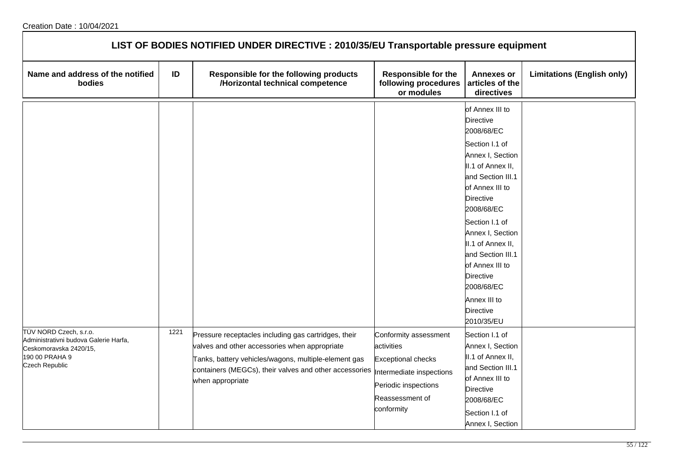| LIST OF BODIES NOTIFIED UNDER DIRECTIVE : 2010/35/EU Transportable pressure equipment                                         |      |                                                                                                                                                                                                                                             |                                                                                                                                                       |                                                                                                                                                                                                                                                                                                                                                                               |                                   |  |  |
|-------------------------------------------------------------------------------------------------------------------------------|------|---------------------------------------------------------------------------------------------------------------------------------------------------------------------------------------------------------------------------------------------|-------------------------------------------------------------------------------------------------------------------------------------------------------|-------------------------------------------------------------------------------------------------------------------------------------------------------------------------------------------------------------------------------------------------------------------------------------------------------------------------------------------------------------------------------|-----------------------------------|--|--|
| Name and address of the notified<br>bodies                                                                                    | ID   | Responsible for the following products<br>/Horizontal technical competence                                                                                                                                                                  | <b>Responsible for the</b><br>following procedures<br>or modules                                                                                      | <b>Annexes or</b><br>articles of the<br>directives                                                                                                                                                                                                                                                                                                                            | <b>Limitations (English only)</b> |  |  |
|                                                                                                                               |      |                                                                                                                                                                                                                                             |                                                                                                                                                       | of Annex III to<br><b>Directive</b><br>2008/68/EC<br>Section I.1 of<br>Annex I, Section<br>II.1 of Annex II,<br>and Section III.1<br>of Annex III to<br><b>Directive</b><br>2008/68/EC<br>Section I.1 of<br>Annex I, Section<br>II.1 of Annex II,<br>and Section III.1<br>of Annex III to<br><b>Directive</b><br>2008/68/EC<br>Annex III to<br><b>Directive</b><br>2010/35/EU |                                   |  |  |
| TÜV NORD Czech, s.r.o.<br>Administrativni budova Galerie Harfa,<br>Ceskomoravska 2420/15,<br>190 00 PRAHA 9<br>Czech Republic | 1221 | Pressure receptacles including gas cartridges, their<br>valves and other accessories when appropriate<br>Tanks, battery vehicles/wagons, multiple-element gas<br>containers (MEGCs), their valves and other accessories<br>when appropriate | Conformity assessment<br>activities<br><b>Exceptional checks</b><br>Intermediate inspections<br>Periodic inspections<br>Reassessment of<br>conformity | Section I.1 of<br>Annex I, Section<br>II.1 of Annex II,<br>and Section III.1<br>of Annex III to<br><b>Directive</b><br>2008/68/EC<br>Section I.1 of<br>Annex I, Section                                                                                                                                                                                                       |                                   |  |  |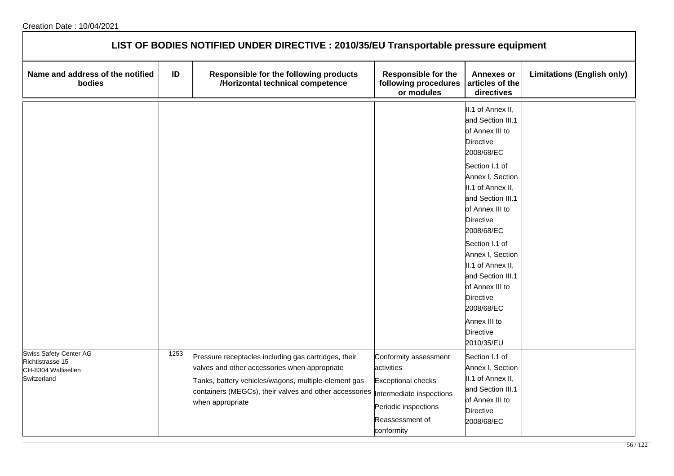| LIST OF BODIES NOTIFIED UNDER DIRECTIVE : 2010/35/EU Transportable pressure equipment |      |                                                                                                                                                                                                                                             |                                                                                                                                                       |                                                                                                                                                                                                                                                                                                                                                                                                           |                                   |  |  |
|---------------------------------------------------------------------------------------|------|---------------------------------------------------------------------------------------------------------------------------------------------------------------------------------------------------------------------------------------------|-------------------------------------------------------------------------------------------------------------------------------------------------------|-----------------------------------------------------------------------------------------------------------------------------------------------------------------------------------------------------------------------------------------------------------------------------------------------------------------------------------------------------------------------------------------------------------|-----------------------------------|--|--|
| Name and address of the notified<br>bodies                                            | ID   | Responsible for the following products<br>/Horizontal technical competence                                                                                                                                                                  | <b>Responsible for the</b><br>following procedures<br>or modules                                                                                      | <b>Annexes or</b><br>articles of the<br>directives                                                                                                                                                                                                                                                                                                                                                        | <b>Limitations (English only)</b> |  |  |
|                                                                                       |      |                                                                                                                                                                                                                                             |                                                                                                                                                       | II.1 of Annex II,<br>and Section III.1<br>of Annex III to<br><b>Directive</b><br>2008/68/EC<br>Section I.1 of<br>Annex I, Section<br>II.1 of Annex II,<br>and Section III.1<br>of Annex III to<br>Directive<br>2008/68/EC<br>Section I.1 of<br>Annex I, Section<br>II.1 of Annex II,<br>and Section III.1<br>of Annex III to<br><b>Directive</b><br>2008/68/EC<br>Annex III to<br>Directive<br>2010/35/EU |                                   |  |  |
| Swiss Safety Center AG<br>Richtistrasse 15<br>CH-8304 Wallisellen<br>Switzerland      | 1253 | Pressure receptacles including gas cartridges, their<br>valves and other accessories when appropriate<br>Tanks, battery vehicles/wagons, multiple-element gas<br>containers (MEGCs), their valves and other accessories<br>when appropriate | Conformity assessment<br>activities<br><b>Exceptional checks</b><br>Intermediate inspections<br>Periodic inspections<br>Reassessment of<br>conformity | Section I.1 of<br>Annex I, Section<br>II.1 of Annex II,<br>and Section III.1<br>of Annex III to<br><b>Directive</b><br>2008/68/EC                                                                                                                                                                                                                                                                         |                                   |  |  |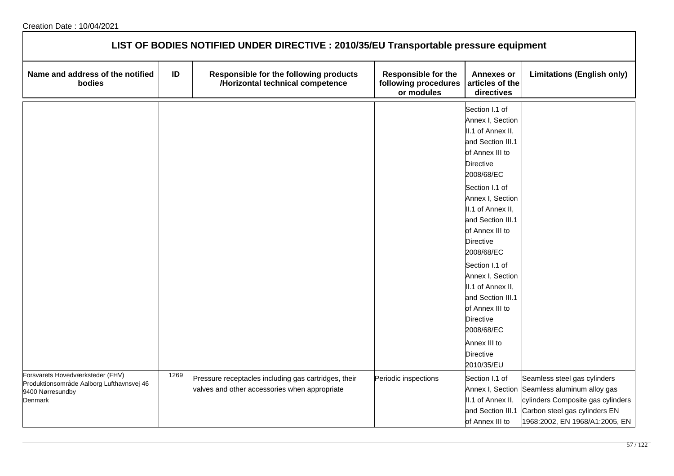| LIST OF BODIES NOTIFIED UNDER DIRECTIVE : 2010/35/EU Transportable pressure equipment                        |      |                                                                                                       |                                                                  |                                                                                                                                                                                                                                                                                                                                                                                                                                                               |                                                                                                                                                                                      |  |  |
|--------------------------------------------------------------------------------------------------------------|------|-------------------------------------------------------------------------------------------------------|------------------------------------------------------------------|---------------------------------------------------------------------------------------------------------------------------------------------------------------------------------------------------------------------------------------------------------------------------------------------------------------------------------------------------------------------------------------------------------------------------------------------------------------|--------------------------------------------------------------------------------------------------------------------------------------------------------------------------------------|--|--|
| Name and address of the notified<br>bodies                                                                   | ID   | Responsible for the following products<br>/Horizontal technical competence                            | <b>Responsible for the</b><br>following procedures<br>or modules | <b>Annexes or</b><br>articles of the<br>directives                                                                                                                                                                                                                                                                                                                                                                                                            | <b>Limitations (English only)</b>                                                                                                                                                    |  |  |
|                                                                                                              |      |                                                                                                       |                                                                  | Section I.1 of<br>Annex I, Section<br>II.1 of Annex II,<br>and Section III.1<br>of Annex III to<br><b>Directive</b><br>2008/68/EC<br>Section I.1 of<br>Annex I, Section<br>II.1 of Annex II,<br>and Section III.1<br>of Annex III to<br><b>Directive</b><br>2008/68/EC<br>Section I.1 of<br>Annex I, Section<br>II.1 of Annex II,<br>and Section III.1<br>of Annex III to<br><b>Directive</b><br>2008/68/EC<br>Annex III to<br><b>Directive</b><br>2010/35/EU |                                                                                                                                                                                      |  |  |
| Forsvarets Hovedværksteder (FHV)<br>Produktionsområde Aalborg Lufthavnsvej 46<br>9400 Nørresundby<br>Denmark | 1269 | Pressure receptacles including gas cartridges, their<br>valves and other accessories when appropriate | Periodic inspections                                             | Section I.1 of<br>II.1 of Annex II,<br>and Section III.1<br>of Annex III to                                                                                                                                                                                                                                                                                                                                                                                   | Seamless steel gas cylinders<br>Annex I, Section Seamless aluminum alloy gas<br>cylinders Composite gas cylinders<br>Carbon steel gas cylinders EN<br>1968:2002, EN 1968/A1:2005, EN |  |  |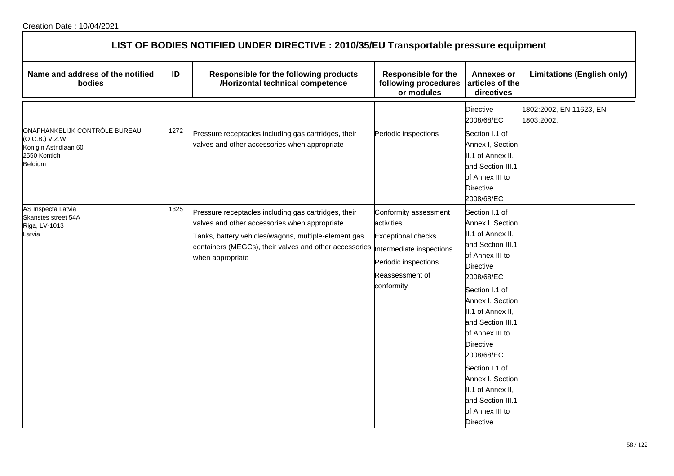| LIST OF BODIES NOTIFIED UNDER DIRECTIVE : 2010/35/EU Transportable pressure equipment                |      |                                                                                                                                                                                                                                             |                                                                                                                                                       |                                                                                                                                                                                                                                                                                                                                                                                               |                                       |  |  |
|------------------------------------------------------------------------------------------------------|------|---------------------------------------------------------------------------------------------------------------------------------------------------------------------------------------------------------------------------------------------|-------------------------------------------------------------------------------------------------------------------------------------------------------|-----------------------------------------------------------------------------------------------------------------------------------------------------------------------------------------------------------------------------------------------------------------------------------------------------------------------------------------------------------------------------------------------|---------------------------------------|--|--|
| Name and address of the notified<br>bodies                                                           | ID   | Responsible for the following products<br>/Horizontal technical competence                                                                                                                                                                  | <b>Responsible for the</b><br>following procedures<br>or modules                                                                                      | <b>Annexes or</b><br>articles of the<br>directives                                                                                                                                                                                                                                                                                                                                            | <b>Limitations (English only)</b>     |  |  |
|                                                                                                      |      |                                                                                                                                                                                                                                             |                                                                                                                                                       | <b>Directive</b><br>2008/68/EC                                                                                                                                                                                                                                                                                                                                                                | 1802:2002, EN 11623, EN<br>1803:2002. |  |  |
| ONAFHANKELIJK CONTRÔLE BUREAU<br>(O.C.B.) V.Z.W.<br>Konigin Astridlaan 60<br>2550 Kontich<br>Belgium | 1272 | Pressure receptacles including gas cartridges, their<br>valves and other accessories when appropriate                                                                                                                                       | Periodic inspections                                                                                                                                  | Section I.1 of<br>Annex I, Section<br>II.1 of Annex II,<br>and Section III.1<br>of Annex III to<br><b>Directive</b><br>2008/68/EC                                                                                                                                                                                                                                                             |                                       |  |  |
| AS Inspecta Latvia<br>Skanstes street 54A<br>Riga, LV-1013<br>atvia.                                 | 1325 | Pressure receptacles including gas cartridges, their<br>valves and other accessories when appropriate<br>Tanks, battery vehicles/wagons, multiple-element gas<br>containers (MEGCs), their valves and other accessories<br>when appropriate | Conformity assessment<br>activities<br><b>Exceptional checks</b><br>Intermediate inspections<br>Periodic inspections<br>Reassessment of<br>conformity | Section I.1 of<br>Annex I, Section<br>II.1 of Annex II,<br>and Section III.1<br>of Annex III to<br><b>Directive</b><br>2008/68/EC<br>Section I.1 of<br>Annex I, Section<br>II.1 of Annex II,<br>and Section III.1<br>of Annex III to<br><b>Directive</b><br>2008/68/EC<br>Section I.1 of<br>Annex I, Section<br>II.1 of Annex II,<br>and Section III.1<br>of Annex III to<br><b>Directive</b> |                                       |  |  |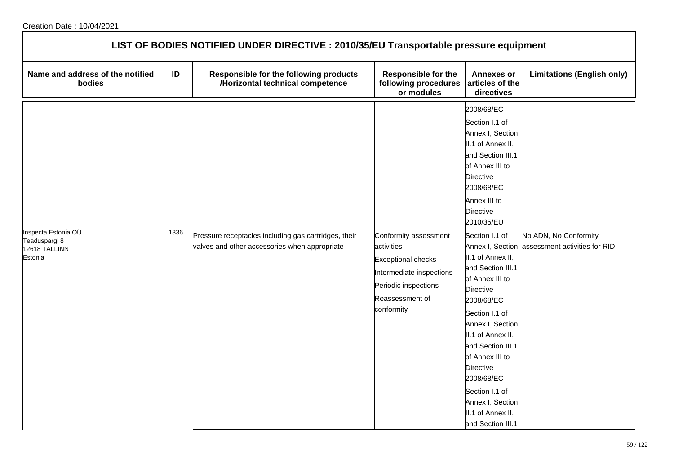| LIST OF BODIES NOTIFIED UNDER DIRECTIVE : 2010/35/EU Transportable pressure equipment |      |                                                                                                       |                                                                                                                                                       |                                                                                                                                                                                                                                                                                                                                                                                                                                                                                                                                  |                                                                         |  |  |  |
|---------------------------------------------------------------------------------------|------|-------------------------------------------------------------------------------------------------------|-------------------------------------------------------------------------------------------------------------------------------------------------------|----------------------------------------------------------------------------------------------------------------------------------------------------------------------------------------------------------------------------------------------------------------------------------------------------------------------------------------------------------------------------------------------------------------------------------------------------------------------------------------------------------------------------------|-------------------------------------------------------------------------|--|--|--|
| Name and address of the notified<br>bodies                                            | ID   | Responsible for the following products<br>/Horizontal technical competence                            | <b>Responsible for the</b><br>following procedures<br>or modules                                                                                      | <b>Annexes or</b><br>articles of the<br>directives                                                                                                                                                                                                                                                                                                                                                                                                                                                                               | <b>Limitations (English only)</b>                                       |  |  |  |
| Inspecta Estonia OÜ<br>Teaduspargi 8<br>12618 TALLINN<br>Estonia                      | 1336 | Pressure receptacles including gas cartridges, their<br>valves and other accessories when appropriate | Conformity assessment<br>activities<br><b>Exceptional checks</b><br>Intermediate inspections<br>Periodic inspections<br>Reassessment of<br>conformity | 2008/68/EC<br>Section I.1 of<br>Annex I, Section<br>II.1 of Annex II,<br>and Section III.1<br>of Annex III to<br><b>Directive</b><br>2008/68/EC<br>Annex III to<br><b>Directive</b><br>2010/35/EU<br>Section I.1 of<br>II.1 of Annex II,<br>and Section III.1<br>of Annex III to<br><b>Directive</b><br>2008/68/EC<br>Section I.1 of<br>Annex I, Section<br>II.1 of Annex II,<br>and Section III.1<br>of Annex III to<br>Directive<br>2008/68/EC<br>Section I.1 of<br>Annex I, Section<br>II.1 of Annex II,<br>and Section III.1 | No ADN, No Conformity<br>Annex I, Section assessment activities for RID |  |  |  |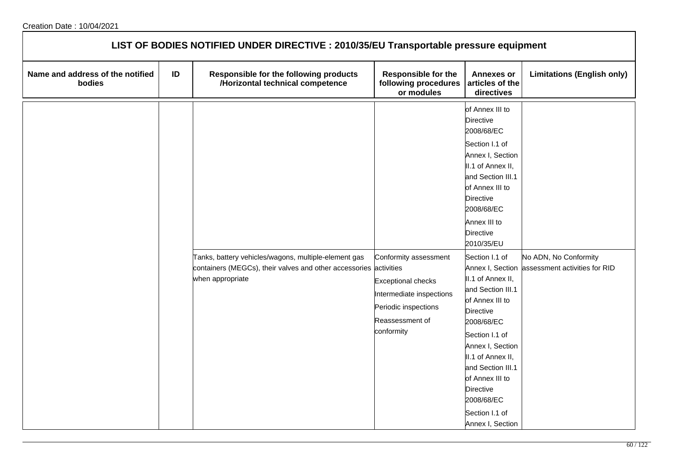| LIST OF BODIES NOTIFIED UNDER DIRECTIVE : 2010/35/EU Transportable pressure equipment |    |                                                                                                                                               |                                                                                                                                         |                                                                                                                                                                                                                                                                                                              |                                                        |  |  |  |
|---------------------------------------------------------------------------------------|----|-----------------------------------------------------------------------------------------------------------------------------------------------|-----------------------------------------------------------------------------------------------------------------------------------------|--------------------------------------------------------------------------------------------------------------------------------------------------------------------------------------------------------------------------------------------------------------------------------------------------------------|--------------------------------------------------------|--|--|--|
| Name and address of the notified<br>bodies                                            | ID | Responsible for the following products<br>/Horizontal technical competence                                                                    | <b>Responsible for the</b><br>following procedures<br>or modules                                                                        | <b>Annexes or</b><br>articles of the<br>directives                                                                                                                                                                                                                                                           | <b>Limitations (English only)</b>                      |  |  |  |
|                                                                                       |    |                                                                                                                                               |                                                                                                                                         | of Annex III to<br>Directive<br>2008/68/EC<br>Section I.1 of<br>Annex I, Section<br>II.1 of Annex II,<br>and Section III.1<br>of Annex III to<br><b>Directive</b><br>2008/68/EC<br>Annex III to<br><b>Directive</b><br>2010/35/EU                                                                            |                                                        |  |  |  |
|                                                                                       |    | Tanks, battery vehicles/wagons, multiple-element gas<br>containers (MEGCs), their valves and other accessories activities<br>when appropriate | Conformity assessment<br><b>Exceptional checks</b><br>Intermediate inspections<br>Periodic inspections<br>Reassessment of<br>conformity | Section I.1 of<br>Annex I, Section<br>II.1 of Annex II,<br>and Section III.1<br>of Annex III to<br><b>Directive</b><br>2008/68/EC<br>Section I.1 of<br>Annex I, Section<br>II.1 of Annex II,<br>and Section III.1<br>of Annex III to<br><b>Directive</b><br>2008/68/EC<br>Section I.1 of<br>Annex I, Section | No ADN, No Conformity<br>assessment activities for RID |  |  |  |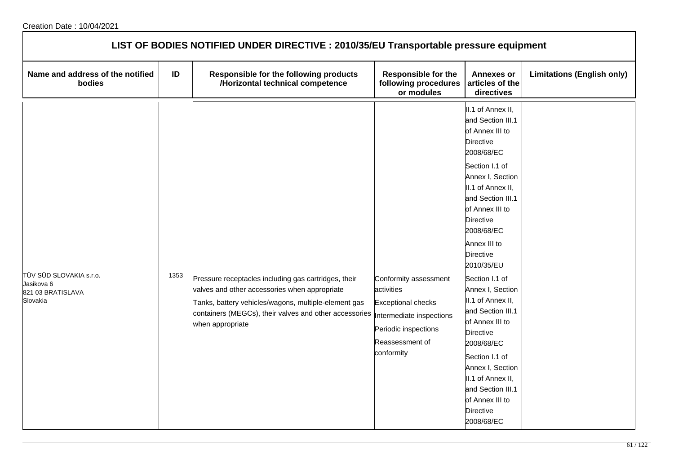| LIST OF BODIES NOTIFIED UNDER DIRECTIVE : 2010/35/EU Transportable pressure equipment |      |                                                                                                                                                                                                                                             |                                                                                                                                                       |                                                                                                                                                                                                                                                               |                                   |  |  |
|---------------------------------------------------------------------------------------|------|---------------------------------------------------------------------------------------------------------------------------------------------------------------------------------------------------------------------------------------------|-------------------------------------------------------------------------------------------------------------------------------------------------------|---------------------------------------------------------------------------------------------------------------------------------------------------------------------------------------------------------------------------------------------------------------|-----------------------------------|--|--|
| Name and address of the notified<br>bodies                                            | ID   | Responsible for the following products<br>/Horizontal technical competence                                                                                                                                                                  | <b>Responsible for the</b><br>following procedures<br>or modules                                                                                      | <b>Annexes or</b><br>articles of the<br>directives                                                                                                                                                                                                            | <b>Limitations (English only)</b> |  |  |
|                                                                                       |      |                                                                                                                                                                                                                                             |                                                                                                                                                       | II.1 of Annex II,<br>and Section III.1<br>of Annex III to<br>Directive<br>2008/68/EC<br>Section I.1 of<br>Annex I, Section<br>II.1 of Annex II,<br>and Section III.1<br>of Annex III to<br>Directive<br>2008/68/EC<br>Annex III to<br>Directive<br>2010/35/EU |                                   |  |  |
| TÜV SÜD SLOVAKIA s.r.o.<br>Jasikova 6<br>821 03 BRATISLAVA<br>Slovakia                | 1353 | Pressure receptacles including gas cartridges, their<br>valves and other accessories when appropriate<br>Tanks, battery vehicles/wagons, multiple-element gas<br>containers (MEGCs), their valves and other accessories<br>when appropriate | Conformity assessment<br>activities<br><b>Exceptional checks</b><br>Intermediate inspections<br>Periodic inspections<br>Reassessment of<br>conformity | Section I.1 of<br>Annex I, Section<br>II.1 of Annex II,<br>and Section III.1<br>of Annex III to<br>Directive<br>2008/68/EC<br>Section I.1 of<br>Annex I, Section<br>II.1 of Annex II,<br>and Section III.1<br>of Annex III to<br>Directive<br>2008/68/EC      |                                   |  |  |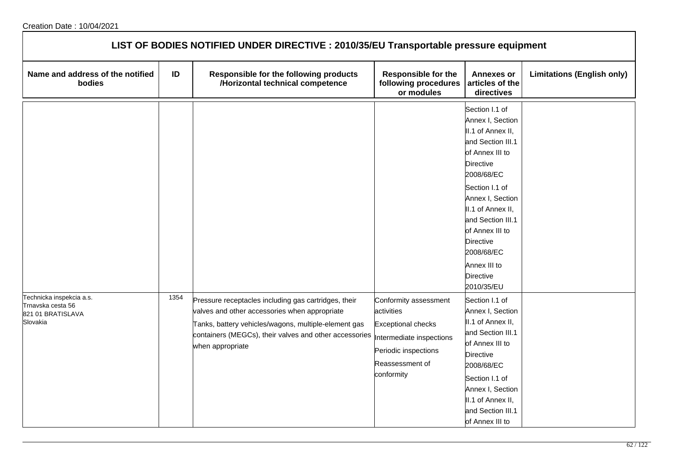| LIST OF BODIES NOTIFIED UNDER DIRECTIVE : 2010/35/EU Transportable pressure equipment |      |                                                                                                                                                                                                                                             |                                                                                                                                                       |                                                                                                                                                                                                                                                                                                                   |                                   |  |  |
|---------------------------------------------------------------------------------------|------|---------------------------------------------------------------------------------------------------------------------------------------------------------------------------------------------------------------------------------------------|-------------------------------------------------------------------------------------------------------------------------------------------------------|-------------------------------------------------------------------------------------------------------------------------------------------------------------------------------------------------------------------------------------------------------------------------------------------------------------------|-----------------------------------|--|--|
| Name and address of the notified<br>bodies                                            | ID   | Responsible for the following products<br>/Horizontal technical competence                                                                                                                                                                  | <b>Responsible for the</b><br>following procedures<br>or modules                                                                                      | <b>Annexes or</b><br>articles of the<br>directives                                                                                                                                                                                                                                                                | <b>Limitations (English only)</b> |  |  |
|                                                                                       |      |                                                                                                                                                                                                                                             |                                                                                                                                                       | Section I.1 of<br>Annex I, Section<br>II.1 of Annex II,<br>and Section III.1<br>of Annex III to<br>Directive<br>2008/68/EC<br>Section I.1 of<br>Annex I, Section<br>II.1 of Annex II,<br>and Section III.1<br>of Annex III to<br><b>Directive</b><br>2008/68/EC<br>Annex III to<br><b>Directive</b><br>2010/35/EU |                                   |  |  |
| Technicka inspekcia a.s.<br>Trnavska cesta 56<br>821 01 BRATISLAVA<br>Slovakia        | 1354 | Pressure receptacles including gas cartridges, their<br>valves and other accessories when appropriate<br>Tanks, battery vehicles/wagons, multiple-element gas<br>containers (MEGCs), their valves and other accessories<br>when appropriate | Conformity assessment<br>activities<br><b>Exceptional checks</b><br>Intermediate inspections<br>Periodic inspections<br>Reassessment of<br>conformity | Section I.1 of<br>Annex I, Section<br>II.1 of Annex II,<br>and Section III.1<br>of Annex III to<br><b>Directive</b><br>2008/68/EC<br>Section I.1 of<br>Annex I, Section<br>II.1 of Annex II,<br>and Section III.1<br>of Annex III to                                                                              |                                   |  |  |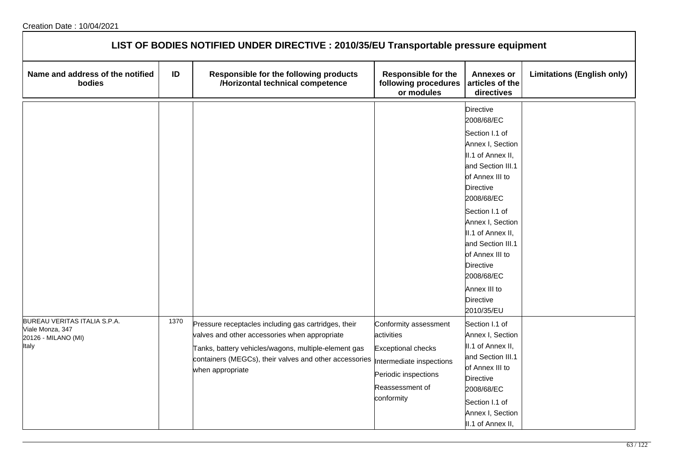| LIST OF BODIES NOTIFIED UNDER DIRECTIVE : 2010/35/EU Transportable pressure equipment |      |                                                                                                                                                                                                                                             |                                                                                                                                                       |                                                                                                                                                                                                                                                                                                                                       |                                   |  |  |
|---------------------------------------------------------------------------------------|------|---------------------------------------------------------------------------------------------------------------------------------------------------------------------------------------------------------------------------------------------|-------------------------------------------------------------------------------------------------------------------------------------------------------|---------------------------------------------------------------------------------------------------------------------------------------------------------------------------------------------------------------------------------------------------------------------------------------------------------------------------------------|-----------------------------------|--|--|
| Name and address of the notified<br>bodies                                            | ID   | Responsible for the following products<br>/Horizontal technical competence                                                                                                                                                                  | <b>Responsible for the</b><br>following procedures<br>or modules                                                                                      | <b>Annexes or</b><br>articles of the<br>directives                                                                                                                                                                                                                                                                                    | <b>Limitations (English only)</b> |  |  |
|                                                                                       |      |                                                                                                                                                                                                                                             |                                                                                                                                                       | <b>Directive</b><br>2008/68/EC<br>Section I.1 of<br>Annex I, Section<br>II.1 of Annex II,<br>and Section III.1<br>of Annex III to<br>Directive<br>2008/68/EC<br>Section I.1 of<br>Annex I, Section<br>II.1 of Annex II,<br>and Section III.1<br>of Annex III to<br>Directive<br>2008/68/EC<br>Annex III to<br>Directive<br>2010/35/EU |                                   |  |  |
| BUREAU VERITAS ITALIA S.P.A.<br>Viale Monza, 347<br>20126 - MILANO (MI)<br>Italy      | 1370 | Pressure receptacles including gas cartridges, their<br>valves and other accessories when appropriate<br>Tanks, battery vehicles/wagons, multiple-element gas<br>containers (MEGCs), their valves and other accessories<br>when appropriate | Conformity assessment<br>activities<br><b>Exceptional checks</b><br>Intermediate inspections<br>Periodic inspections<br>Reassessment of<br>conformity | Section I.1 of<br>Annex I, Section<br>II.1 of Annex II,<br>and Section III.1<br>of Annex III to<br>Directive<br>2008/68/EC<br>Section I.1 of<br>Annex I, Section<br>II.1 of Annex II,                                                                                                                                                 |                                   |  |  |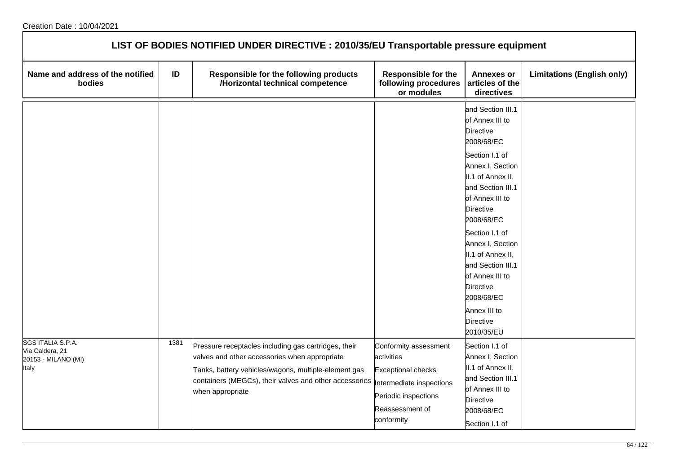| LIST OF BODIES NOTIFIED UNDER DIRECTIVE : 2010/35/EU Transportable pressure equipment |      |                                                                                                                                                                                                                                             |                                                                                                                                                       |                                                                                                                                                                                                                                                                                                                                                                                                    |                                   |  |  |
|---------------------------------------------------------------------------------------|------|---------------------------------------------------------------------------------------------------------------------------------------------------------------------------------------------------------------------------------------------|-------------------------------------------------------------------------------------------------------------------------------------------------------|----------------------------------------------------------------------------------------------------------------------------------------------------------------------------------------------------------------------------------------------------------------------------------------------------------------------------------------------------------------------------------------------------|-----------------------------------|--|--|
| Name and address of the notified<br>bodies                                            | ID   | Responsible for the following products<br>/Horizontal technical competence                                                                                                                                                                  | <b>Responsible for the</b><br>following procedures<br>or modules                                                                                      | <b>Annexes or</b><br>articles of the<br>directives                                                                                                                                                                                                                                                                                                                                                 | <b>Limitations (English only)</b> |  |  |
|                                                                                       |      |                                                                                                                                                                                                                                             |                                                                                                                                                       | and Section III.1<br>of Annex III to<br><b>Directive</b><br>2008/68/EC<br>Section I.1 of<br>Annex I, Section<br>II.1 of Annex II,<br>and Section III.1<br>of Annex III to<br><b>Directive</b><br>2008/68/EC<br>Section I.1 of<br>Annex I, Section<br>II.1 of Annex II,<br>and Section III.1<br>of Annex III to<br><b>Directive</b><br>2008/68/EC<br>Annex III to<br><b>Directive</b><br>2010/35/EU |                                   |  |  |
| SGS ITALIA S.P.A.<br>Via Caldera, 21<br>20153 - MILANO (MI)<br>Italy                  | 1381 | Pressure receptacles including gas cartridges, their<br>valves and other accessories when appropriate<br>Tanks, battery vehicles/wagons, multiple-element gas<br>containers (MEGCs), their valves and other accessories<br>when appropriate | Conformity assessment<br>activities<br><b>Exceptional checks</b><br>Intermediate inspections<br>Periodic inspections<br>Reassessment of<br>conformity | Section I.1 of<br>Annex I, Section<br>II.1 of Annex II,<br>and Section III.1<br>of Annex III to<br><b>Directive</b><br>2008/68/EC<br>Section I.1 of                                                                                                                                                                                                                                                |                                   |  |  |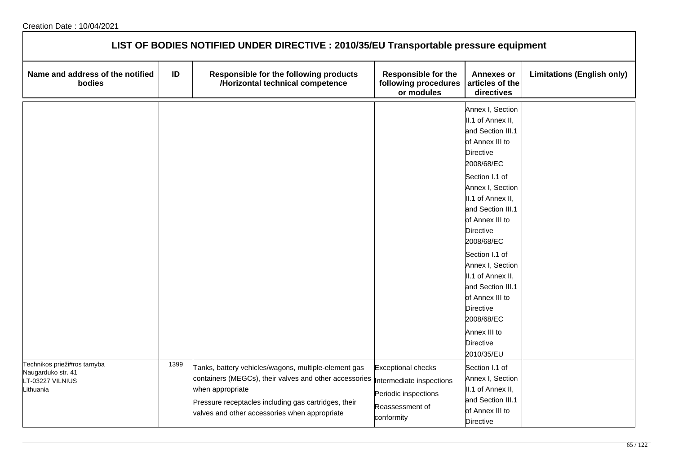| LIST OF BODIES NOTIFIED UNDER DIRECTIVE : 2010/35/EU Transportable pressure equipment |      |                                                                                                                                                                                                                                             |                                                                                                                |                                                                                                                                                                                                                                                                                                                                                                                                                 |                                   |  |  |
|---------------------------------------------------------------------------------------|------|---------------------------------------------------------------------------------------------------------------------------------------------------------------------------------------------------------------------------------------------|----------------------------------------------------------------------------------------------------------------|-----------------------------------------------------------------------------------------------------------------------------------------------------------------------------------------------------------------------------------------------------------------------------------------------------------------------------------------------------------------------------------------------------------------|-----------------------------------|--|--|
| Name and address of the notified<br>bodies                                            | ID   | Responsible for the following products<br>/Horizontal technical competence                                                                                                                                                                  | <b>Responsible for the</b><br>following procedures<br>or modules                                               | <b>Annexes or</b><br>articles of the<br>directives                                                                                                                                                                                                                                                                                                                                                              | <b>Limitations (English only)</b> |  |  |
|                                                                                       |      |                                                                                                                                                                                                                                             |                                                                                                                | Annex I, Section<br>II.1 of Annex II,<br>and Section III.1<br>of Annex III to<br>Directive<br>2008/68/EC<br>Section I.1 of<br>Annex I, Section<br>II.1 of Annex II,<br>and Section III.1<br>of Annex III to<br>Directive<br>2008/68/EC<br>Section I.1 of<br>Annex I, Section<br>II.1 of Annex II,<br>and Section III.1<br>of Annex III to<br>Directive<br>2008/68/EC<br>Annex III to<br>Directive<br>2010/35/EU |                                   |  |  |
| Technikos prieži#ros tarnyba<br>Naugarduko str. 41<br>LT-03227 VILNIUS<br>Lithuania   | 1399 | Tanks, battery vehicles/wagons, multiple-element gas<br>containers (MEGCs), their valves and other accessories<br>when appropriate<br>Pressure receptacles including gas cartridges, their<br>valves and other accessories when appropriate | <b>Exceptional checks</b><br>Intermediate inspections<br>Periodic inspections<br>Reassessment of<br>conformity | Section I.1 of<br>Annex I, Section<br>II.1 of Annex II,<br>and Section III.1<br>of Annex III to<br>Directive                                                                                                                                                                                                                                                                                                    |                                   |  |  |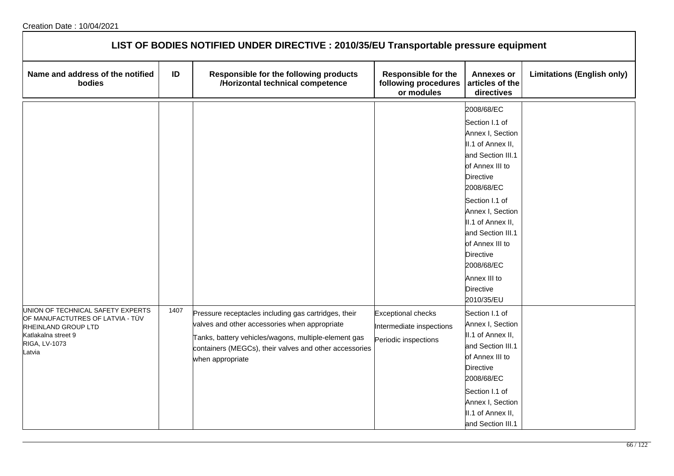| LIST OF BODIES NOTIFIED UNDER DIRECTIVE : 2010/35/EU Transportable pressure equipment                                                          |      |                                                                                                                                                                                                                                             |                                                                               |                                                                                                                                                                                                                                                                                                                   |                                   |  |  |
|------------------------------------------------------------------------------------------------------------------------------------------------|------|---------------------------------------------------------------------------------------------------------------------------------------------------------------------------------------------------------------------------------------------|-------------------------------------------------------------------------------|-------------------------------------------------------------------------------------------------------------------------------------------------------------------------------------------------------------------------------------------------------------------------------------------------------------------|-----------------------------------|--|--|
| Name and address of the notified<br>bodies                                                                                                     | ID   | Responsible for the following products<br>/Horizontal technical competence                                                                                                                                                                  | <b>Responsible for the</b><br>following procedures<br>or modules              | <b>Annexes or</b><br>articles of the<br>directives                                                                                                                                                                                                                                                                | <b>Limitations (English only)</b> |  |  |
|                                                                                                                                                |      |                                                                                                                                                                                                                                             |                                                                               | 2008/68/EC<br>Section I.1 of<br>Annex I, Section<br>II.1 of Annex II,<br>and Section III.1<br>of Annex III to<br>Directive<br>2008/68/EC<br>Section I.1 of<br>Annex I, Section<br>II.1 of Annex II,<br>and Section III.1<br>of Annex III to<br>Directive<br>2008/68/EC<br>Annex III to<br>Directive<br>2010/35/EU |                                   |  |  |
| UNION OF TECHNICAL SAFETY EXPERTS<br>OF MANUFACTUTRES OF LATVIA - TÜV<br>RHEINLAND GROUP LTD<br>Katlakalna street 9<br>RIGA, LV-1073<br>Latvia | 1407 | Pressure receptacles including gas cartridges, their<br>valves and other accessories when appropriate<br>Tanks, battery vehicles/wagons, multiple-element gas<br>containers (MEGCs), their valves and other accessories<br>when appropriate | <b>Exceptional checks</b><br>Intermediate inspections<br>Periodic inspections | Section I.1 of<br>Annex I, Section<br>II.1 of Annex II,<br>and Section III.1<br>of Annex III to<br><b>Directive</b><br>2008/68/EC<br>Section I.1 of<br>Annex I, Section<br>II.1 of Annex II,<br>and Section III.1                                                                                                 |                                   |  |  |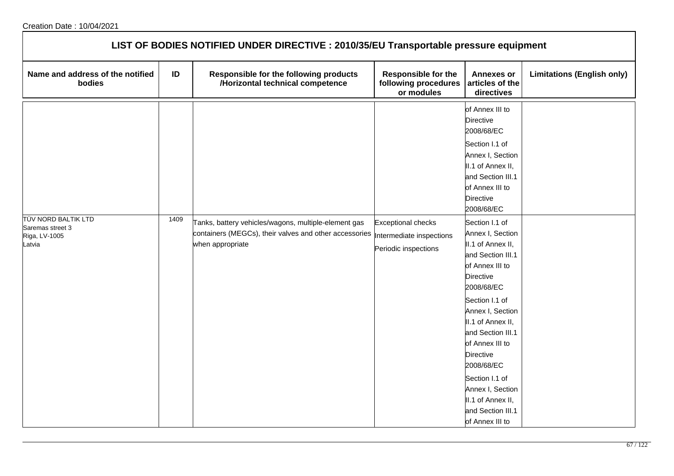| LIST OF BODIES NOTIFIED UNDER DIRECTIVE : 2010/35/EU Transportable pressure equipment |      |                                                                                                                                    |                                                                               |                                                                                                                                                                                        |                                   |  |  |
|---------------------------------------------------------------------------------------|------|------------------------------------------------------------------------------------------------------------------------------------|-------------------------------------------------------------------------------|----------------------------------------------------------------------------------------------------------------------------------------------------------------------------------------|-----------------------------------|--|--|
| Name and address of the notified<br>bodies                                            | ID   | Responsible for the following products<br>/Horizontal technical competence                                                         | <b>Responsible for the</b><br>following procedures<br>or modules              | <b>Annexes or</b><br>articles of the<br>directives                                                                                                                                     | <b>Limitations (English only)</b> |  |  |
|                                                                                       |      |                                                                                                                                    |                                                                               | of Annex III to<br><b>Directive</b><br>2008/68/EC<br>Section I.1 of<br>Annex I, Section<br>II.1 of Annex II,<br>and Section III.1<br>of Annex III to<br><b>Directive</b><br>2008/68/EC |                                   |  |  |
| TÜV NORD BALTIK LTD<br>Saremas street 3<br>Riga, LV-1005<br>Latvia                    | 1409 | Tanks, battery vehicles/wagons, multiple-element gas<br>containers (MEGCs), their valves and other accessories<br>when appropriate | <b>Exceptional checks</b><br>Intermediate inspections<br>Periodic inspections | Section I.1 of<br>Annex I, Section<br>II.1 of Annex II,<br>and Section III.1<br>of Annex III to<br><b>Directive</b><br>2008/68/EC                                                      |                                   |  |  |
|                                                                                       |      |                                                                                                                                    |                                                                               | Section I.1 of<br>Annex I, Section<br>II.1 of Annex II,<br>and Section III.1<br>of Annex III to<br><b>Directive</b><br>2008/68/EC                                                      |                                   |  |  |
|                                                                                       |      |                                                                                                                                    |                                                                               | Section I.1 of<br>Annex I, Section<br>II.1 of Annex II,<br>and Section III.1<br>of Annex III to                                                                                        |                                   |  |  |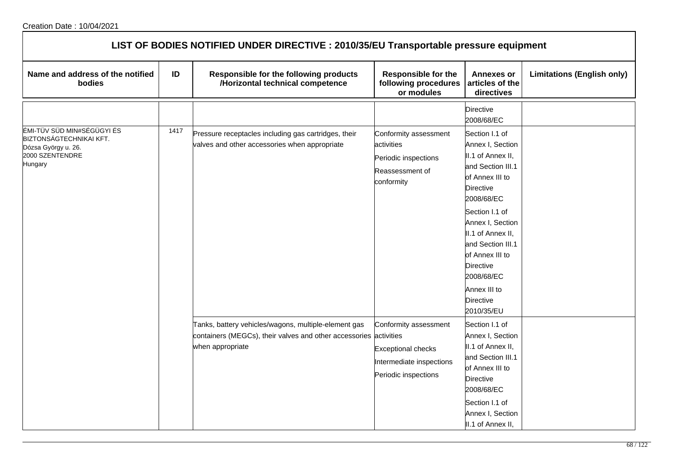| LIST OF BODIES NOTIFIED UNDER DIRECTIVE : 2010/35/EU Transportable pressure equipment                      |      |                                                                                                                                               |                                                                                                        |                                                                                                                                                                                                                                                                                                                          |                                   |  |  |
|------------------------------------------------------------------------------------------------------------|------|-----------------------------------------------------------------------------------------------------------------------------------------------|--------------------------------------------------------------------------------------------------------|--------------------------------------------------------------------------------------------------------------------------------------------------------------------------------------------------------------------------------------------------------------------------------------------------------------------------|-----------------------------------|--|--|
| Name and address of the notified<br>bodies                                                                 | ID   | Responsible for the following products<br>/Horizontal technical competence                                                                    | <b>Responsible for the</b><br>following procedures<br>or modules                                       | <b>Annexes or</b><br>articles of the<br>directives                                                                                                                                                                                                                                                                       | <b>Limitations (English only)</b> |  |  |
|                                                                                                            |      |                                                                                                                                               |                                                                                                        | <b>Directive</b><br>2008/68/EC                                                                                                                                                                                                                                                                                           |                                   |  |  |
| ÉMI-TÜV SÜD MIN#SÉGÜGYI ÉS<br>BIZTONSÁGTECHNIKAI KFT.<br>Dózsa György u. 26.<br>2000 SZENTENDRE<br>Hungary | 1417 | Pressure receptacles including gas cartridges, their<br>valves and other accessories when appropriate                                         | Conformity assessment<br>activities<br>Periodic inspections<br>Reassessment of<br>conformity           | Section I.1 of<br>Annex I, Section<br>II.1 of Annex II,<br>and Section III.1<br>of Annex III to<br><b>Directive</b><br>2008/68/EC<br>Section I.1 of<br>Annex I, Section<br>II.1 of Annex II,<br>and Section III.1<br>of Annex III to<br><b>Directive</b><br>2008/68/EC<br>Annex III to<br><b>Directive</b><br>2010/35/EU |                                   |  |  |
|                                                                                                            |      | Tanks, battery vehicles/wagons, multiple-element gas<br>containers (MEGCs), their valves and other accessories activities<br>when appropriate | Conformity assessment<br><b>Exceptional checks</b><br>Intermediate inspections<br>Periodic inspections | Section I.1 of<br>Annex I, Section<br>II.1 of Annex II,<br>and Section III.1<br>of Annex III to<br><b>Directive</b><br>2008/68/EC<br>Section I.1 of<br>Annex I, Section<br>II.1 of Annex II,                                                                                                                             |                                   |  |  |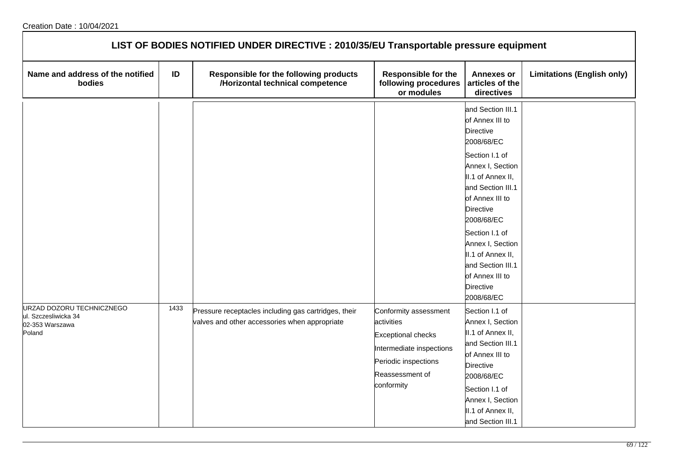| LIST OF BODIES NOTIFIED UNDER DIRECTIVE : 2010/35/EU Transportable pressure equipment |      |                                                                                                       |                                                                                                                                                       |                                                                                                                                                                                                                                                                                                                                                  |                                   |  |  |
|---------------------------------------------------------------------------------------|------|-------------------------------------------------------------------------------------------------------|-------------------------------------------------------------------------------------------------------------------------------------------------------|--------------------------------------------------------------------------------------------------------------------------------------------------------------------------------------------------------------------------------------------------------------------------------------------------------------------------------------------------|-----------------------------------|--|--|
| Name and address of the notified<br>bodies                                            | ID   | Responsible for the following products<br>/Horizontal technical competence                            | <b>Responsible for the</b><br>following procedures<br>or modules                                                                                      | <b>Annexes or</b><br>articles of the<br>directives                                                                                                                                                                                                                                                                                               | <b>Limitations (English only)</b> |  |  |
|                                                                                       |      |                                                                                                       |                                                                                                                                                       | and Section III.1<br>of Annex III to<br><b>Directive</b><br>2008/68/EC<br>Section I.1 of<br>Annex I, Section<br>II.1 of Annex II,<br>and Section III.1<br>of Annex III to<br><b>Directive</b><br>2008/68/EC<br>Section I.1 of<br>Annex I, Section<br>II.1 of Annex II,<br>and Section III.1<br>of Annex III to<br><b>Directive</b><br>2008/68/EC |                                   |  |  |
| URZAD DOZORU TECHNICZNEGO<br>ul. Szczesliwicka 34<br>02-353 Warszawa<br>Poland        | 1433 | Pressure receptacles including gas cartridges, their<br>valves and other accessories when appropriate | Conformity assessment<br>activities<br><b>Exceptional checks</b><br>Intermediate inspections<br>Periodic inspections<br>Reassessment of<br>conformity | Section I.1 of<br>Annex I, Section<br>II.1 of Annex II,<br>and Section III.1<br>of Annex III to<br><b>Directive</b><br>2008/68/EC<br>Section I.1 of<br>Annex I, Section<br>II.1 of Annex II,<br>and Section III.1                                                                                                                                |                                   |  |  |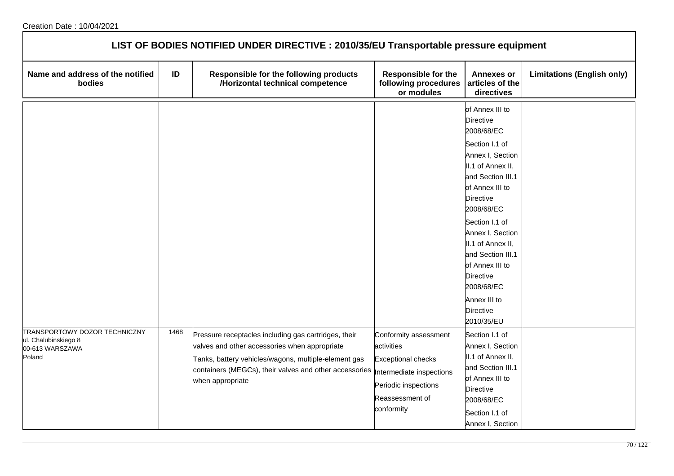| LIST OF BODIES NOTIFIED UNDER DIRECTIVE : 2010/35/EU Transportable pressure equipment |      |                                                                                                                                                                                                                                             |                                                                                                                                                       |                                                                                                                                                                                                                                                                                                                                                                               |                                   |  |  |
|---------------------------------------------------------------------------------------|------|---------------------------------------------------------------------------------------------------------------------------------------------------------------------------------------------------------------------------------------------|-------------------------------------------------------------------------------------------------------------------------------------------------------|-------------------------------------------------------------------------------------------------------------------------------------------------------------------------------------------------------------------------------------------------------------------------------------------------------------------------------------------------------------------------------|-----------------------------------|--|--|
| Name and address of the notified<br>bodies                                            | ID   | Responsible for the following products<br>/Horizontal technical competence                                                                                                                                                                  | <b>Responsible for the</b><br>following procedures<br>or modules                                                                                      | <b>Annexes or</b><br>articles of the<br>directives                                                                                                                                                                                                                                                                                                                            | <b>Limitations (English only)</b> |  |  |
|                                                                                       |      |                                                                                                                                                                                                                                             |                                                                                                                                                       | of Annex III to<br><b>Directive</b><br>2008/68/EC<br>Section I.1 of<br>Annex I, Section<br>II.1 of Annex II,<br>and Section III.1<br>of Annex III to<br><b>Directive</b><br>2008/68/EC<br>Section I.1 of<br>Annex I, Section<br>II.1 of Annex II,<br>and Section III.1<br>of Annex III to<br><b>Directive</b><br>2008/68/EC<br>Annex III to<br><b>Directive</b><br>2010/35/EU |                                   |  |  |
| TRANSPORTOWY DOZOR TECHNICZNY<br>ul. Chalubinskiego 8<br>00-613 WARSZAWA<br>Poland    | 1468 | Pressure receptacles including gas cartridges, their<br>valves and other accessories when appropriate<br>Tanks, battery vehicles/wagons, multiple-element gas<br>containers (MEGCs), their valves and other accessories<br>when appropriate | Conformity assessment<br>activities<br><b>Exceptional checks</b><br>Intermediate inspections<br>Periodic inspections<br>Reassessment of<br>conformity | Section I.1 of<br>Annex I, Section<br>II.1 of Annex II,<br>and Section III.1<br>of Annex III to<br><b>Directive</b><br>2008/68/EC<br>Section I.1 of<br>Annex I, Section                                                                                                                                                                                                       |                                   |  |  |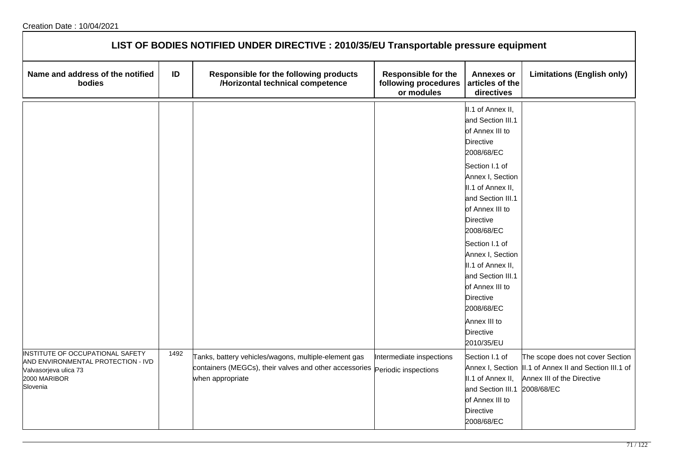| LIST OF BODIES NOTIFIED UNDER DIRECTIVE : 2010/35/EU Transportable pressure equipment                                       |      |                                                                                                                                                         |                                                                  |                                                                                                                                                                                                                                                                                                                                                                                                                         |                                                                                                                                         |  |  |
|-----------------------------------------------------------------------------------------------------------------------------|------|---------------------------------------------------------------------------------------------------------------------------------------------------------|------------------------------------------------------------------|-------------------------------------------------------------------------------------------------------------------------------------------------------------------------------------------------------------------------------------------------------------------------------------------------------------------------------------------------------------------------------------------------------------------------|-----------------------------------------------------------------------------------------------------------------------------------------|--|--|
| Name and address of the notified<br>bodies                                                                                  | ID   | Responsible for the following products<br>/Horizontal technical competence                                                                              | <b>Responsible for the</b><br>following procedures<br>or modules | <b>Annexes or</b><br>articles of the<br>directives                                                                                                                                                                                                                                                                                                                                                                      | <b>Limitations (English only)</b>                                                                                                       |  |  |
|                                                                                                                             |      |                                                                                                                                                         |                                                                  | II.1 of Annex II,<br>and Section III.1<br>of Annex III to<br><b>Directive</b><br>2008/68/EC<br>Section I.1 of<br>Annex I, Section<br>II.1 of Annex II,<br>and Section III.1<br>of Annex III to<br><b>Directive</b><br>2008/68/EC<br>Section I.1 of<br>Annex I, Section<br>II.1 of Annex II,<br>and Section III.1<br>of Annex III to<br><b>Directive</b><br>2008/68/EC<br>Annex III to<br><b>Directive</b><br>2010/35/EU |                                                                                                                                         |  |  |
| INSTITUTE OF OCCUPATIONAL SAFETY<br>AND ENVIRONMENTAL PROTECTION - IVD<br>Valvasorjeva ulica 73<br>2000 MARIBOR<br>Slovenia | 1492 | Tanks, battery vehicles/wagons, multiple-element gas<br>containers (MEGCs), their valves and other accessories Periodic inspections<br>when appropriate | Intermediate inspections                                         | Section I.1 of<br>II.1 of Annex II,<br>and Section III.1<br>of Annex III to<br><b>Directive</b><br>2008/68/EC                                                                                                                                                                                                                                                                                                           | The scope does not cover Section<br>Annex I, Section  II.1 of Annex II and Section III.1 of<br>Annex III of the Directive<br>2008/68/EC |  |  |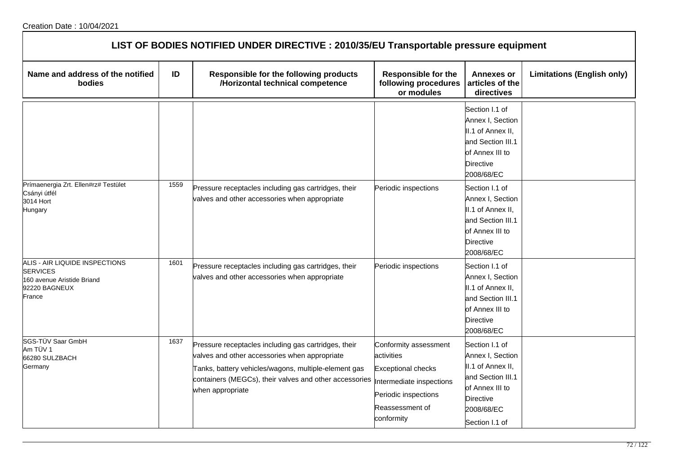| LIST OF BODIES NOTIFIED UNDER DIRECTIVE : 2010/35/EU Transportable pressure equipment                      |      |                                                                                                                                                                                                                                             |                                                                                                                                                      |                                                                                                                                              |                                   |  |  |
|------------------------------------------------------------------------------------------------------------|------|---------------------------------------------------------------------------------------------------------------------------------------------------------------------------------------------------------------------------------------------|------------------------------------------------------------------------------------------------------------------------------------------------------|----------------------------------------------------------------------------------------------------------------------------------------------|-----------------------------------|--|--|
| Name and address of the notified<br>bodies                                                                 | ID   | Responsible for the following products<br>/Horizontal technical competence                                                                                                                                                                  | <b>Responsible for the</b><br>following procedures<br>or modules                                                                                     | Annexes or<br>articles of the<br>directives                                                                                                  | <b>Limitations (English only)</b> |  |  |
|                                                                                                            |      |                                                                                                                                                                                                                                             |                                                                                                                                                      | Section I.1 of<br>Annex I, Section<br>II.1 of Annex II,<br>and Section III.1<br>of Annex III to<br><b>Directive</b><br>2008/68/EC            |                                   |  |  |
| Prímaenergia Zrt. Ellen#rz# Testület<br>Csányi útfél<br>3014 Hort<br>Hungary                               | 1559 | Pressure receptacles including gas cartridges, their<br>valves and other accessories when appropriate                                                                                                                                       | Periodic inspections                                                                                                                                 | Section I.1 of<br>Annex I, Section<br>II.1 of Annex II,<br>and Section III.1<br>of Annex III to<br>Directive<br>2008/68/EC                   |                                   |  |  |
| ALIS - AIR LIQUIDE INSPECTIONS<br><b>SERVICES</b><br>160 avenue Aristide Briand<br>92220 BAGNEUX<br>France | 1601 | Pressure receptacles including gas cartridges, their<br>valves and other accessories when appropriate                                                                                                                                       | Periodic inspections                                                                                                                                 | Section I.1 of<br>Annex I, Section<br>II.1 of Annex II,<br>and Section III.1<br>of Annex III to<br>Directive<br>2008/68/EC                   |                                   |  |  |
| SGS-TÜV Saar GmbH<br>Am TÜV 1<br>66280 SULZBACH<br>Germany                                                 | 1637 | Pressure receptacles including gas cartridges, their<br>valves and other accessories when appropriate<br>Tanks, battery vehicles/wagons, multiple-element gas<br>containers (MEGCs), their valves and other accessories<br>when appropriate | Conformity assessment<br>activities<br><b>Exceptional checks</b><br>ntermediate inspections<br>Periodic inspections<br>Reassessment of<br>conformity | Section I.1 of<br>Annex I, Section<br>II.1 of Annex II,<br>and Section III.1<br>of Annex III to<br>Directive<br>2008/68/EC<br>Section I.1 of |                                   |  |  |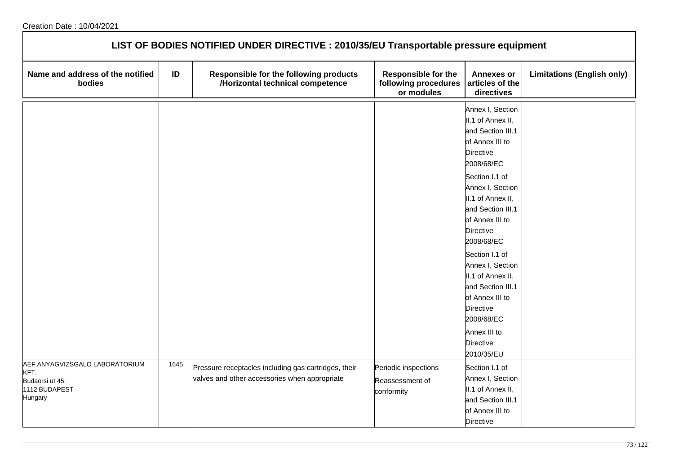| LIST OF BODIES NOTIFIED UNDER DIRECTIVE : 2010/35/EU Transportable pressure equipment |      |                                                                                                       |                                                                  |                                                                                                                                                                                                                                                                                                                                                                                                                 |                                   |  |  |
|---------------------------------------------------------------------------------------|------|-------------------------------------------------------------------------------------------------------|------------------------------------------------------------------|-----------------------------------------------------------------------------------------------------------------------------------------------------------------------------------------------------------------------------------------------------------------------------------------------------------------------------------------------------------------------------------------------------------------|-----------------------------------|--|--|
| Name and address of the notified<br>bodies                                            | ID   | Responsible for the following products<br>/Horizontal technical competence                            | <b>Responsible for the</b><br>following procedures<br>or modules | <b>Annexes or</b><br>articles of the<br>directives                                                                                                                                                                                                                                                                                                                                                              | <b>Limitations (English only)</b> |  |  |
|                                                                                       |      |                                                                                                       |                                                                  | Annex I, Section<br>II.1 of Annex II,<br>and Section III.1<br>of Annex III to<br>Directive<br>2008/68/EC<br>Section I.1 of<br>Annex I, Section<br>II.1 of Annex II,<br>and Section III.1<br>of Annex III to<br>Directive<br>2008/68/EC<br>Section I.1 of<br>Annex I, Section<br>II.1 of Annex II,<br>and Section III.1<br>of Annex III to<br>Directive<br>2008/68/EC<br>Annex III to<br>Directive<br>2010/35/EU |                                   |  |  |
| AEF ANYAGVIZSGALO LABORATORIUM<br>KFT.<br>Budaörsi ut 45.<br>1112 BUDAPEST<br>Hungary | 1645 | Pressure receptacles including gas cartridges, their<br>valves and other accessories when appropriate | Periodic inspections<br>Reassessment of<br>conformity            | Section I.1 of<br>Annex I, Section<br>II.1 of Annex II,<br>and Section III.1<br>of Annex III to<br>Directive                                                                                                                                                                                                                                                                                                    |                                   |  |  |

٦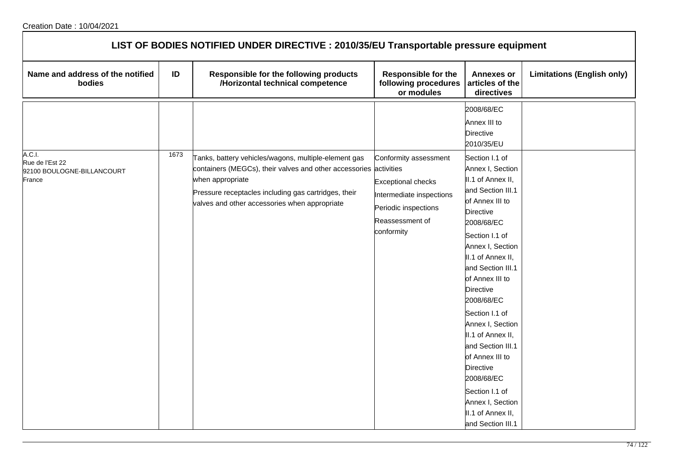| LIST OF BODIES NOTIFIED UNDER DIRECTIVE : 2010/35/EU Transportable pressure equipment |      |                                                                                                                                                                                                                                                        |                                                                                                                                  |                                                                                                                                                                                                                                                                                                                                                                                                                                                                                      |                                   |  |  |
|---------------------------------------------------------------------------------------|------|--------------------------------------------------------------------------------------------------------------------------------------------------------------------------------------------------------------------------------------------------------|----------------------------------------------------------------------------------------------------------------------------------|--------------------------------------------------------------------------------------------------------------------------------------------------------------------------------------------------------------------------------------------------------------------------------------------------------------------------------------------------------------------------------------------------------------------------------------------------------------------------------------|-----------------------------------|--|--|
| Name and address of the notified<br>bodies                                            | ID   | Responsible for the following products<br>/Horizontal technical competence                                                                                                                                                                             | Responsible for the<br>following procedures<br>or modules                                                                        | <b>Annexes or</b><br>articles of the<br>directives                                                                                                                                                                                                                                                                                                                                                                                                                                   | <b>Limitations (English only)</b> |  |  |
|                                                                                       |      |                                                                                                                                                                                                                                                        |                                                                                                                                  | 2008/68/EC<br>Annex III to<br><b>Directive</b><br>2010/35/EU                                                                                                                                                                                                                                                                                                                                                                                                                         |                                   |  |  |
| A.C.I.<br>Rue de l'Est 22<br>92100 BOULOGNE-BILLANCOURT<br>France                     | 1673 | Tanks, battery vehicles/wagons, multiple-element gas<br>containers (MEGCs), their valves and other accessories activities<br>when appropriate<br>Pressure receptacles including gas cartridges, their<br>valves and other accessories when appropriate | Conformity assessment<br>Exceptional checks<br>Intermediate inspections<br>Periodic inspections<br>Reassessment of<br>conformity | Section I.1 of<br>Annex I, Section<br>II.1 of Annex II,<br>and Section III.1<br>of Annex III to<br><b>Directive</b><br>2008/68/EC<br>Section I.1 of<br>Annex I, Section<br>II.1 of Annex II,<br>and Section III.1<br>of Annex III to<br>Directive<br>2008/68/EC<br>Section I.1 of<br>Annex I, Section<br>II.1 of Annex II,<br>and Section III.1<br>of Annex III to<br><b>Directive</b><br>2008/68/EC<br>Section I.1 of<br>Annex I, Section<br>II.1 of Annex II,<br>and Section III.1 |                                   |  |  |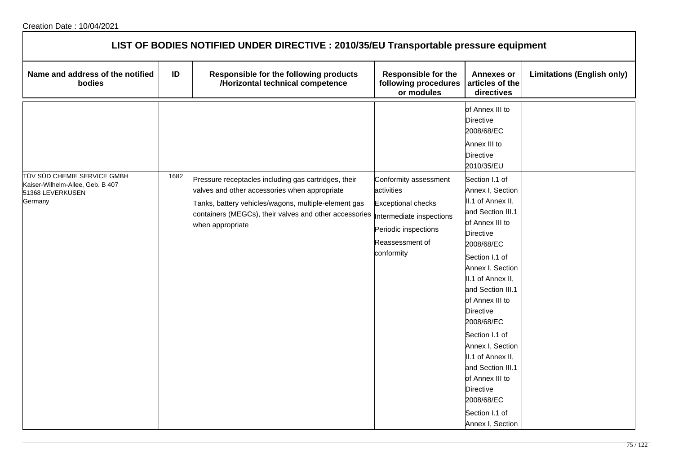| LIST OF BODIES NOTIFIED UNDER DIRECTIVE : 2010/35/EU Transportable pressure equipment          |      |                                                                                                                                                                                                                                             |                                                                                                                                                       |                                                                                                                                                                                                                                                                                                                                                                                                                              |                                   |  |  |
|------------------------------------------------------------------------------------------------|------|---------------------------------------------------------------------------------------------------------------------------------------------------------------------------------------------------------------------------------------------|-------------------------------------------------------------------------------------------------------------------------------------------------------|------------------------------------------------------------------------------------------------------------------------------------------------------------------------------------------------------------------------------------------------------------------------------------------------------------------------------------------------------------------------------------------------------------------------------|-----------------------------------|--|--|
| Name and address of the notified<br>bodies                                                     | ID   | Responsible for the following products<br>/Horizontal technical competence                                                                                                                                                                  | <b>Responsible for the</b><br>following procedures<br>or modules                                                                                      | <b>Annexes or</b><br>articles of the<br>directives                                                                                                                                                                                                                                                                                                                                                                           | <b>Limitations (English only)</b> |  |  |
|                                                                                                |      |                                                                                                                                                                                                                                             |                                                                                                                                                       | of Annex III to<br>Directive<br>2008/68/EC<br>Annex III to<br><b>Directive</b><br>2010/35/EU                                                                                                                                                                                                                                                                                                                                 |                                   |  |  |
| TÜV SÜD CHEMIE SERVICE GMBH<br>Kaiser-Wilhelm-Allee, Geb. B 407<br>51368 LEVERKUSEN<br>Germany | 1682 | Pressure receptacles including gas cartridges, their<br>valves and other accessories when appropriate<br>Tanks, battery vehicles/wagons, multiple-element gas<br>containers (MEGCs), their valves and other accessories<br>when appropriate | Conformity assessment<br>activities<br><b>Exceptional checks</b><br>Intermediate inspections<br>Periodic inspections<br>Reassessment of<br>conformity | Section I.1 of<br>Annex I, Section<br>II.1 of Annex II,<br>and Section III.1<br>of Annex III to<br>Directive<br>2008/68/EC<br>Section I.1 of<br>Annex I, Section<br>II.1 of Annex II,<br>and Section III.1<br>of Annex III to<br>Directive<br>2008/68/EC<br>Section I.1 of<br>Annex I, Section<br>II.1 of Annex II,<br>and Section III.1<br>of Annex III to<br>Directive<br>2008/68/EC<br>Section I.1 of<br>Annex I, Section |                                   |  |  |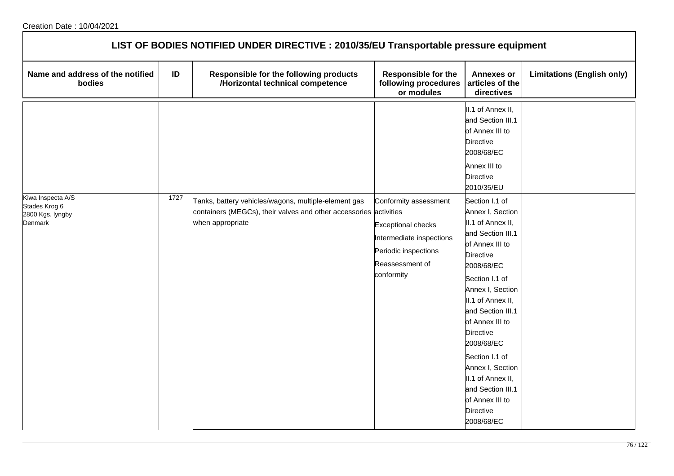| LIST OF BODIES NOTIFIED UNDER DIRECTIVE : 2010/35/EU Transportable pressure equipment |      |                                                                                                                           |                                                                                                                |                                                                                                                                                                                                                                                                                                                                                                       |                                   |  |  |
|---------------------------------------------------------------------------------------|------|---------------------------------------------------------------------------------------------------------------------------|----------------------------------------------------------------------------------------------------------------|-----------------------------------------------------------------------------------------------------------------------------------------------------------------------------------------------------------------------------------------------------------------------------------------------------------------------------------------------------------------------|-----------------------------------|--|--|
| Name and address of the notified<br>bodies                                            | ID   | Responsible for the following products<br>/Horizontal technical competence                                                | Responsible for the<br>following procedures<br>or modules                                                      | <b>Annexes or</b><br>articles of the<br>directives                                                                                                                                                                                                                                                                                                                    | <b>Limitations (English only)</b> |  |  |
| Kiwa Inspecta A/S<br>Stades Krog 6                                                    | 1727 | Tanks, battery vehicles/wagons, multiple-element gas<br>containers (MEGCs), their valves and other accessories activities | Conformity assessment                                                                                          | II.1 of Annex II,<br>and Section III.1<br>of Annex III to<br><b>Directive</b><br>2008/68/EC<br>Annex III to<br><b>Directive</b><br>2010/35/EU<br>Section I.1 of<br>Annex I, Section                                                                                                                                                                                   |                                   |  |  |
| 2800 Kgs. lyngby<br>Denmark                                                           |      | when appropriate                                                                                                          | <b>Exceptional checks</b><br>Intermediate inspections<br>Periodic inspections<br>Reassessment of<br>conformity | II.1 of Annex II,<br>and Section III.1<br>of Annex III to<br><b>Directive</b><br>2008/68/EC<br>Section I.1 of<br>Annex I, Section<br>II.1 of Annex II,<br>and Section III.1<br>of Annex III to<br><b>Directive</b><br>2008/68/EC<br>Section I.1 of<br>Annex I, Section<br>II.1 of Annex II,<br>and Section III.1<br>of Annex III to<br><b>Directive</b><br>2008/68/EC |                                   |  |  |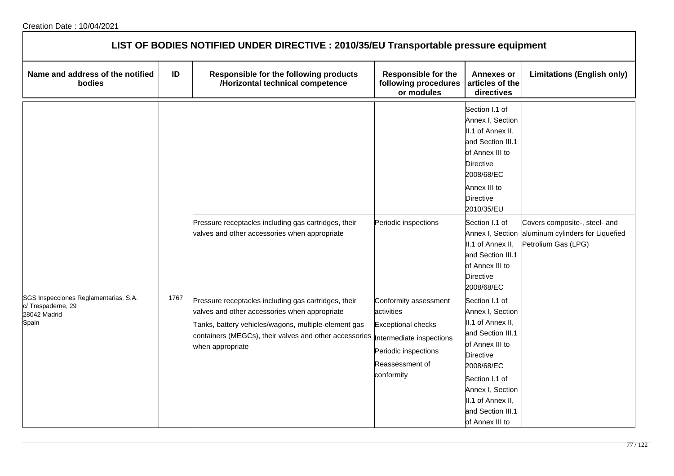| LIST OF BODIES NOTIFIED UNDER DIRECTIVE : 2010/35/EU Transportable pressure equipment |      |                                                                                                                                                                                                                                             |                                                                                                                                                       |                                                                                                                                                                                                                                      |                                                                                          |  |  |
|---------------------------------------------------------------------------------------|------|---------------------------------------------------------------------------------------------------------------------------------------------------------------------------------------------------------------------------------------------|-------------------------------------------------------------------------------------------------------------------------------------------------------|--------------------------------------------------------------------------------------------------------------------------------------------------------------------------------------------------------------------------------------|------------------------------------------------------------------------------------------|--|--|
| Name and address of the notified<br>bodies                                            | ID   | Responsible for the following products<br>/Horizontal technical competence                                                                                                                                                                  | <b>Responsible for the</b><br>following procedures<br>or modules                                                                                      | <b>Annexes or</b><br>articles of the<br>directives                                                                                                                                                                                   | <b>Limitations (English only)</b>                                                        |  |  |
|                                                                                       |      |                                                                                                                                                                                                                                             |                                                                                                                                                       | Section I.1 of<br>Annex I, Section<br>II.1 of Annex II,<br>and Section III.1<br>of Annex III to<br>Directive<br>2008/68/EC<br>Annex III to<br><b>Directive</b><br>2010/35/EU                                                         |                                                                                          |  |  |
|                                                                                       |      | Pressure receptacles including gas cartridges, their<br>valves and other accessories when appropriate                                                                                                                                       | Periodic inspections                                                                                                                                  | Section I.1 of<br>Annex I, Section<br>II.1 of Annex II,<br>and Section III.1<br>of Annex III to<br><b>Directive</b><br>2008/68/EC                                                                                                    | Covers composite-, steel- and<br>aluminum cylinders for Liquefied<br>Petrolium Gas (LPG) |  |  |
| SGS Inspecciones Reglamentarias, S.A.<br>c/Trespaderne, 29<br>28042 Madrid<br>Spain   | 1767 | Pressure receptacles including gas cartridges, their<br>valves and other accessories when appropriate<br>Tanks, battery vehicles/wagons, multiple-element gas<br>containers (MEGCs), their valves and other accessories<br>when appropriate | Conformity assessment<br>activities<br><b>Exceptional checks</b><br>Intermediate inspections<br>Periodic inspections<br>Reassessment of<br>conformity | Section I.1 of<br>Annex I, Section<br>II.1 of Annex II,<br>and Section III.1<br>of Annex III to<br><b>Directive</b><br>2008/68/EC<br>Section I.1 of<br>Annex I, Section<br>II.1 of Annex II,<br>and Section III.1<br>of Annex III to |                                                                                          |  |  |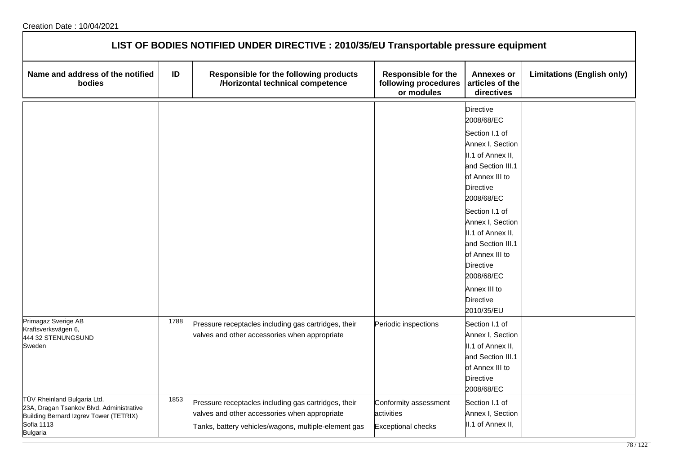| LIST OF BODIES NOTIFIED UNDER DIRECTIVE : 2010/35/EU Transportable pressure equipment                                                                     |      |                                                                                                                                                               |                                                                  |                                                                                                                                                                                                                                                                                                                                                            |                                   |  |  |
|-----------------------------------------------------------------------------------------------------------------------------------------------------------|------|---------------------------------------------------------------------------------------------------------------------------------------------------------------|------------------------------------------------------------------|------------------------------------------------------------------------------------------------------------------------------------------------------------------------------------------------------------------------------------------------------------------------------------------------------------------------------------------------------------|-----------------------------------|--|--|
| Name and address of the notified<br>bodies                                                                                                                | ID   | Responsible for the following products<br>/Horizontal technical competence                                                                                    | <b>Responsible for the</b><br>following procedures<br>or modules | <b>Annexes or</b><br>articles of the<br>directives                                                                                                                                                                                                                                                                                                         | <b>Limitations (English only)</b> |  |  |
|                                                                                                                                                           |      |                                                                                                                                                               |                                                                  | <b>Directive</b><br>2008/68/EC<br>Section I.1 of<br>Annex I, Section<br>II.1 of Annex II,<br>and Section III.1<br>of Annex III to<br><b>Directive</b><br>2008/68/EC<br>Section I.1 of<br>Annex I, Section<br>II.1 of Annex II,<br>and Section III.1<br>of Annex III to<br><b>Directive</b><br>2008/68/EC<br>Annex III to<br><b>Directive</b><br>2010/35/EU |                                   |  |  |
| Primagaz Sverige AB<br>Kraftsverksvägen 6,<br>444 32 STENUNGSUND<br>Sweden                                                                                | 1788 | Pressure receptacles including gas cartridges, their<br>valves and other accessories when appropriate                                                         | Periodic inspections                                             | Section I.1 of<br>Annex I, Section<br>II.1 of Annex II,<br>and Section III.1<br>of Annex III to<br>Directive<br>2008/68/EC                                                                                                                                                                                                                                 |                                   |  |  |
| TÜV Rheinland Bulgaria Ltd.<br>23A, Dragan Tsankov Blvd. Administrative<br>Building Bernard Izgrev Tower (TETRIX)<br><b>Sofia 1113</b><br><b>Bulgaria</b> | 1853 | Pressure receptacles including gas cartridges, their<br>valves and other accessories when appropriate<br>Tanks, battery vehicles/wagons, multiple-element gas | Conformity assessment<br>activities<br><b>Exceptional checks</b> | Section I.1 of<br>Annex I, Section<br>II.1 of Annex II,                                                                                                                                                                                                                                                                                                    |                                   |  |  |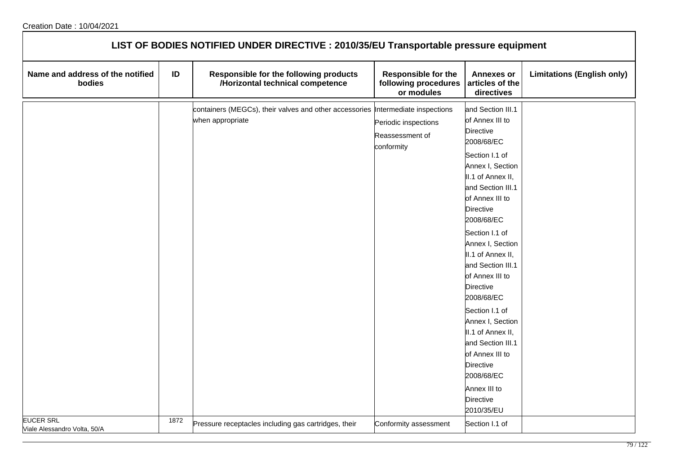| LIST OF BODIES NOTIFIED UNDER DIRECTIVE : 2010/35/EU Transportable pressure equipment |      |                                                                                                     |                                                                  |                                                                                                                                                                                                                                                                                                                                                                                                                                                                                                                                         |                                   |  |  |  |
|---------------------------------------------------------------------------------------|------|-----------------------------------------------------------------------------------------------------|------------------------------------------------------------------|-----------------------------------------------------------------------------------------------------------------------------------------------------------------------------------------------------------------------------------------------------------------------------------------------------------------------------------------------------------------------------------------------------------------------------------------------------------------------------------------------------------------------------------------|-----------------------------------|--|--|--|
| Name and address of the notified<br>bodies                                            | ID   | Responsible for the following products<br>/Horizontal technical competence                          | <b>Responsible for the</b><br>following procedures<br>or modules | <b>Annexes or</b><br>articles of the<br>directives                                                                                                                                                                                                                                                                                                                                                                                                                                                                                      | <b>Limitations (English only)</b> |  |  |  |
|                                                                                       |      | containers (MEGCs), their valves and other accessories Intermediate inspections<br>when appropriate | Periodic inspections<br>Reassessment of<br>conformity            | and Section III.1<br>of Annex III to<br><b>Directive</b><br>2008/68/EC<br>Section I.1 of<br>Annex I, Section<br>II.1 of Annex II,<br>and Section III.1<br>of Annex III to<br><b>Directive</b><br>2008/68/EC<br>Section I.1 of<br>Annex I, Section<br>II.1 of Annex II,<br>and Section III.1<br>of Annex III to<br><b>Directive</b><br>2008/68/EC<br>Section I.1 of<br>Annex I, Section<br>II.1 of Annex II,<br>and Section III.1<br>of Annex III to<br><b>Directive</b><br>2008/68/EC<br>Annex III to<br><b>Directive</b><br>2010/35/EU |                                   |  |  |  |
| <b>EUCER SRL</b><br>Viale Alessandro Volta, 50/A                                      | 1872 | Pressure receptacles including gas cartridges, their                                                | Conformity assessment                                            | Section I.1 of                                                                                                                                                                                                                                                                                                                                                                                                                                                                                                                          |                                   |  |  |  |

٦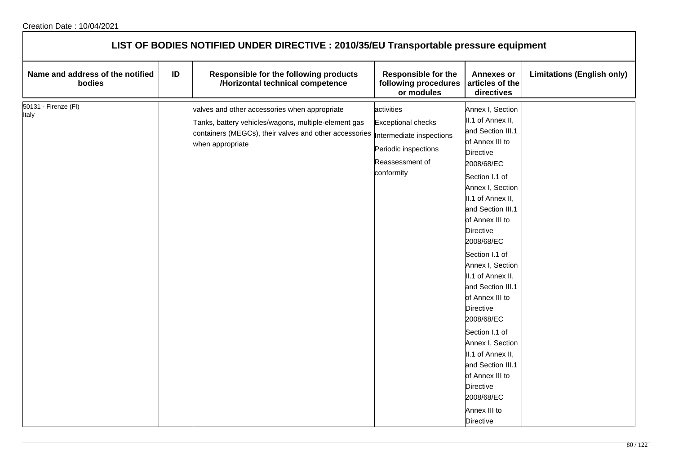| LIST OF BODIES NOTIFIED UNDER DIRECTIVE : 2010/35/EU Transportable pressure equipment |    |                                                                                                                                                                                                               |                                                                                                  |                                                                                                                                                                                                                                                                                                                                                                                                                                                                                                                                                      |                                   |  |  |  |
|---------------------------------------------------------------------------------------|----|---------------------------------------------------------------------------------------------------------------------------------------------------------------------------------------------------------------|--------------------------------------------------------------------------------------------------|------------------------------------------------------------------------------------------------------------------------------------------------------------------------------------------------------------------------------------------------------------------------------------------------------------------------------------------------------------------------------------------------------------------------------------------------------------------------------------------------------------------------------------------------------|-----------------------------------|--|--|--|
| Name and address of the notified<br>bodies                                            | ID | Responsible for the following products<br>/Horizontal technical competence                                                                                                                                    | <b>Responsible for the</b><br>following procedures<br>or modules                                 | <b>Annexes or</b><br>articles of the<br>directives                                                                                                                                                                                                                                                                                                                                                                                                                                                                                                   | <b>Limitations (English only)</b> |  |  |  |
| 50131 - Firenze (FI)<br>Italy                                                         |    | valves and other accessories when appropriate<br>Tanks, battery vehicles/wagons, multiple-element gas<br>containers (MEGCs), their valves and other accessories  Intermediate inspections<br>when appropriate | activities<br><b>Exceptional checks</b><br>Periodic inspections<br>Reassessment of<br>conformity | Annex I, Section<br>II.1 of Annex II,<br>and Section III.1<br>of Annex III to<br><b>Directive</b><br>2008/68/EC<br>Section I.1 of<br>Annex I, Section<br>II.1 of Annex II,<br>and Section III.1<br>of Annex III to<br><b>Directive</b><br>2008/68/EC<br>Section I.1 of<br>Annex I, Section<br>II.1 of Annex II,<br>and Section III.1<br>of Annex III to<br>Directive<br>2008/68/EC<br>Section I.1 of<br>Annex I, Section<br>II.1 of Annex II,<br>and Section III.1<br>of Annex III to<br><b>Directive</b><br>2008/68/EC<br>Annex III to<br>Directive |                                   |  |  |  |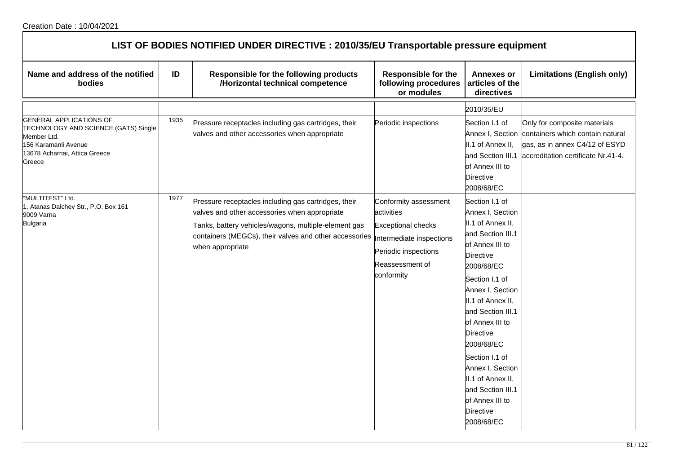| LIST OF BODIES NOTIFIED UNDER DIRECTIVE : 2010/35/EU Transportable pressure equipment                                                                                        |      |                                                                                                                                                                                                                                             |                                                                                                                                                       |                                                                                                                                                                                                                                                                                                                                                                                                             |                                                                                                                                                           |  |  |
|------------------------------------------------------------------------------------------------------------------------------------------------------------------------------|------|---------------------------------------------------------------------------------------------------------------------------------------------------------------------------------------------------------------------------------------------|-------------------------------------------------------------------------------------------------------------------------------------------------------|-------------------------------------------------------------------------------------------------------------------------------------------------------------------------------------------------------------------------------------------------------------------------------------------------------------------------------------------------------------------------------------------------------------|-----------------------------------------------------------------------------------------------------------------------------------------------------------|--|--|
| Name and address of the notified<br>bodies                                                                                                                                   | ID   | Responsible for the following products<br>/Horizontal technical competence                                                                                                                                                                  | <b>Responsible for the</b><br>following procedures<br>or modules                                                                                      | <b>Annexes or</b><br>articles of the<br>directives                                                                                                                                                                                                                                                                                                                                                          | <b>Limitations (English only)</b>                                                                                                                         |  |  |
| <b>GENERAL APPLICATIONS OF</b><br>TECHNOLOGY AND SCIENCE (GATS) Single<br>Member Ltd.<br>156 Karamanli Avenue<br>13678 Acharnai, Attica Greece<br>Greece<br>"MULTITEST" Ltd. | 1935 | Pressure receptacles including gas cartridges, their<br>valves and other accessories when appropriate                                                                                                                                       | Periodic inspections                                                                                                                                  | 2010/35/EU<br>Section I.1 of<br>II.1 of Annex II,<br>and Section III.1<br>of Annex III to<br><b>Directive</b><br>2008/68/EC                                                                                                                                                                                                                                                                                 | Only for composite materials<br>Annex I, Section containers which contain natural<br>gas, as in annex C4/12 of ESYD<br>accreditation certificate Nr.41-4. |  |  |
| 1, Atanas Dalchev Str., P.O. Box 161<br>9009 Varna<br><b>Bulgaria</b>                                                                                                        | 1977 | Pressure receptacles including gas cartridges, their<br>valves and other accessories when appropriate<br>Tanks, battery vehicles/wagons, multiple-element gas<br>containers (MEGCs), their valves and other accessories<br>when appropriate | Conformity assessment<br>activities<br><b>Exceptional checks</b><br>Intermediate inspections<br>Periodic inspections<br>Reassessment of<br>conformity | Section I.1 of<br>Annex I, Section<br>II.1 of Annex II,<br>and Section III.1<br>of Annex III to<br><b>Directive</b><br>2008/68/EC<br>Section I.1 of<br>Annex I, Section<br>II.1 of Annex II,<br>and Section III.1<br>of Annex III to<br><b>Directive</b><br>2008/68/EC<br>Section I.1 of<br>Annex I, Section<br>II.1 of Annex II,<br>and Section III.1<br>of Annex III to<br><b>Directive</b><br>2008/68/EC |                                                                                                                                                           |  |  |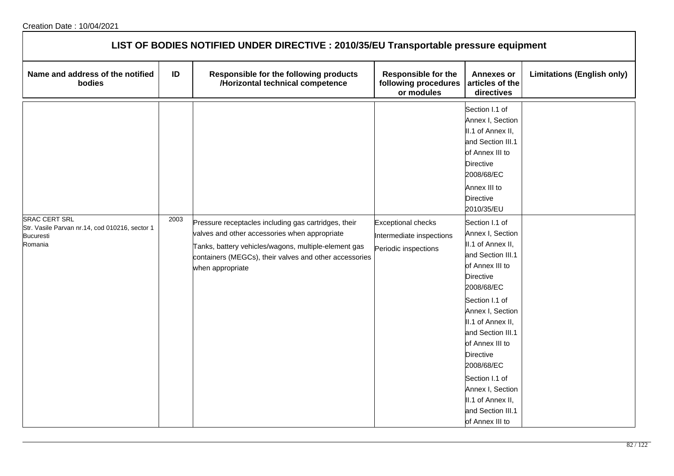| LIST OF BODIES NOTIFIED UNDER DIRECTIVE : 2010/35/EU Transportable pressure equipment                 |      |                                                                                                                                                                                                                                             |                                                                               |                                                                                                                                                                                                                                                                                                                                                             |                                   |  |  |
|-------------------------------------------------------------------------------------------------------|------|---------------------------------------------------------------------------------------------------------------------------------------------------------------------------------------------------------------------------------------------|-------------------------------------------------------------------------------|-------------------------------------------------------------------------------------------------------------------------------------------------------------------------------------------------------------------------------------------------------------------------------------------------------------------------------------------------------------|-----------------------------------|--|--|
| Name and address of the notified<br>bodies                                                            | ID   | Responsible for the following products<br>/Horizontal technical competence                                                                                                                                                                  | <b>Responsible for the</b><br>following procedures<br>or modules              | <b>Annexes or</b><br>articles of the<br>directives                                                                                                                                                                                                                                                                                                          | <b>Limitations (English only)</b> |  |  |
|                                                                                                       |      |                                                                                                                                                                                                                                             |                                                                               | Section I.1 of<br>Annex I, Section<br>II.1 of Annex II,<br>and Section III.1<br>of Annex III to<br>Directive<br>2008/68/EC<br>Annex III to<br><b>Directive</b><br>2010/35/EU                                                                                                                                                                                |                                   |  |  |
| <b>SRAC CERT SRL</b><br>Str. Vasile Parvan nr.14, cod 010216, sector 1<br><b>Bucuresti</b><br>Romania | 2003 | Pressure receptacles including gas cartridges, their<br>valves and other accessories when appropriate<br>Tanks, battery vehicles/wagons, multiple-element gas<br>containers (MEGCs), their valves and other accessories<br>when appropriate | <b>Exceptional checks</b><br>Intermediate inspections<br>Periodic inspections | Section I.1 of<br>Annex I, Section<br>II.1 of Annex II,<br>and Section III.1<br>of Annex III to<br>Directive<br>2008/68/EC<br>Section I.1 of<br>Annex I, Section<br>II.1 of Annex II,<br>and Section III.1<br>of Annex III to<br>Directive<br>2008/68/EC<br>Section I.1 of<br>Annex I, Section<br>II.1 of Annex II,<br>and Section III.1<br>of Annex III to |                                   |  |  |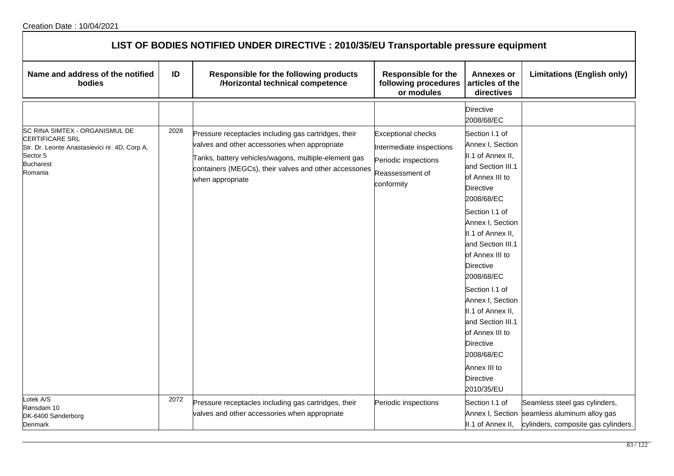| LIST OF BODIES NOTIFIED UNDER DIRECTIVE : 2010/35/EU Transportable pressure equipment                                                                |      |                                                                                                                                                                                                                                             |                                                                                                                |                                                                                                                                                                                                                                                                                                                                                                                                                                                 |                                                                                                                      |  |  |
|------------------------------------------------------------------------------------------------------------------------------------------------------|------|---------------------------------------------------------------------------------------------------------------------------------------------------------------------------------------------------------------------------------------------|----------------------------------------------------------------------------------------------------------------|-------------------------------------------------------------------------------------------------------------------------------------------------------------------------------------------------------------------------------------------------------------------------------------------------------------------------------------------------------------------------------------------------------------------------------------------------|----------------------------------------------------------------------------------------------------------------------|--|--|
| Name and address of the notified<br>bodies                                                                                                           | ID   | Responsible for the following products<br>/Horizontal technical competence                                                                                                                                                                  | <b>Responsible for the</b><br>following procedures<br>or modules                                               | <b>Annexes or</b><br>articles of the<br>directives                                                                                                                                                                                                                                                                                                                                                                                              | <b>Limitations (English only)</b>                                                                                    |  |  |
|                                                                                                                                                      |      |                                                                                                                                                                                                                                             |                                                                                                                | Directive<br>2008/68/EC                                                                                                                                                                                                                                                                                                                                                                                                                         |                                                                                                                      |  |  |
| SC RINA SIMTEX - ORGANISMUL DE<br><b>CERTIFICARE SRL</b><br>Str. Dr. Leonte Anastasievici nr. 4D, Corp A,<br>Sector 5<br><b>Bucharest</b><br>Romania | 2028 | Pressure receptacles including gas cartridges, their<br>valves and other accessories when appropriate<br>Tanks, battery vehicles/wagons, multiple-element gas<br>containers (MEGCs), their valves and other accessories<br>when appropriate | <b>Exceptional checks</b><br>Intermediate inspections<br>Periodic inspections<br>Reassessment of<br>conformity | Section I.1 of<br>Annex I, Section<br>II.1 of Annex II,<br>and Section III.1<br>of Annex III to<br>Directive<br>2008/68/EC<br>Section I.1 of<br>Annex I, Section<br>II.1 of Annex II,<br>and Section III.1<br>of Annex III to<br><b>Directive</b><br>2008/68/EC<br>Section I.1 of<br>Annex I, Section<br>II.1 of Annex II,<br>and Section III.1<br>of Annex III to<br><b>Directive</b><br>2008/68/EC<br>Annex III to<br>Directive<br>2010/35/EU |                                                                                                                      |  |  |
| otek A/S<br>Rønsdam 10<br>DK-6400 Sønderborg<br>Denmark                                                                                              | 2072 | Pressure receptacles including gas cartridges, their<br>valves and other accessories when appropriate                                                                                                                                       | Periodic inspections                                                                                           | Section I.1 of<br>II.1 of Annex II,                                                                                                                                                                                                                                                                                                                                                                                                             | Seamless steel gas cylinders,<br>Annex I, Section seamless aluminum alloy gas<br>cylinders, composite gas cylinders. |  |  |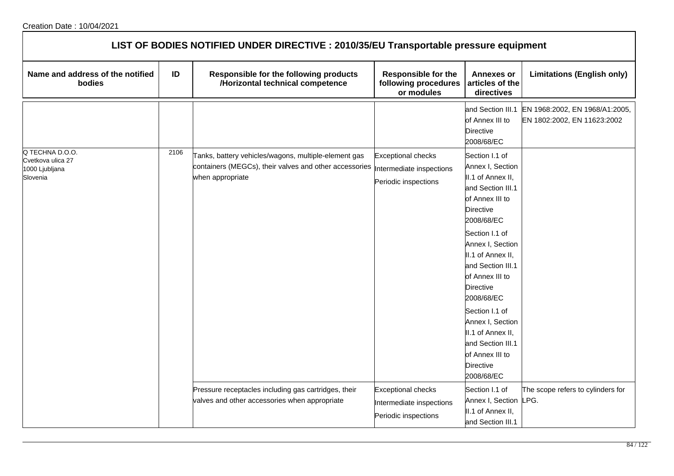| LIST OF BODIES NOTIFIED UNDER DIRECTIVE : 2010/35/EU Transportable pressure equipment |      |                                                                                                                                    |                                                                               |                                                                                                                                                                                                                                                                                                                                                                                        |                                                               |  |  |
|---------------------------------------------------------------------------------------|------|------------------------------------------------------------------------------------------------------------------------------------|-------------------------------------------------------------------------------|----------------------------------------------------------------------------------------------------------------------------------------------------------------------------------------------------------------------------------------------------------------------------------------------------------------------------------------------------------------------------------------|---------------------------------------------------------------|--|--|
| Name and address of the notified<br><b>bodies</b>                                     | ID   | Responsible for the following products<br>/Horizontal technical competence                                                         | <b>Responsible for the</b><br>following procedures<br>or modules              | <b>Annexes or</b><br>articles of the<br>directives                                                                                                                                                                                                                                                                                                                                     | <b>Limitations (English only)</b>                             |  |  |
|                                                                                       |      |                                                                                                                                    |                                                                               | and Section III.1<br>of Annex III to<br>Directive<br>2008/68/EC                                                                                                                                                                                                                                                                                                                        | EN 1968:2002, EN 1968/A1:2005,<br>EN 1802:2002, EN 11623:2002 |  |  |
| Q TECHNA D.O.O.<br>Cvetkova ulica 27<br>1000 Ljubljana<br>Slovenia                    | 2106 | Tanks, battery vehicles/wagons, multiple-element gas<br>containers (MEGCs), their valves and other accessories<br>when appropriate | <b>Exceptional checks</b><br>Intermediate inspections<br>Periodic inspections | Section I.1 of<br>Annex I, Section<br>II.1 of Annex II,<br>and Section III.1<br>of Annex III to<br>Directive<br>2008/68/EC<br>Section I.1 of<br>Annex I, Section<br>II.1 of Annex II,<br>and Section III.1<br>of Annex III to<br>Directive<br>2008/68/EC<br>Section I.1 of<br>Annex I, Section<br>II.1 of Annex II,<br>and Section III.1<br>of Annex III to<br>Directive<br>2008/68/EC |                                                               |  |  |
|                                                                                       |      | Pressure receptacles including gas cartridges, their<br>valves and other accessories when appropriate                              | <b>Exceptional checks</b><br>Intermediate inspections<br>Periodic inspections | Section I.1 of<br>Annex I, Section LPG.<br>II.1 of Annex II,<br>and Section III.1                                                                                                                                                                                                                                                                                                      | The scope refers to cylinders for                             |  |  |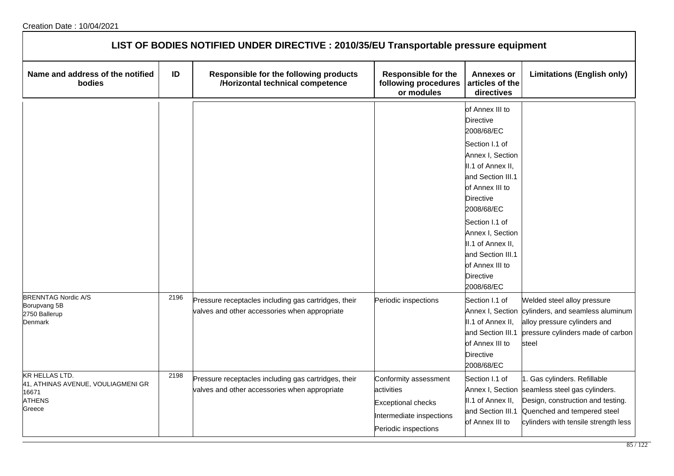| LIST OF BODIES NOTIFIED UNDER DIRECTIVE : 2010/35/EU Transportable pressure equipment           |      |                                                                                                       |                                                                                                                      |                                                                                                                                                                                                                                                                                                                             |                                                                                                                                                                           |  |
|-------------------------------------------------------------------------------------------------|------|-------------------------------------------------------------------------------------------------------|----------------------------------------------------------------------------------------------------------------------|-----------------------------------------------------------------------------------------------------------------------------------------------------------------------------------------------------------------------------------------------------------------------------------------------------------------------------|---------------------------------------------------------------------------------------------------------------------------------------------------------------------------|--|
| Name and address of the notified<br>bodies                                                      | ID   | Responsible for the following products<br>/Horizontal technical competence                            | <b>Responsible for the</b><br>following procedures<br>or modules                                                     | <b>Annexes or</b><br>articles of the<br>directives                                                                                                                                                                                                                                                                          | <b>Limitations (English only)</b>                                                                                                                                         |  |
|                                                                                                 |      |                                                                                                       |                                                                                                                      | of Annex III to<br><b>Directive</b><br>2008/68/EC<br>Section I.1 of<br>Annex I, Section<br>II.1 of Annex II,<br>and Section III.1<br>of Annex III to<br><b>Directive</b><br>2008/68/EC<br>Section I.1 of<br>Annex I, Section<br>II.1 of Annex II,<br>and Section III.1<br>of Annex III to<br><b>Directive</b><br>2008/68/EC |                                                                                                                                                                           |  |
| <b>BRENNTAG Nordic A/S</b><br>Borupvang 5B<br>2750 Ballerup<br>Denmark                          | 2196 | Pressure receptacles including gas cartridges, their<br>valves and other accessories when appropriate | Periodic inspections                                                                                                 | Section I.1 of<br>II.1 of Annex II,<br>and Section III.1<br>of Annex III to<br>Directive<br>2008/68/EC                                                                                                                                                                                                                      | Welded steel alloy pressure<br>Annex I, Section cylinders, and seamless aluminum<br>alloy pressure cylinders and<br>pressure cylinders made of carbon<br>steel            |  |
| <b>KR HELLAS LTD.</b><br>41, ATHINAS AVENUE, VOULIAGMENI GR<br>16671<br><b>ATHENS</b><br>Greece | 2198 | Pressure receptacles including gas cartridges, their<br>valves and other accessories when appropriate | Conformity assessment<br>activities<br><b>Exceptional checks</b><br>Intermediate inspections<br>Periodic inspections | Section I.1 of<br>Annex I, Section<br>II.1 of Annex II,<br>and Section III.1<br>of Annex III to                                                                                                                                                                                                                             | 1. Gas cylinders. Refillable<br>seamless steel gas cylinders.<br>Design, construction and testing.<br>Quenched and tempered steel<br>cylinders with tensile strength less |  |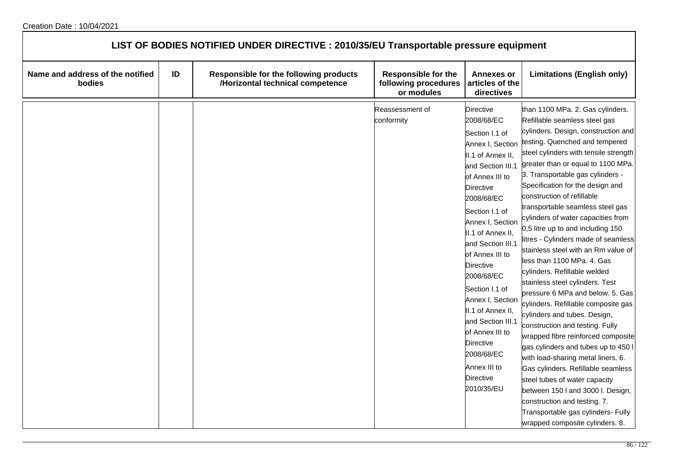| LIST OF BODIES NOTIFIED UNDER DIRECTIVE : 2010/35/EU Transportable pressure equipment |    |                                                                            |                                                                  |                                                                                                                                                                                                                                                                                                                                                                                                                                                                                                 |                                                                                                                                                                                                                                                                                                                                                                                                                                                                                                                                                                                                                                                                                                                                                                                                                                                                                                                                                                                                                                                                                                                     |  |
|---------------------------------------------------------------------------------------|----|----------------------------------------------------------------------------|------------------------------------------------------------------|-------------------------------------------------------------------------------------------------------------------------------------------------------------------------------------------------------------------------------------------------------------------------------------------------------------------------------------------------------------------------------------------------------------------------------------------------------------------------------------------------|---------------------------------------------------------------------------------------------------------------------------------------------------------------------------------------------------------------------------------------------------------------------------------------------------------------------------------------------------------------------------------------------------------------------------------------------------------------------------------------------------------------------------------------------------------------------------------------------------------------------------------------------------------------------------------------------------------------------------------------------------------------------------------------------------------------------------------------------------------------------------------------------------------------------------------------------------------------------------------------------------------------------------------------------------------------------------------------------------------------------|--|
| Name and address of the notified<br>bodies                                            | ID | Responsible for the following products<br>/Horizontal technical competence | <b>Responsible for the</b><br>following procedures<br>or modules | <b>Annexes or</b><br>articles of the<br>directives                                                                                                                                                                                                                                                                                                                                                                                                                                              | <b>Limitations (English only)</b>                                                                                                                                                                                                                                                                                                                                                                                                                                                                                                                                                                                                                                                                                                                                                                                                                                                                                                                                                                                                                                                                                   |  |
|                                                                                       |    |                                                                            | Reassessment of<br>conformity                                    | <b>Directive</b><br>2008/68/EC<br>Section I.1 of<br>Annex I, Section<br>II.1 of Annex II,<br>and Section III.1<br>of Annex III to<br><b>Directive</b><br>2008/68/EC<br>Section I.1 of<br>Annex I, Section<br>II.1 of Annex II,<br>and Section III.1<br>of Annex III to<br><b>Directive</b><br>2008/68/EC<br>Section I.1 of<br>Annex I, Section<br>II.1 of Annex II,<br>and Section III.1<br>of Annex III to<br><b>Directive</b><br>2008/68/EC<br>Annex III to<br><b>Directive</b><br>2010/35/EU | than 1100 MPa. 2. Gas cylinders.<br>Refillable seamless steel gas<br>cylinders. Design, construction and<br>testing. Quenched and tempered<br>steel cylinders with tensile strength<br>greater than or equal to 1100 MPa.<br>3. Transportable gas cylinders -<br>Specification for the design and<br>construction of refillable<br>transportable seamless steel gas<br>cylinders of water capacities from<br>0,5 litre up to and including 150<br>litres - Cylinders made of seamless<br>stainless steel with an Rm value of<br>less than 1100 MPa. 4. Gas<br>cylinders. Refillable welded<br>stainless steel cylinders. Test<br>pressure 6 MPa and below. 5. Gas<br>cylinders. Refillable composite gas<br>cylinders and tubes. Design,<br>construction and testing. Fully<br>wrapped fibre reinforced composite<br>gas cylinders and tubes up to 450 l<br>with load-sharing metal liners. 6.<br>Gas cylinders. Refillable seamless<br>steel tubes of water capacity<br>between 150 I and 3000 I. Design,<br>construction and testing. 7.<br>Transportable gas cylinders- Fully<br>wrapped composite cylinders. 8. |  |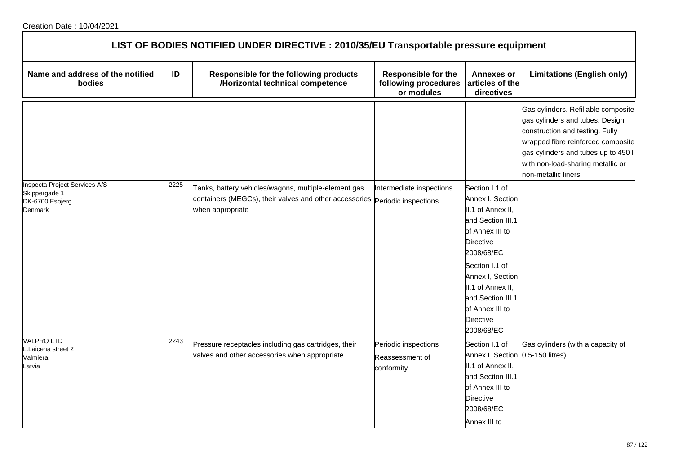|                                                                                     | LIST OF BODIES NOTIFIED UNDER DIRECTIVE : 2010/35/EU Transportable pressure equipment |                                                                                                                                                         |                                                                  |                                                                                                                                                                                                                                                                        |                                                                                                                                                                                                                                                      |  |  |
|-------------------------------------------------------------------------------------|---------------------------------------------------------------------------------------|---------------------------------------------------------------------------------------------------------------------------------------------------------|------------------------------------------------------------------|------------------------------------------------------------------------------------------------------------------------------------------------------------------------------------------------------------------------------------------------------------------------|------------------------------------------------------------------------------------------------------------------------------------------------------------------------------------------------------------------------------------------------------|--|--|
| Name and address of the notified<br>bodies                                          | ID                                                                                    | Responsible for the following products<br>/Horizontal technical competence                                                                              | <b>Responsible for the</b><br>following procedures<br>or modules | <b>Annexes or</b><br>articles of the<br>directives                                                                                                                                                                                                                     | <b>Limitations (English only)</b>                                                                                                                                                                                                                    |  |  |
|                                                                                     |                                                                                       |                                                                                                                                                         |                                                                  |                                                                                                                                                                                                                                                                        | Gas cylinders. Refillable composite<br>gas cylinders and tubes. Design,<br>construction and testing. Fully<br>wrapped fibre reinforced composite<br>gas cylinders and tubes up to 450 l<br>with non-load-sharing metallic or<br>non-metallic liners. |  |  |
| <b>Inspecta Project Services A/S</b><br>Skippergade 1<br>DK-6700 Esbjerg<br>Denmark | 2225                                                                                  | Tanks, battery vehicles/wagons, multiple-element gas<br>containers (MEGCs), their valves and other accessories periodic inspections<br>when appropriate | Intermediate inspections                                         | Section I.1 of<br>Annex I, Section<br>II.1 of Annex II,<br>and Section III.1<br>of Annex III to<br><b>Directive</b><br>2008/68/EC<br>Section I.1 of<br>Annex I, Section<br>II.1 of Annex II,<br>and Section III.1<br>of Annex III to<br><b>Directive</b><br>2008/68/EC |                                                                                                                                                                                                                                                      |  |  |
| <b>VALPROLTD</b><br>Laicena street 2.<br>Valmiera<br>Latvia                         | 2243                                                                                  | Pressure receptacles including gas cartridges, their<br>valves and other accessories when appropriate                                                   | Periodic inspections<br>Reassessment of<br>conformity            | Section I.1 of<br>Annex I, Section 0.5-150 litres)<br>II.1 of Annex II,<br>and Section III.1<br>of Annex III to<br><b>Directive</b><br>2008/68/EC<br>Annex III to                                                                                                      | Gas cylinders (with a capacity of                                                                                                                                                                                                                    |  |  |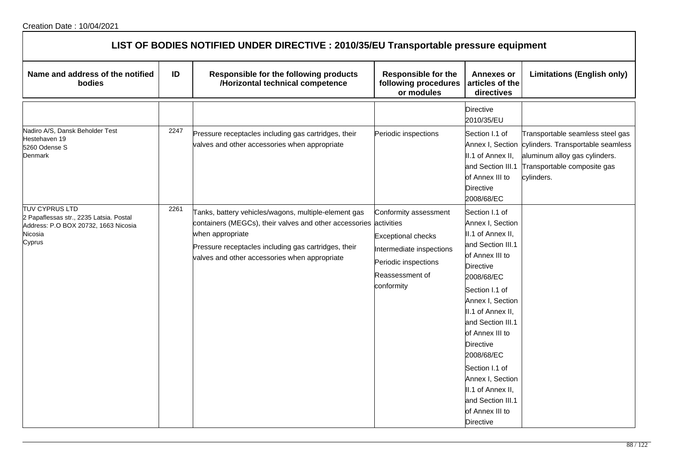| LIST OF BODIES NOTIFIED UNDER DIRECTIVE : 2010/35/EU Transportable pressure equipment                                         |      |                                                                                                                                                                                                                                                        |                                                                                                                                         |                                                                                                                                                                                                                                                                                                                                                                                        |                                                                                                                                                                      |  |
|-------------------------------------------------------------------------------------------------------------------------------|------|--------------------------------------------------------------------------------------------------------------------------------------------------------------------------------------------------------------------------------------------------------|-----------------------------------------------------------------------------------------------------------------------------------------|----------------------------------------------------------------------------------------------------------------------------------------------------------------------------------------------------------------------------------------------------------------------------------------------------------------------------------------------------------------------------------------|----------------------------------------------------------------------------------------------------------------------------------------------------------------------|--|
| Name and address of the notified<br>bodies                                                                                    | ID   | Responsible for the following products<br>/Horizontal technical competence                                                                                                                                                                             | <b>Responsible for the</b><br>following procedures<br>or modules                                                                        | <b>Annexes or</b><br>articles of the<br>directives                                                                                                                                                                                                                                                                                                                                     | <b>Limitations (English only)</b>                                                                                                                                    |  |
|                                                                                                                               |      |                                                                                                                                                                                                                                                        |                                                                                                                                         | <b>Directive</b><br>2010/35/EU                                                                                                                                                                                                                                                                                                                                                         |                                                                                                                                                                      |  |
| Nadiro A/S, Dansk Beholder Test<br>Hestehaven 19<br>5260 Odense S<br>Denmark                                                  | 2247 | Pressure receptacles including gas cartridges, their<br>valves and other accessories when appropriate                                                                                                                                                  | Periodic inspections                                                                                                                    | Section I.1 of<br>II.1 of Annex II,<br>and Section III.1<br>of Annex III to<br><b>Directive</b><br>2008/68/EC                                                                                                                                                                                                                                                                          | Transportable seamless steel gas<br>Annex I, Section cylinders. Transportable seamless<br>aluminum alloy gas cylinders.<br>Transportable composite gas<br>cylinders. |  |
| <b>TUV CYPRUS LTD</b><br>2 Papaflessas str., 2235 Latsia. Postal<br>Address: P.O BOX 20732, 1663 Nicosia<br>Nicosia<br>Cyprus | 2261 | Tanks, battery vehicles/wagons, multiple-element gas<br>containers (MEGCs), their valves and other accessories activities<br>when appropriate<br>Pressure receptacles including gas cartridges, their<br>valves and other accessories when appropriate | Conformity assessment<br><b>Exceptional checks</b><br>Intermediate inspections<br>Periodic inspections<br>Reassessment of<br>conformity | Section I.1 of<br>Annex I, Section<br>II.1 of Annex II,<br>and Section III.1<br>of Annex III to<br><b>Directive</b><br>2008/68/EC<br>Section I.1 of<br>Annex I, Section<br>II.1 of Annex II,<br>and Section III.1<br>of Annex III to<br><b>Directive</b><br>2008/68/EC<br>Section I.1 of<br>Annex I, Section<br>II.1 of Annex II,<br>and Section III.1<br>of Annex III to<br>Directive |                                                                                                                                                                      |  |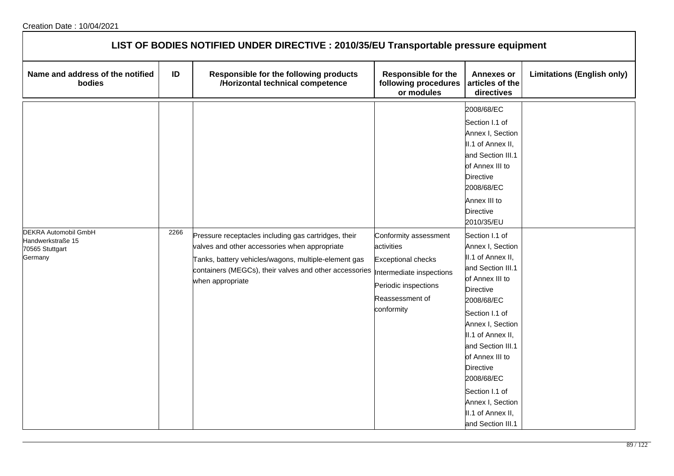| LIST OF BODIES NOTIFIED UNDER DIRECTIVE : 2010/35/EU Transportable pressure equipment |      |                                                                                                                                                                                                                                             |                                                                                                                                                       |                                                                                                                                                                                                                                                                                                                                                                                                                                                                                                                                                      |                                   |  |
|---------------------------------------------------------------------------------------|------|---------------------------------------------------------------------------------------------------------------------------------------------------------------------------------------------------------------------------------------------|-------------------------------------------------------------------------------------------------------------------------------------------------------|------------------------------------------------------------------------------------------------------------------------------------------------------------------------------------------------------------------------------------------------------------------------------------------------------------------------------------------------------------------------------------------------------------------------------------------------------------------------------------------------------------------------------------------------------|-----------------------------------|--|
| Name and address of the notified<br>bodies                                            | ID   | Responsible for the following products<br>/Horizontal technical competence                                                                                                                                                                  | <b>Responsible for the</b><br>following procedures<br>or modules                                                                                      | <b>Annexes or</b><br>articles of the<br>directives                                                                                                                                                                                                                                                                                                                                                                                                                                                                                                   | <b>Limitations (English only)</b> |  |
| DEKRA Automobil GmbH<br>Handwerkstraße 15<br>70565 Stuttgart<br>Germany               | 2266 | Pressure receptacles including gas cartridges, their<br>valves and other accessories when appropriate<br>Tanks, battery vehicles/wagons, multiple-element gas<br>containers (MEGCs), their valves and other accessories<br>when appropriate | Conformity assessment<br>activities<br><b>Exceptional checks</b><br>Intermediate inspections<br>Periodic inspections<br>Reassessment of<br>conformity | 2008/68/EC<br>Section I.1 of<br>Annex I, Section<br>II.1 of Annex II,<br>and Section III.1<br>of Annex III to<br><b>Directive</b><br>2008/68/EC<br>Annex III to<br>Directive<br>2010/35/EU<br>Section I.1 of<br>Annex I, Section<br>II.1 of Annex II,<br>and Section III.1<br>of Annex III to<br><b>Directive</b><br>2008/68/EC<br>Section I.1 of<br>Annex I, Section<br>II.1 of Annex II,<br>and Section III.1<br>of Annex III to<br><b>Directive</b><br>2008/68/EC<br>Section I.1 of<br>Annex I, Section<br>II.1 of Annex II,<br>and Section III.1 |                                   |  |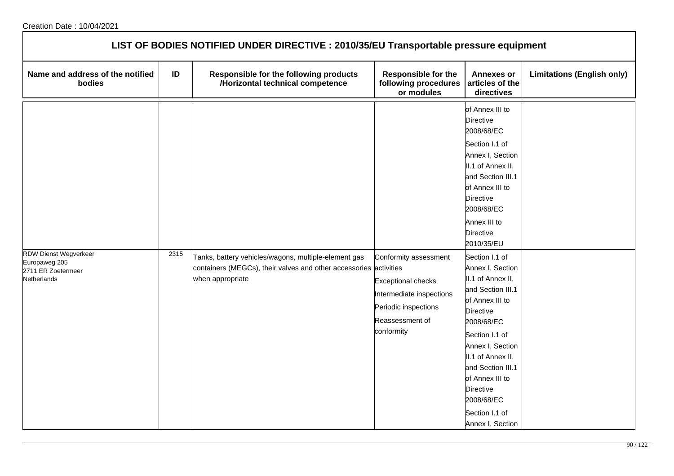| LIST OF BODIES NOTIFIED UNDER DIRECTIVE : 2010/35/EU Transportable pressure equipment |      |                                                                                                                           |                                                                                                                |                                                                                                                                                                                                                                                                  |                                   |  |
|---------------------------------------------------------------------------------------|------|---------------------------------------------------------------------------------------------------------------------------|----------------------------------------------------------------------------------------------------------------|------------------------------------------------------------------------------------------------------------------------------------------------------------------------------------------------------------------------------------------------------------------|-----------------------------------|--|
| Name and address of the notified<br>bodies                                            | ID   | Responsible for the following products<br>/Horizontal technical competence                                                | <b>Responsible for the</b><br>following procedures<br>or modules                                               | <b>Annexes or</b><br>articles of the<br>directives                                                                                                                                                                                                               | <b>Limitations (English only)</b> |  |
| <b>RDW Dienst Wegverkeer</b><br>Europaweg 205<br>2711 ER Zoetermeer                   | 2315 | Tanks, battery vehicles/wagons, multiple-element gas<br>containers (MEGCs), their valves and other accessories activities | Conformity assessment                                                                                          | of Annex III to<br>Directive<br>2008/68/EC<br>Section I.1 of<br>Annex I, Section<br>II.1 of Annex II,<br>and Section III.1<br>of Annex III to<br>Directive<br>2008/68/EC<br>Annex III to<br><b>Directive</b><br>2010/35/EU<br>Section I.1 of<br>Annex I, Section |                                   |  |
| Netherlands                                                                           |      | when appropriate                                                                                                          | <b>Exceptional checks</b><br>Intermediate inspections<br>Periodic inspections<br>Reassessment of<br>conformity | II.1 of Annex II,<br>and Section III.1<br>of Annex III to<br>Directive<br>2008/68/EC<br>Section I.1 of<br>Annex I, Section<br>II.1 of Annex II,<br>and Section III.1<br>of Annex III to<br>Directive<br>2008/68/EC<br>Section I.1 of<br>Annex I, Section         |                                   |  |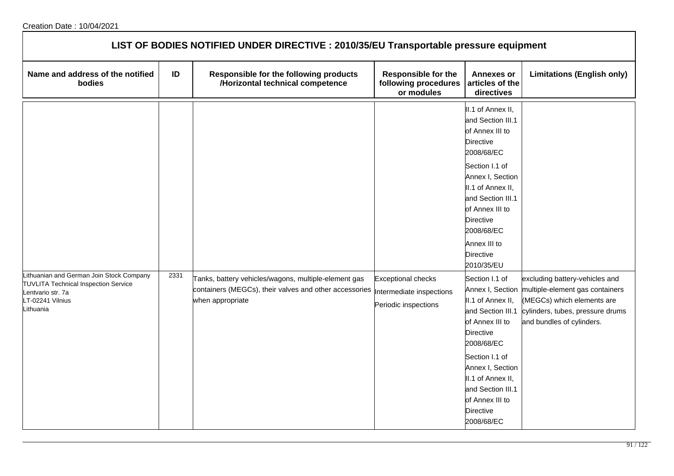| LIST OF BODIES NOTIFIED UNDER DIRECTIVE : 2010/35/EU Transportable pressure equipment                                                         |      |                                                                                                                                    |                                                                               |                                                                                                                                                                                                                                                               |                                                                                                                                                                                   |  |
|-----------------------------------------------------------------------------------------------------------------------------------------------|------|------------------------------------------------------------------------------------------------------------------------------------|-------------------------------------------------------------------------------|---------------------------------------------------------------------------------------------------------------------------------------------------------------------------------------------------------------------------------------------------------------|-----------------------------------------------------------------------------------------------------------------------------------------------------------------------------------|--|
| Name and address of the notified<br>bodies                                                                                                    | ID   | Responsible for the following products<br>/Horizontal technical competence                                                         | <b>Responsible for the</b><br>following procedures<br>or modules              | <b>Annexes or</b><br>articles of the<br>directives                                                                                                                                                                                                            | <b>Limitations (English only)</b>                                                                                                                                                 |  |
|                                                                                                                                               |      |                                                                                                                                    |                                                                               | II.1 of Annex II,<br>and Section III.1<br>of Annex III to<br>Directive<br>2008/68/EC<br>Section I.1 of<br>Annex I, Section<br>II.1 of Annex II,<br>and Section III.1<br>of Annex III to<br>Directive<br>2008/68/EC<br>Annex III to<br>Directive<br>2010/35/EU |                                                                                                                                                                                   |  |
| Lithuanian and German Join Stock Company<br><b>TUVLITA Technical Inspection Service</b><br>Lentvario str. 7a<br>LT-02241 Vilnius<br>Lithuania | 2331 | Tanks, battery vehicles/wagons, multiple-element gas<br>containers (MEGCs), their valves and other accessories<br>when appropriate | <b>Exceptional checks</b><br>Intermediate inspections<br>Periodic inspections | Section I.1 of<br>II.1 of Annex II,<br>and Section III.1<br>of Annex III to<br><b>Directive</b><br>2008/68/EC<br>Section I.1 of<br>Annex I, Section<br>II.1 of Annex II,<br>and Section III.1<br>of Annex III to<br><b>Directive</b><br>2008/68/EC            | excluding battery-vehicles and<br>Annex I, Section multiple-element gas containers<br>(MEGCs) which elements are<br>cylinders, tubes, pressure drums<br>and bundles of cylinders. |  |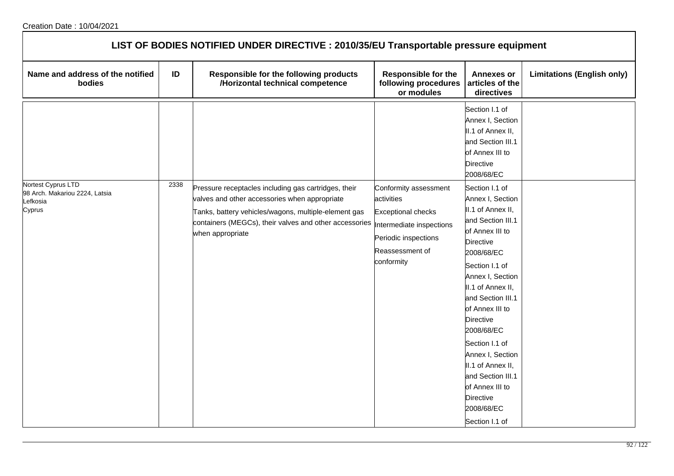| LIST OF BODIES NOTIFIED UNDER DIRECTIVE : 2010/35/EU Transportable pressure equipment |      |                                                                                                                                                                                                                                                  |                                                                                                                                                      |                                                                                                                                                                                                                                                                                                                                                                                                                               |                                   |  |  |
|---------------------------------------------------------------------------------------|------|--------------------------------------------------------------------------------------------------------------------------------------------------------------------------------------------------------------------------------------------------|------------------------------------------------------------------------------------------------------------------------------------------------------|-------------------------------------------------------------------------------------------------------------------------------------------------------------------------------------------------------------------------------------------------------------------------------------------------------------------------------------------------------------------------------------------------------------------------------|-----------------------------------|--|--|
| Name and address of the notified<br>bodies                                            | ID   | Responsible for the following products<br>/Horizontal technical competence                                                                                                                                                                       | <b>Responsible for the</b><br>following procedures<br>or modules                                                                                     | <b>Annexes or</b><br>articles of the<br>directives                                                                                                                                                                                                                                                                                                                                                                            | <b>Limitations (English only)</b> |  |  |
|                                                                                       |      |                                                                                                                                                                                                                                                  |                                                                                                                                                      | Section I.1 of<br>Annex I, Section<br>II.1 of Annex II,<br>and Section III.1<br>of Annex III to<br><b>Directive</b><br>2008/68/EC                                                                                                                                                                                                                                                                                             |                                   |  |  |
| Nortest Cyprus LTD<br>98 Arch. Makariou 2224, Latsia<br>Lefkosia<br>Cyprus            | 2338 | Pressure receptacles including gas cartridges, their<br>valves and other accessories when appropriate<br>Tanks, battery vehicles/wagons, multiple-element gas<br>containers (MEGCs), their valves and other accessories $\ $<br>when appropriate | Conformity assessment<br>activities<br><b>Exceptional checks</b><br>ntermediate inspections<br>Periodic inspections<br>Reassessment of<br>conformity | Section I.1 of<br>Annex I, Section<br>II.1 of Annex II,<br>and Section III.1<br>of Annex III to<br><b>Directive</b><br>2008/68/EC<br>Section I.1 of<br>Annex I, Section<br>II.1 of Annex II,<br>and Section III.1<br>of Annex III to<br><b>Directive</b><br>2008/68/EC<br>Section I.1 of<br>Annex I, Section<br>II.1 of Annex II,<br>and Section III.1<br>of Annex III to<br><b>Directive</b><br>2008/68/EC<br>Section I.1 of |                                   |  |  |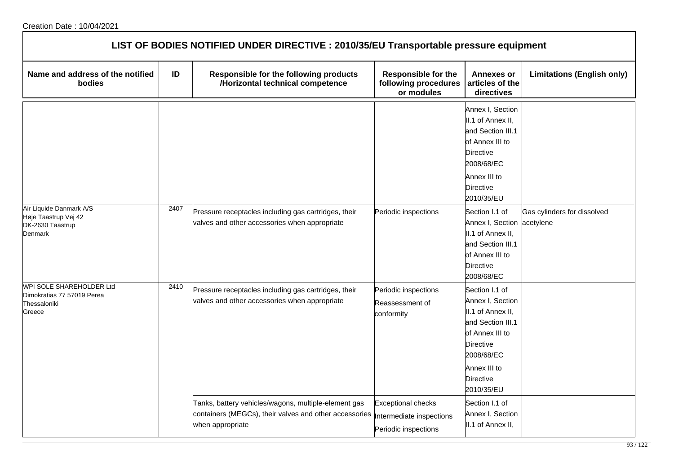| LIST OF BODIES NOTIFIED UNDER DIRECTIVE : 2010/35/EU Transportable pressure equipment |      |                                                                                                                                                              |                                                                  |                                                                                                                                                                                     |                                          |  |  |
|---------------------------------------------------------------------------------------|------|--------------------------------------------------------------------------------------------------------------------------------------------------------------|------------------------------------------------------------------|-------------------------------------------------------------------------------------------------------------------------------------------------------------------------------------|------------------------------------------|--|--|
| Name and address of the notified<br>bodies                                            | ID   | Responsible for the following products<br>/Horizontal technical competence                                                                                   | <b>Responsible for the</b><br>following procedures<br>or modules | <b>Annexes or</b><br>articles of the<br>directives                                                                                                                                  | <b>Limitations (English only)</b>        |  |  |
|                                                                                       |      |                                                                                                                                                              |                                                                  | Annex I, Section<br>II.1 of Annex II,<br>and Section III.1<br>of Annex III to<br>Directive<br>2008/68/EC<br>Annex III to<br><b>Directive</b><br>2010/35/EU                          |                                          |  |  |
| Air Liquide Danmark A/S<br>Høje Taastrup Vej 42<br>DK-2630 Taastrup<br>Denmark        | 2407 | Pressure receptacles including gas cartridges, their<br>valves and other accessories when appropriate                                                        | Periodic inspections                                             | Section I.1 of<br>Annex I, Section<br>II.1 of Annex II,<br>and Section III.1<br>of Annex III to<br><b>Directive</b><br>2008/68/EC                                                   | Gas cylinders for dissolved<br>acetylene |  |  |
| WPI SOLE SHAREHOLDER Ltd<br>Dimokratias 77 57019 Perea<br>Thessaloniki<br>Greece      | 2410 | Pressure receptacles including gas cartridges, their<br>valves and other accessories when appropriate                                                        | Periodic inspections<br>Reassessment of<br>conformity            | Section I.1 of<br>Annex I, Section<br>II.1 of Annex II,<br>and Section III.1<br>of Annex III to<br><b>Directive</b><br>2008/68/EC<br>Annex III to<br><b>Directive</b><br>2010/35/EU |                                          |  |  |
|                                                                                       |      | Tanks, battery vehicles/wagons, multiple-element gas<br>containers (MEGCs), their valves and other accessories  Intermediate inspections<br>when appropriate | <b>Exceptional checks</b><br>Periodic inspections                | Section I.1 of<br>Annex I, Section<br>II.1 of Annex II,                                                                                                                             |                                          |  |  |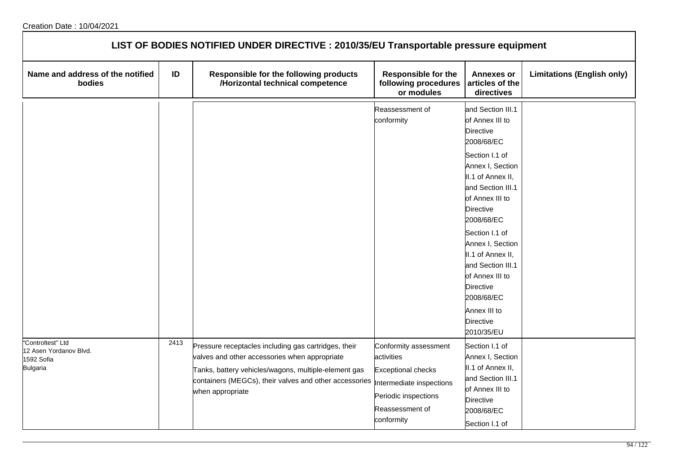| LIST OF BODIES NOTIFIED UNDER DIRECTIVE : 2010/35/EU Transportable pressure equipment |      |                                                                                                                                                                                                                                             |                                                                                                                                                      |                                                                                                                                                                                                                                                                                                                                                                                                    |                                   |  |  |
|---------------------------------------------------------------------------------------|------|---------------------------------------------------------------------------------------------------------------------------------------------------------------------------------------------------------------------------------------------|------------------------------------------------------------------------------------------------------------------------------------------------------|----------------------------------------------------------------------------------------------------------------------------------------------------------------------------------------------------------------------------------------------------------------------------------------------------------------------------------------------------------------------------------------------------|-----------------------------------|--|--|
| Name and address of the notified<br>bodies                                            | ID   | Responsible for the following products<br>/Horizontal technical competence                                                                                                                                                                  | <b>Responsible for the</b><br>following procedures<br>or modules                                                                                     | <b>Annexes or</b><br>articles of the<br>directives                                                                                                                                                                                                                                                                                                                                                 | <b>Limitations (English only)</b> |  |  |
|                                                                                       |      |                                                                                                                                                                                                                                             | Reassessment of<br>conformity                                                                                                                        | and Section III.1<br>of Annex III to<br><b>Directive</b><br>2008/68/EC<br>Section I.1 of<br>Annex I, Section<br>II.1 of Annex II,<br>and Section III.1<br>of Annex III to<br><b>Directive</b><br>2008/68/EC<br>Section I.1 of<br>Annex I, Section<br>II.1 of Annex II,<br>and Section III.1<br>of Annex III to<br><b>Directive</b><br>2008/68/EC<br>Annex III to<br><b>Directive</b><br>2010/35/EU |                                   |  |  |
| "Controltest" Ltd<br>12 Asen Yordanov Blvd.<br>1592 Sofia<br><b>Bulgaria</b>          | 2413 | Pressure receptacles including gas cartridges, their<br>valves and other accessories when appropriate<br>Tanks, battery vehicles/wagons, multiple-element gas<br>containers (MEGCs), their valves and other accessories<br>when appropriate | Conformity assessment<br>activities<br><b>Exceptional checks</b><br>ntermediate inspections<br>Periodic inspections<br>Reassessment of<br>conformity | Section I.1 of<br>Annex I, Section<br>II.1 of Annex II,<br>and Section III.1<br>of Annex III to<br><b>Directive</b><br>2008/68/EC<br>Section I.1 of                                                                                                                                                                                                                                                |                                   |  |  |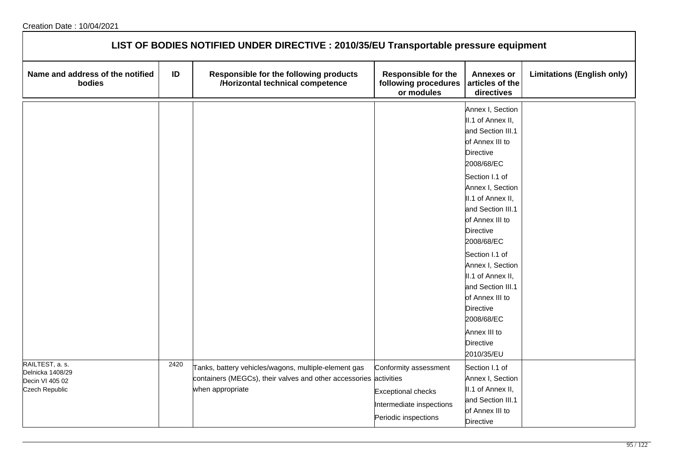| LIST OF BODIES NOTIFIED UNDER DIRECTIVE : 2010/35/EU Transportable pressure equipment |      |                                                                                                                                               |                                                                                                        |                                                                                                                                                                                                                                                                                                                                                                                                                 |                                   |  |  |
|---------------------------------------------------------------------------------------|------|-----------------------------------------------------------------------------------------------------------------------------------------------|--------------------------------------------------------------------------------------------------------|-----------------------------------------------------------------------------------------------------------------------------------------------------------------------------------------------------------------------------------------------------------------------------------------------------------------------------------------------------------------------------------------------------------------|-----------------------------------|--|--|
| Name and address of the notified<br>bodies                                            | ID   | Responsible for the following products<br>/Horizontal technical competence                                                                    | <b>Responsible for the</b><br>following procedures<br>or modules                                       | <b>Annexes or</b><br>articles of the<br>directives                                                                                                                                                                                                                                                                                                                                                              | <b>Limitations (English only)</b> |  |  |
|                                                                                       |      |                                                                                                                                               |                                                                                                        | Annex I, Section<br>II.1 of Annex II,<br>and Section III.1<br>of Annex III to<br>Directive<br>2008/68/EC<br>Section I.1 of<br>Annex I, Section<br>II.1 of Annex II,<br>and Section III.1<br>of Annex III to<br>Directive<br>2008/68/EC<br>Section I.1 of<br>Annex I, Section<br>II.1 of Annex II,<br>and Section III.1<br>of Annex III to<br>Directive<br>2008/68/EC<br>Annex III to<br>Directive<br>2010/35/EU |                                   |  |  |
| RAILTEST, a. s.<br>Delnicka 1408/29<br>Decin VI 405 02<br>Czech Republic              | 2420 | Tanks, battery vehicles/wagons, multiple-element gas<br>containers (MEGCs), their valves and other accessories activities<br>when appropriate | Conformity assessment<br><b>Exceptional checks</b><br>Intermediate inspections<br>Periodic inspections | Section I.1 of<br>Annex I, Section<br>II.1 of Annex II,<br>and Section III.1<br>of Annex III to<br>Directive                                                                                                                                                                                                                                                                                                    |                                   |  |  |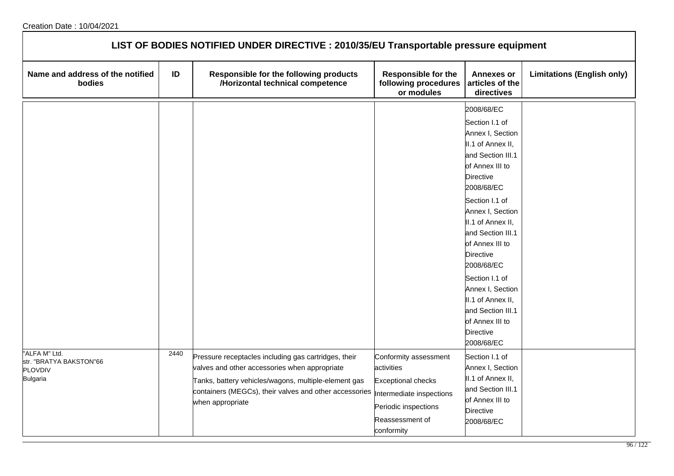| LIST OF BODIES NOTIFIED UNDER DIRECTIVE : 2010/35/EU Transportable pressure equipment |      |                                                                                                                                                                                                                                                                       |                                                                                                                           |                                                                                                                                                                                                                                                                                                                                                                                                      |                                   |  |  |
|---------------------------------------------------------------------------------------|------|-----------------------------------------------------------------------------------------------------------------------------------------------------------------------------------------------------------------------------------------------------------------------|---------------------------------------------------------------------------------------------------------------------------|------------------------------------------------------------------------------------------------------------------------------------------------------------------------------------------------------------------------------------------------------------------------------------------------------------------------------------------------------------------------------------------------------|-----------------------------------|--|--|
| Name and address of the notified<br>bodies                                            | ID   | Responsible for the following products<br>/Horizontal technical competence                                                                                                                                                                                            | <b>Responsible for the</b><br>following procedures<br>or modules                                                          | <b>Annexes or</b><br>articles of the<br>directives                                                                                                                                                                                                                                                                                                                                                   | <b>Limitations (English only)</b> |  |  |
|                                                                                       |      |                                                                                                                                                                                                                                                                       |                                                                                                                           | 2008/68/EC<br>Section I.1 of<br>Annex I, Section<br>II.1 of Annex II,<br>and Section III.1<br>of Annex III to<br>Directive<br>2008/68/EC<br>Section I.1 of<br>Annex I, Section<br>II.1 of Annex II,<br>and Section III.1<br>of Annex III to<br>Directive<br>2008/68/EC<br>Section I.1 of<br>Annex I, Section<br>II.1 of Annex II,<br>and Section III.1<br>of Annex III to<br>Directive<br>2008/68/EC |                                   |  |  |
| "ALFA M" Ltd.<br>str. "BRATYA BAKSTON"66<br>PLOVDIV<br><b>Bulgaria</b>                | 2440 | Pressure receptacles including gas cartridges, their<br>valves and other accessories when appropriate<br>Tanks, battery vehicles/wagons, multiple-element gas<br>containers (MEGCs), their valves and other accessories  Intermediate inspections<br>when appropriate | Conformity assessment<br>activities<br><b>Exceptional checks</b><br>Periodic inspections<br>Reassessment of<br>conformity | Section I.1 of<br>Annex I, Section<br>II.1 of Annex II,<br>and Section III.1<br>of Annex III to<br>Directive<br>2008/68/EC                                                                                                                                                                                                                                                                           |                                   |  |  |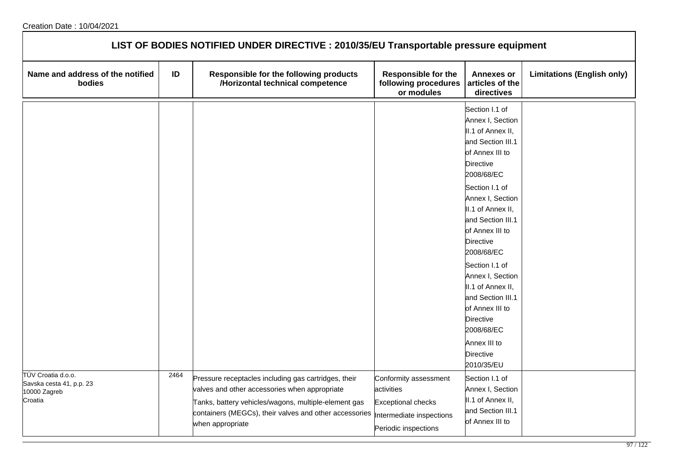| LIST OF BODIES NOTIFIED UNDER DIRECTIVE : 2010/35/EU Transportable pressure equipment |      |                                                                                                                                                                                                                                             |                                                                                                                      |                                                                                                                                   |                                   |  |  |
|---------------------------------------------------------------------------------------|------|---------------------------------------------------------------------------------------------------------------------------------------------------------------------------------------------------------------------------------------------|----------------------------------------------------------------------------------------------------------------------|-----------------------------------------------------------------------------------------------------------------------------------|-----------------------------------|--|--|
| Name and address of the notified<br>bodies                                            | ID   | Responsible for the following products<br>/Horizontal technical competence                                                                                                                                                                  | <b>Responsible for the</b><br>following procedures articles of the<br>or modules                                     | <b>Annexes or</b><br>directives                                                                                                   | <b>Limitations (English only)</b> |  |  |
|                                                                                       |      |                                                                                                                                                                                                                                             |                                                                                                                      | Section I.1 of<br>Annex I, Section<br>II.1 of Annex II,<br>and Section III.1<br>of Annex III to<br><b>Directive</b><br>2008/68/EC |                                   |  |  |
|                                                                                       |      |                                                                                                                                                                                                                                             |                                                                                                                      | Section I.1 of<br>Annex I, Section<br>II.1 of Annex II,<br>and Section III.1<br>of Annex III to<br><b>Directive</b><br>2008/68/EC |                                   |  |  |
|                                                                                       |      |                                                                                                                                                                                                                                             |                                                                                                                      | Section I.1 of<br>Annex I, Section<br>II.1 of Annex II,<br>and Section III.1<br>of Annex III to<br><b>Directive</b><br>2008/68/EC |                                   |  |  |
|                                                                                       |      |                                                                                                                                                                                                                                             |                                                                                                                      | Annex III to<br><b>Directive</b><br>2010/35/EU                                                                                    |                                   |  |  |
| TÜV Croatia d.o.o.<br>Savska cesta 41, p.p. 23<br>10000 Zagreb<br>Croatia             | 2464 | Pressure receptacles including gas cartridges, their<br>valves and other accessories when appropriate<br>Tanks, battery vehicles/wagons, multiple-element gas<br>containers (MEGCs), their valves and other accessories<br>when appropriate | Conformity assessment<br>activities<br><b>Exceptional checks</b><br>Intermediate inspections<br>Periodic inspections | Section I.1 of<br>Annex I, Section<br>II.1 of Annex II,<br>and Section III.1<br>of Annex III to                                   |                                   |  |  |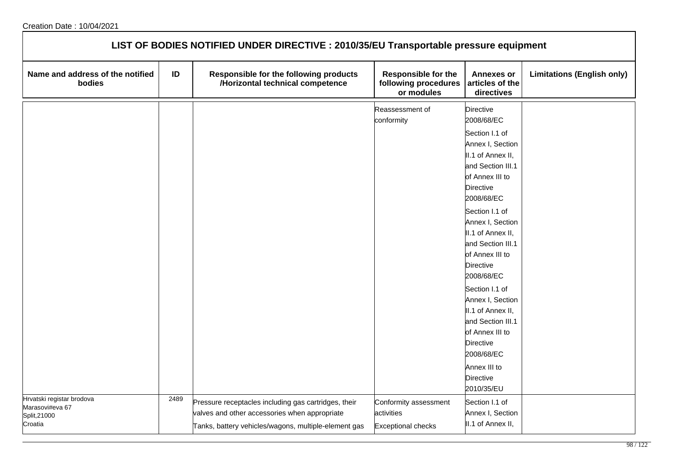| LIST OF BODIES NOTIFIED UNDER DIRECTIVE : 2010/35/EU Transportable pressure equipment |      |                                                                                                                                                               |                                                                  |                                                                                                                                                                                                                                                                                                                                                                                                                                                                     |                                   |  |  |
|---------------------------------------------------------------------------------------|------|---------------------------------------------------------------------------------------------------------------------------------------------------------------|------------------------------------------------------------------|---------------------------------------------------------------------------------------------------------------------------------------------------------------------------------------------------------------------------------------------------------------------------------------------------------------------------------------------------------------------------------------------------------------------------------------------------------------------|-----------------------------------|--|--|
| Name and address of the notified<br>bodies                                            | ID   | Responsible for the following products<br>/Horizontal technical competence                                                                                    | <b>Responsible for the</b><br>following procedures<br>or modules | <b>Annexes or</b><br>articles of the<br>directives                                                                                                                                                                                                                                                                                                                                                                                                                  | <b>Limitations (English only)</b> |  |  |
|                                                                                       |      |                                                                                                                                                               | Reassessment of<br>conformity                                    | <b>Directive</b><br>2008/68/EC<br>Section I.1 of<br>Annex I, Section<br>II.1 of Annex II,<br>and Section III.1<br>of Annex III to<br>Directive<br>2008/68/EC<br>Section I.1 of<br>Annex I, Section<br>II.1 of Annex II,<br>and Section III.1<br>of Annex III to<br>Directive<br>2008/68/EC<br>Section I.1 of<br>Annex I, Section<br>II.1 of Annex II,<br>and Section III.1<br>of Annex III to<br>Directive<br>2008/68/EC<br>Annex III to<br>Directive<br>2010/35/EU |                                   |  |  |
| Hrvatski registar brodova<br>Marasovi#eva 67<br>Split, 21000<br>Croatia               | 2489 | Pressure receptacles including gas cartridges, their<br>valves and other accessories when appropriate<br>Tanks, battery vehicles/wagons, multiple-element gas | Conformity assessment<br>activities<br><b>Exceptional checks</b> | Section I.1 of<br>Annex I, Section<br>II.1 of Annex II,                                                                                                                                                                                                                                                                                                                                                                                                             |                                   |  |  |

٦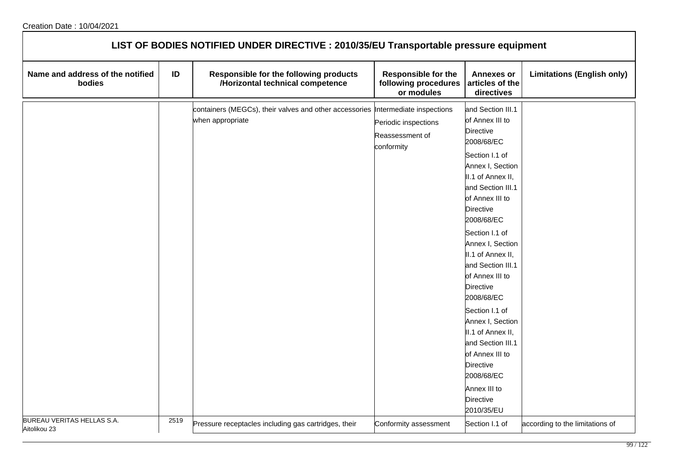| LIST OF BODIES NOTIFIED UNDER DIRECTIVE : 2010/35/EU Transportable pressure equipment |      |                                                                                                     |                                                                  |                                                                                                                                                                                                                                                                                                                                                                                                                                                                                                                                         |                                   |  |  |
|---------------------------------------------------------------------------------------|------|-----------------------------------------------------------------------------------------------------|------------------------------------------------------------------|-----------------------------------------------------------------------------------------------------------------------------------------------------------------------------------------------------------------------------------------------------------------------------------------------------------------------------------------------------------------------------------------------------------------------------------------------------------------------------------------------------------------------------------------|-----------------------------------|--|--|
| Name and address of the notified<br>bodies                                            | ID   | Responsible for the following products<br>/Horizontal technical competence                          | <b>Responsible for the</b><br>following procedures<br>or modules | <b>Annexes or</b><br>articles of the<br>directives                                                                                                                                                                                                                                                                                                                                                                                                                                                                                      | <b>Limitations (English only)</b> |  |  |
|                                                                                       |      | containers (MEGCs), their valves and other accessories Intermediate inspections<br>when appropriate | Periodic inspections<br>Reassessment of<br>conformity            | and Section III.1<br>of Annex III to<br><b>Directive</b><br>2008/68/EC<br>Section I.1 of<br>Annex I, Section<br>II.1 of Annex II,<br>and Section III.1<br>of Annex III to<br><b>Directive</b><br>2008/68/EC<br>Section I.1 of<br>Annex I, Section<br>II.1 of Annex II,<br>and Section III.1<br>of Annex III to<br><b>Directive</b><br>2008/68/EC<br>Section I.1 of<br>Annex I, Section<br>II.1 of Annex II,<br>and Section III.1<br>of Annex III to<br><b>Directive</b><br>2008/68/EC<br>Annex III to<br><b>Directive</b><br>2010/35/EU |                                   |  |  |
| BUREAU VERITAS HELLAS S.A.<br>Aitolikou 23                                            | 2519 | Pressure receptacles including gas cartridges, their                                                | Conformity assessment                                            | Section I.1 of                                                                                                                                                                                                                                                                                                                                                                                                                                                                                                                          | according to the limitations of   |  |  |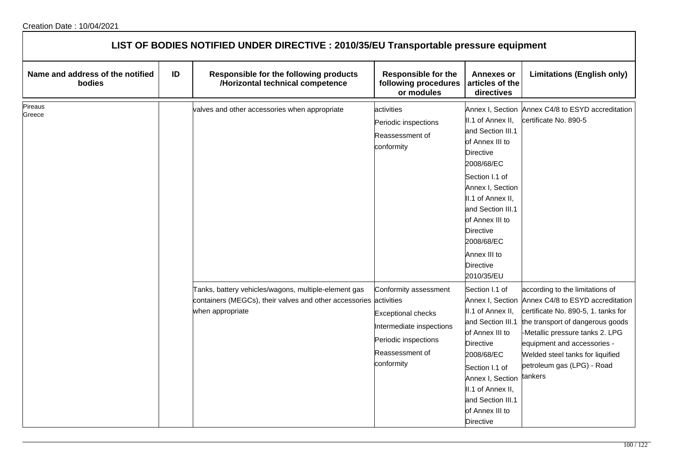|                                                   | LIST OF BODIES NOTIFIED UNDER DIRECTIVE : 2010/35/EU Transportable pressure equipment |                                                                                                                                               |                                                                                                                                         |                                                                                                                                                                                                                                                                                                        |                                                                                                                                                                                                                                                                                               |  |  |
|---------------------------------------------------|---------------------------------------------------------------------------------------|-----------------------------------------------------------------------------------------------------------------------------------------------|-----------------------------------------------------------------------------------------------------------------------------------------|--------------------------------------------------------------------------------------------------------------------------------------------------------------------------------------------------------------------------------------------------------------------------------------------------------|-----------------------------------------------------------------------------------------------------------------------------------------------------------------------------------------------------------------------------------------------------------------------------------------------|--|--|
| Name and address of the notified<br><b>bodies</b> | ID                                                                                    | Responsible for the following products<br>/Horizontal technical competence                                                                    | <b>Responsible for the</b><br>following procedures<br>or modules                                                                        | <b>Annexes or</b><br>articles of the<br>directives                                                                                                                                                                                                                                                     | <b>Limitations (English only)</b>                                                                                                                                                                                                                                                             |  |  |
| Pireaus<br>Greece                                 |                                                                                       | valves and other accessories when appropriate                                                                                                 | activities<br>Periodic inspections<br>Reassessment of<br>conformity                                                                     | Annex I, Section<br>II.1 of Annex II,<br>and Section III.1<br>of Annex III to<br><b>Directive</b><br>2008/68/EC<br>Section I.1 of<br>Annex I, Section<br>II.1 of Annex II,<br>and Section III.1<br>of Annex III to<br><b>Directive</b><br>2008/68/EC<br>Annex III to<br><b>Directive</b><br>2010/35/EU | Annex C4/8 to ESYD accreditation<br>certificate No. 890-5                                                                                                                                                                                                                                     |  |  |
|                                                   |                                                                                       | Tanks, battery vehicles/wagons, multiple-element gas<br>containers (MEGCs), their valves and other accessories activities<br>when appropriate | Conformity assessment<br><b>Exceptional checks</b><br>Intermediate inspections<br>Periodic inspections<br>Reassessment of<br>conformity | Section I.1 of<br>Annex I, Section<br>II.1 of Annex II,<br>and Section III.1<br>of Annex III to<br><b>Directive</b><br>2008/68/EC<br>Section I.1 of<br>Annex I, Section<br>II.1 of Annex II,<br>and Section III.1<br>of Annex III to<br>Directive                                                      | according to the limitations of<br>Annex C4/8 to ESYD accreditation<br>certificate No. 890-5, 1. tanks for<br>the transport of dangerous goods<br>-Metallic pressure tanks 2. LPG<br>equipment and accessories -<br>Welded steel tanks for liquified<br>petroleum gas (LPG) - Road<br>tankers |  |  |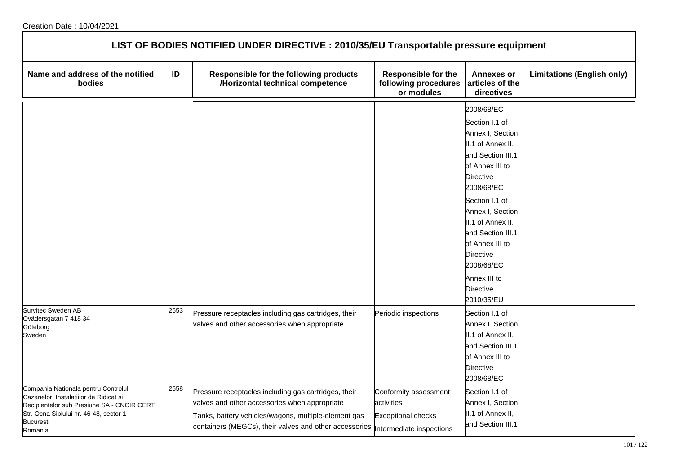| LIST OF BODIES NOTIFIED UNDER DIRECTIVE : 2010/35/EU Transportable pressure equipment                                                                                                                |      |                                                                                                                                                                                                                                                   |                                                                  |                                                                                                                                                                                                                                                                                                                                        |                                   |  |  |
|------------------------------------------------------------------------------------------------------------------------------------------------------------------------------------------------------|------|---------------------------------------------------------------------------------------------------------------------------------------------------------------------------------------------------------------------------------------------------|------------------------------------------------------------------|----------------------------------------------------------------------------------------------------------------------------------------------------------------------------------------------------------------------------------------------------------------------------------------------------------------------------------------|-----------------------------------|--|--|
| Name and address of the notified<br>bodies                                                                                                                                                           | ID   | Responsible for the following products<br>/Horizontal technical competence                                                                                                                                                                        | <b>Responsible for the</b><br>following procedures<br>or modules | <b>Annexes or</b><br>articles of the<br>directives                                                                                                                                                                                                                                                                                     | <b>Limitations (English only)</b> |  |  |
|                                                                                                                                                                                                      |      |                                                                                                                                                                                                                                                   |                                                                  | 2008/68/EC<br>Section I.1 of<br>Annex I, Section<br>II.1 of Annex II,<br>and Section III.1<br>of Annex III to<br><b>Directive</b><br>2008/68/EC<br>Section I.1 of<br>Annex I, Section<br>II.1 of Annex II,<br>and Section III.1<br>of Annex III to<br><b>Directive</b><br>2008/68/EC<br>Annex III to<br><b>Directive</b><br>2010/35/EU |                                   |  |  |
| Survitec Sweden AB<br>Ovädersgatan 7 418 34<br>Göteborg<br>Sweden                                                                                                                                    | 2553 | Pressure receptacles including gas cartridges, their<br>valves and other accessories when appropriate                                                                                                                                             | Periodic inspections                                             | Section I.1 of<br>Annex I, Section<br>II.1 of Annex II,<br>and Section III.1<br>of Annex III to<br><b>Directive</b><br>2008/68/EC                                                                                                                                                                                                      |                                   |  |  |
| Compania Nationala pentru Controlul<br>Cazanelor, Instalatiilor de Ridicat si<br>Recipientelor sub Presiune SA - CNCIR CERT<br>Str. Ocna Sibiului nr. 46-48, sector 1<br><b>Bucuresti</b><br>Romania | 2558 | Pressure receptacles including gas cartridges, their<br>valves and other accessories when appropriate<br>Tanks, battery vehicles/wagons, multiple-element gas<br>containers (MEGCs), their valves and other accessories  Intermediate inspections | Conformity assessment<br>activities<br><b>Exceptional checks</b> | Section I.1 of<br>Annex I, Section<br>II.1 of Annex II,<br>and Section III.1                                                                                                                                                                                                                                                           |                                   |  |  |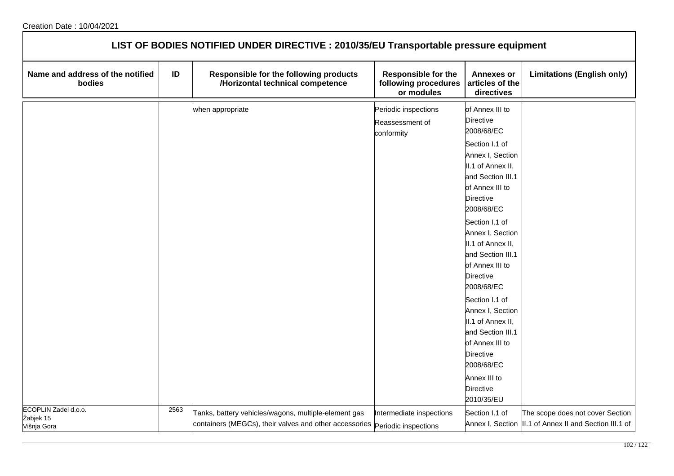| LIST OF BODIES NOTIFIED UNDER DIRECTIVE : 2010/35/EU Transportable pressure equipment |      |                                                                                                                                     |                                                           |                                                                                                                                                                                                                                                                                                                                                                                                                                                                                                             |                                                                                             |  |  |
|---------------------------------------------------------------------------------------|------|-------------------------------------------------------------------------------------------------------------------------------------|-----------------------------------------------------------|-------------------------------------------------------------------------------------------------------------------------------------------------------------------------------------------------------------------------------------------------------------------------------------------------------------------------------------------------------------------------------------------------------------------------------------------------------------------------------------------------------------|---------------------------------------------------------------------------------------------|--|--|
| Name and address of the notified<br>bodies                                            | ID   | Responsible for the following products<br>/Horizontal technical competence                                                          | Responsible for the<br>following procedures<br>or modules | <b>Annexes or</b><br>articles of the<br>directives                                                                                                                                                                                                                                                                                                                                                                                                                                                          | <b>Limitations (English only)</b>                                                           |  |  |
| ECOPLIN Zadel d.o.o.                                                                  | 2563 | when appropriate                                                                                                                    | Periodic inspections<br>Reassessment of<br>conformity     | of Annex III to<br>Directive<br>2008/68/EC<br>Section I.1 of<br>Annex I, Section<br>II.1 of Annex II,<br>and Section III.1<br>of Annex III to<br><b>Directive</b><br>2008/68/EC<br>Section I.1 of<br>Annex I, Section<br>II.1 of Annex II,<br>and Section III.1<br>of Annex III to<br><b>Directive</b><br>2008/68/EC<br>Section I.1 of<br>Annex I, Section<br>II.1 of Annex II,<br>and Section III.1<br>of Annex III to<br><b>Directive</b><br>2008/68/EC<br>Annex III to<br><b>Directive</b><br>2010/35/EU |                                                                                             |  |  |
| Žabjek 15<br>Višnja Gora                                                              |      | Tanks, battery vehicles/wagons, multiple-element gas<br>containers (MEGCs), their valves and other accessories Periodic inspections | Intermediate inspections                                  | Section I.1 of                                                                                                                                                                                                                                                                                                                                                                                                                                                                                              | The scope does not cover Section<br>Annex I, Section  II.1 of Annex II and Section III.1 of |  |  |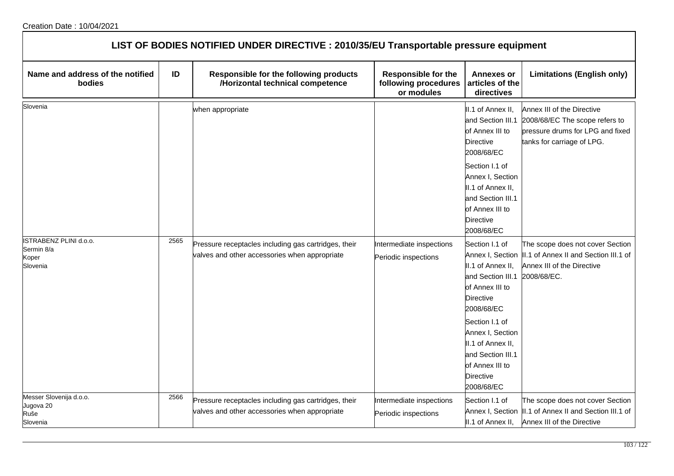| LIST OF BODIES NOTIFIED UNDER DIRECTIVE : 2010/35/EU Transportable pressure equipment |      |                                                                                                       |                                                                  |                                                                                                                                                                                                                                                    |                                                                                                                                          |  |
|---------------------------------------------------------------------------------------|------|-------------------------------------------------------------------------------------------------------|------------------------------------------------------------------|----------------------------------------------------------------------------------------------------------------------------------------------------------------------------------------------------------------------------------------------------|------------------------------------------------------------------------------------------------------------------------------------------|--|
| Name and address of the notified<br>bodies                                            | ID   | Responsible for the following products<br>/Horizontal technical competence                            | <b>Responsible for the</b><br>following procedures<br>or modules | <b>Annexes or</b><br>articles of the<br>directives                                                                                                                                                                                                 | <b>Limitations (English only)</b>                                                                                                        |  |
| Slovenia                                                                              |      | when appropriate                                                                                      |                                                                  | II.1 of Annex II,<br>and Section III.1<br>of Annex III to<br><b>Directive</b><br>2008/68/EC<br>Section I.1 of<br>Annex I, Section<br>II.1 of Annex II,<br>and Section III.1<br>of Annex III to<br><b>Directive</b><br>2008/68/EC                   | Annex III of the Directive<br>2008/68/EC The scope refers to<br>pressure drums for LPG and fixed<br>tanks for carriage of LPG.           |  |
| ISTRABENZ PLINI d.o.o.<br>Sermin 8/a<br>Koper<br>Slovenia                             | 2565 | Pressure receptacles including gas cartridges, their<br>valves and other accessories when appropriate | Intermediate inspections<br>Periodic inspections                 | Section I.1 of<br>II.1 of Annex II,<br>and Section III.1<br>of Annex III to<br><b>Directive</b><br>2008/68/EC<br>Section I.1 of<br>Annex I, Section<br>II.1 of Annex II,<br>and Section III.1<br>of Annex III to<br><b>Directive</b><br>2008/68/EC | The scope does not cover Section<br>Annex I, Section  II.1 of Annex II and Section III.1 of<br>Annex III of the Directive<br>2008/68/EC. |  |
| Messer Slovenija d.o.o.<br>Jugova 20<br>Ruše<br>Slovenia                              | 2566 | Pressure receptacles including gas cartridges, their<br>valves and other accessories when appropriate | Intermediate inspections<br>Periodic inspections                 | Section I.1 of<br>II.1 of Annex II,                                                                                                                                                                                                                | The scope does not cover Section<br>Annex I, Section  II.1 of Annex II and Section III.1 of<br>Annex III of the Directive                |  |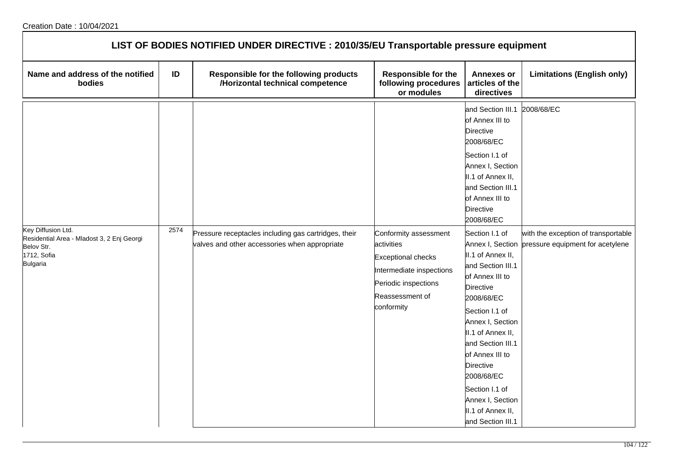| LIST OF BODIES NOTIFIED UNDER DIRECTIVE : 2010/35/EU Transportable pressure equipment                            |      |                                                                                                       |                                                                                                                                                       |                                                                                                                                                                                                                                                                                                                                                                                                                                                                                                                              |                                                                                                        |  |  |
|------------------------------------------------------------------------------------------------------------------|------|-------------------------------------------------------------------------------------------------------|-------------------------------------------------------------------------------------------------------------------------------------------------------|------------------------------------------------------------------------------------------------------------------------------------------------------------------------------------------------------------------------------------------------------------------------------------------------------------------------------------------------------------------------------------------------------------------------------------------------------------------------------------------------------------------------------|--------------------------------------------------------------------------------------------------------|--|--|
| Name and address of the notified<br>bodies                                                                       | ID   | Responsible for the following products<br>/Horizontal technical competence                            | <b>Responsible for the</b><br>following procedures<br>or modules                                                                                      | <b>Annexes or</b><br>articles of the<br>directives                                                                                                                                                                                                                                                                                                                                                                                                                                                                           | <b>Limitations (English only)</b>                                                                      |  |  |
| Key Diffusion Ltd.<br>Residential Area - Mladost 3, 2 Enj Georgi<br>Belov Str.<br>1712, Sofia<br><b>Bulgaria</b> | 2574 | Pressure receptacles including gas cartridges, their<br>valves and other accessories when appropriate | Conformity assessment<br>activities<br><b>Exceptional checks</b><br>Intermediate inspections<br>Periodic inspections<br>Reassessment of<br>conformity | and Section III.1<br>of Annex III to<br>Directive<br>2008/68/EC<br>Section I.1 of<br>Annex I, Section<br>II.1 of Annex II,<br>and Section III.1<br>of Annex III to<br><b>Directive</b><br>2008/68/EC<br>Section I.1 of<br>II.1 of Annex II,<br>and Section III.1<br>of Annex III to<br>Directive<br>2008/68/EC<br>Section I.1 of<br>Annex I, Section<br>II.1 of Annex II,<br>and Section III.1<br>of Annex III to<br>Directive<br>2008/68/EC<br>Section I.1 of<br>Annex I, Section<br>II.1 of Annex II,<br>and Section III.1 | 2008/68/EC<br>with the exception of transportable<br>Annex I, Section pressure equipment for acetylene |  |  |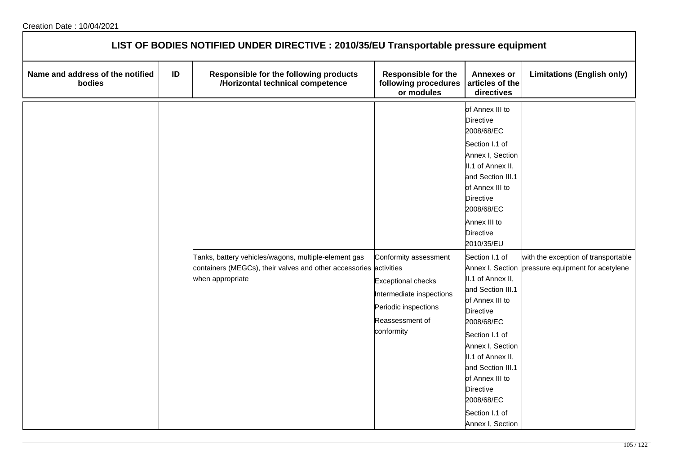| LIST OF BODIES NOTIFIED UNDER DIRECTIVE : 2010/35/EU Transportable pressure equipment |    |                                                                                                                                               |                                                                                                                                         |                                                                                                                                                                                                                                                                                                                                                                            |                                                                         |  |
|---------------------------------------------------------------------------------------|----|-----------------------------------------------------------------------------------------------------------------------------------------------|-----------------------------------------------------------------------------------------------------------------------------------------|----------------------------------------------------------------------------------------------------------------------------------------------------------------------------------------------------------------------------------------------------------------------------------------------------------------------------------------------------------------------------|-------------------------------------------------------------------------|--|
| Name and address of the notified<br>bodies                                            | ID | Responsible for the following products<br>/Horizontal technical competence                                                                    | <b>Responsible for the</b><br>following procedures<br>or modules                                                                        | <b>Annexes or</b><br>articles of the<br>directives                                                                                                                                                                                                                                                                                                                         | <b>Limitations (English only)</b>                                       |  |
|                                                                                       |    | Tanks, battery vehicles/wagons, multiple-element gas<br>containers (MEGCs), their valves and other accessories activities<br>when appropriate | Conformity assessment<br><b>Exceptional checks</b><br>Intermediate inspections<br>Periodic inspections<br>Reassessment of<br>conformity | of Annex III to<br>Directive<br>2008/68/EC<br>Section I.1 of<br>Annex I, Section<br>II.1 of Annex II,<br>and Section III.1<br>of Annex III to<br>Directive<br>2008/68/EC<br>Annex III to<br>Directive<br>2010/35/EU<br>Section I.1 of<br>Annex I, Section<br>II.1 of Annex II,<br>and Section III.1<br>of Annex III to<br><b>Directive</b><br>2008/68/EC<br>Section I.1 of | with the exception of transportable<br>pressure equipment for acetylene |  |
|                                                                                       |    |                                                                                                                                               |                                                                                                                                         | Annex I, Section<br>II.1 of Annex II,<br>and Section III.1<br>of Annex III to<br>Directive<br>2008/68/EC                                                                                                                                                                                                                                                                   |                                                                         |  |
|                                                                                       |    |                                                                                                                                               |                                                                                                                                         | Section I.1 of<br>Annex I, Section                                                                                                                                                                                                                                                                                                                                         |                                                                         |  |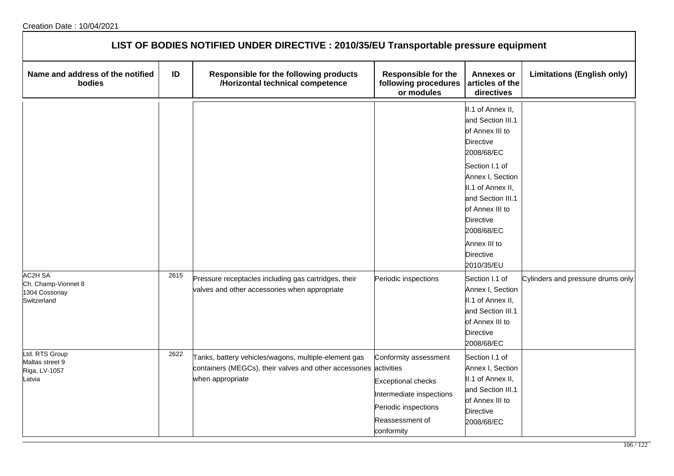|                                                        | LIST OF BODIES NOTIFIED UNDER DIRECTIVE : 2010/35/EU Transportable pressure equipment |                                                                                                       |                                                                                                                |                                                                                                                                                                                                                                                                                                                   |                                   |  |  |
|--------------------------------------------------------|---------------------------------------------------------------------------------------|-------------------------------------------------------------------------------------------------------|----------------------------------------------------------------------------------------------------------------|-------------------------------------------------------------------------------------------------------------------------------------------------------------------------------------------------------------------------------------------------------------------------------------------------------------------|-----------------------------------|--|--|
| Name and address of the notified<br>bodies             | ID                                                                                    | Responsible for the following products<br>/Horizontal technical competence                            | <b>Responsible for the</b><br>following procedures<br>or modules                                               | <b>Annexes or</b><br>articles of the<br>directives                                                                                                                                                                                                                                                                | <b>Limitations (English only)</b> |  |  |
| <b>AC2H SA</b><br>Ch. Champ-Vionnet 8<br>1304 Cossonay | 2615                                                                                  | Pressure receptacles including gas cartridges, their<br>valves and other accessories when appropriate | Periodic inspections                                                                                           | II.1 of Annex II,<br>and Section III.1<br>of Annex III to<br><b>Directive</b><br>2008/68/EC<br>Section I.1 of<br>Annex I, Section<br>II.1 of Annex II,<br>and Section III.1<br>of Annex III to<br>Directive<br>2008/68/EC<br>Annex III to<br><b>Directive</b><br>2010/35/EU<br>Section I.1 of<br>Annex I, Section | Cylinders and pressure drums only |  |  |
| Switzerland<br>Ltd. RTS Group<br>Maltas street 9       | 2622                                                                                  | Tanks, battery vehicles/wagons, multiple-element gas                                                  | Conformity assessment                                                                                          | II.1 of Annex II,<br>and Section III.1<br>of Annex III to<br><b>Directive</b><br>2008/68/EC<br>Section I.1 of                                                                                                                                                                                                     |                                   |  |  |
| Riga, LV-1057<br>atvia                                 |                                                                                       | containers (MEGCs), their valves and other accessories activities<br>when appropriate                 | <b>Exceptional checks</b><br>Intermediate inspections<br>Periodic inspections<br>Reassessment of<br>conformity | Annex I, Section<br>II.1 of Annex II,<br>and Section III.1<br>of Annex III to<br>Directive<br>2008/68/EC                                                                                                                                                                                                          |                                   |  |  |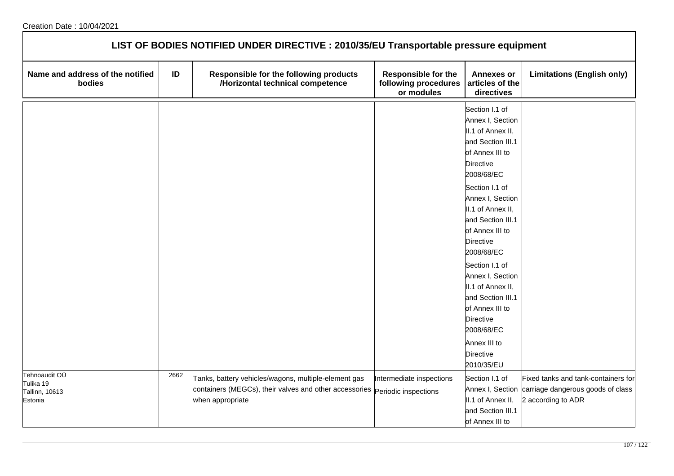| LIST OF BODIES NOTIFIED UNDER DIRECTIVE : 2010/35/EU Transportable pressure equipment |      |                                                                                                                                                         |                                                                  |                                                                                                                                                                                                                                                                                                                                                                                                                                                               |                                                                                                                 |  |  |
|---------------------------------------------------------------------------------------|------|---------------------------------------------------------------------------------------------------------------------------------------------------------|------------------------------------------------------------------|---------------------------------------------------------------------------------------------------------------------------------------------------------------------------------------------------------------------------------------------------------------------------------------------------------------------------------------------------------------------------------------------------------------------------------------------------------------|-----------------------------------------------------------------------------------------------------------------|--|--|
| Name and address of the notified<br>bodies                                            | ID   | Responsible for the following products<br>/Horizontal technical competence                                                                              | <b>Responsible for the</b><br>following procedures<br>or modules | <b>Annexes or</b><br>articles of the<br>directives                                                                                                                                                                                                                                                                                                                                                                                                            | <b>Limitations (English only)</b>                                                                               |  |  |
|                                                                                       |      |                                                                                                                                                         |                                                                  | Section I.1 of<br>Annex I, Section<br>II.1 of Annex II,<br>and Section III.1<br>of Annex III to<br><b>Directive</b><br>2008/68/EC<br>Section I.1 of<br>Annex I, Section<br>II.1 of Annex II,<br>and Section III.1<br>of Annex III to<br><b>Directive</b><br>2008/68/EC<br>Section I.1 of<br>Annex I, Section<br>II.1 of Annex II,<br>and Section III.1<br>of Annex III to<br><b>Directive</b><br>2008/68/EC<br>Annex III to<br><b>Directive</b><br>2010/35/EU |                                                                                                                 |  |  |
| Tehnoaudit OÜ<br>Tulika 19<br>Tallinn, 10613<br>Estonia                               | 2662 | Tanks, battery vehicles/wagons, multiple-element gas<br>containers (MEGCs), their valves and other accessories Periodic inspections<br>when appropriate | Intermediate inspections                                         | Section I.1 of<br>II.1 of Annex II,<br>and Section III.1<br>of Annex III to                                                                                                                                                                                                                                                                                                                                                                                   | Fixed tanks and tank-containers for<br>Annex I, Section carriage dangerous goods of class<br>2 according to ADR |  |  |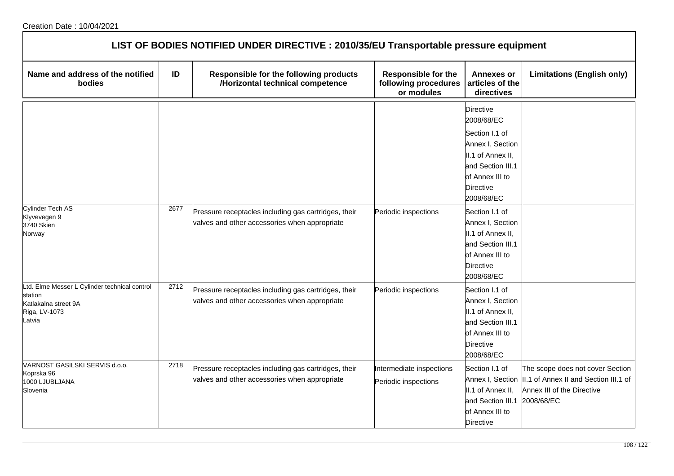| LIST OF BODIES NOTIFIED UNDER DIRECTIVE : 2010/35/EU Transportable pressure equipment                       |      |                                                                                                       |                                                                  |                                                                                                                                                                                                                                |                                                                                                                                         |  |
|-------------------------------------------------------------------------------------------------------------|------|-------------------------------------------------------------------------------------------------------|------------------------------------------------------------------|--------------------------------------------------------------------------------------------------------------------------------------------------------------------------------------------------------------------------------|-----------------------------------------------------------------------------------------------------------------------------------------|--|
| Name and address of the notified<br>bodies                                                                  | ID   | Responsible for the following products<br>/Horizontal technical competence                            | <b>Responsible for the</b><br>following procedures<br>or modules | Annexes or<br>articles of the<br>directives                                                                                                                                                                                    | <b>Limitations (English only)</b>                                                                                                       |  |
| Cylinder Tech AS<br>Klyvevegen 9<br>3740 Skien                                                              | 2677 | Pressure receptacles including gas cartridges, their<br>valves and other accessories when appropriate | Periodic inspections                                             | <b>Directive</b><br>2008/68/EC<br>Section I.1 of<br>Annex I, Section<br>II.1 of Annex II,<br>and Section III.1<br>of Annex III to<br><b>Directive</b><br>2008/68/EC<br>Section I.1 of<br>Annex I, Section<br>II.1 of Annex II, |                                                                                                                                         |  |
| Norway                                                                                                      |      |                                                                                                       |                                                                  | and Section III.1<br>of Annex III to<br><b>Directive</b><br>2008/68/EC                                                                                                                                                         |                                                                                                                                         |  |
| Ltd. Elme Messer L Cylinder technical control<br>station<br>Katlakalna street 9A<br>Riga, LV-1073<br>Latvia | 2712 | Pressure receptacles including gas cartridges, their<br>valves and other accessories when appropriate | Periodic inspections                                             | Section I.1 of<br>Annex I, Section<br>II.1 of Annex II,<br>and Section III.1<br>of Annex III to<br><b>Directive</b><br>2008/68/EC                                                                                              |                                                                                                                                         |  |
| VARNOST GASILSKI SERVIS d.o.o.<br>Koprska 96<br>1000 LJUBLJANA<br>Slovenia                                  | 2718 | Pressure receptacles including gas cartridges, their<br>valves and other accessories when appropriate | Intermediate inspections<br>Periodic inspections                 | Section I.1 of<br>II.1 of Annex II,<br>and Section III.1<br>of Annex III to<br><b>Directive</b>                                                                                                                                | The scope does not cover Section<br>Annex I, Section  II.1 of Annex II and Section III.1 of<br>Annex III of the Directive<br>2008/68/EC |  |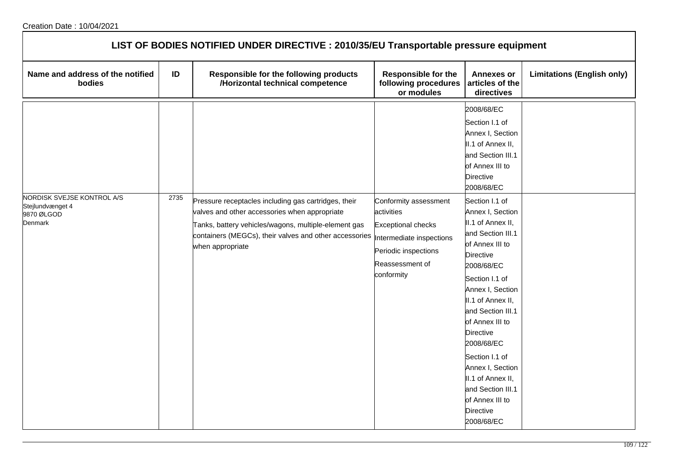| LIST OF BODIES NOTIFIED UNDER DIRECTIVE : 2010/35/EU Transportable pressure equipment |      |                                                                                                                                                                                                                                             |                                                                                                                                                       |                                                                                                                                                                                                                                                                                                                                                                                        |                                   |  |
|---------------------------------------------------------------------------------------|------|---------------------------------------------------------------------------------------------------------------------------------------------------------------------------------------------------------------------------------------------|-------------------------------------------------------------------------------------------------------------------------------------------------------|----------------------------------------------------------------------------------------------------------------------------------------------------------------------------------------------------------------------------------------------------------------------------------------------------------------------------------------------------------------------------------------|-----------------------------------|--|
| Name and address of the notified<br>bodies                                            | ID   | Responsible for the following products<br>/Horizontal technical competence                                                                                                                                                                  | <b>Responsible for the</b><br>following procedures<br>or modules                                                                                      | <b>Annexes or</b><br>articles of the<br>directives                                                                                                                                                                                                                                                                                                                                     | <b>Limitations (English only)</b> |  |
| NORDISK SVEJSE KONTROL A/S                                                            | 2735 |                                                                                                                                                                                                                                             |                                                                                                                                                       | 2008/68/EC<br>Section I.1 of<br>Annex I, Section<br>II.1 of Annex II,<br>and Section III.1<br>of Annex III to<br>Directive<br>2008/68/EC                                                                                                                                                                                                                                               |                                   |  |
| Stejlundvænget 4<br>9870 ØLGOD<br><b>Denmark</b>                                      |      | Pressure receptacles including gas cartridges, their<br>valves and other accessories when appropriate<br>Tanks, battery vehicles/wagons, multiple-element gas<br>containers (MEGCs), their valves and other accessories<br>when appropriate | Conformity assessment<br>activities<br><b>Exceptional checks</b><br>Intermediate inspections<br>Periodic inspections<br>Reassessment of<br>conformity | Section I.1 of<br>Annex I, Section<br>II.1 of Annex II,<br>and Section III.1<br>of Annex III to<br>Directive<br>2008/68/EC<br>Section I.1 of<br>Annex I, Section<br>II.1 of Annex II,<br>and Section III.1<br>of Annex III to<br>Directive<br>2008/68/EC<br>Section I.1 of<br>Annex I, Section<br>II.1 of Annex II,<br>and Section III.1<br>of Annex III to<br>Directive<br>2008/68/EC |                                   |  |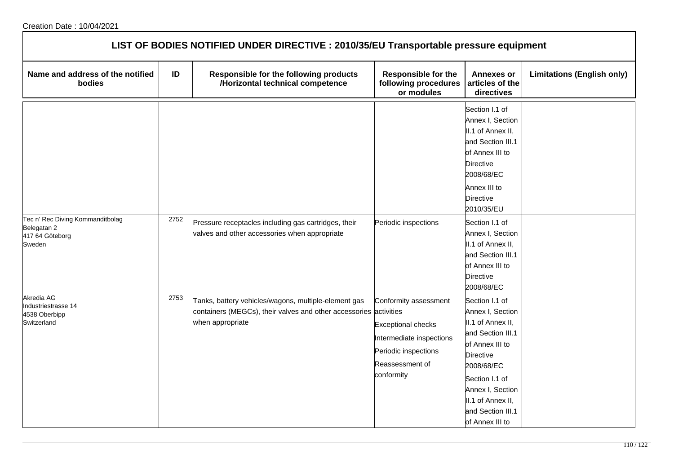| LIST OF BODIES NOTIFIED UNDER DIRECTIVE : 2010/35/EU Transportable pressure equipment |      |                                                                                                                                               |                                                                                                                                         |                                                                                                                                                                                                                                                                                                                   |                                   |  |
|---------------------------------------------------------------------------------------|------|-----------------------------------------------------------------------------------------------------------------------------------------------|-----------------------------------------------------------------------------------------------------------------------------------------|-------------------------------------------------------------------------------------------------------------------------------------------------------------------------------------------------------------------------------------------------------------------------------------------------------------------|-----------------------------------|--|
| Name and address of the notified<br>bodies                                            | ID   | Responsible for the following products<br>/Horizontal technical competence                                                                    | Responsible for the<br>following procedures<br>or modules                                                                               | <b>Annexes or</b><br>articles of the<br>directives                                                                                                                                                                                                                                                                | <b>Limitations (English only)</b> |  |
| Tec n' Rec Diving Kommanditbolag<br>Belegatan 2<br>417 64 Göteborg<br>Sweden          | 2752 | Pressure receptacles including gas cartridges, their<br>valves and other accessories when appropriate                                         | Periodic inspections                                                                                                                    | Section I.1 of<br>Annex I, Section<br>II.1 of Annex II,<br>and Section III.1<br>of Annex III to<br>Directive<br>2008/68/EC<br>Annex III to<br><b>Directive</b><br>2010/35/EU<br>Section I.1 of<br>Annex I, Section<br>II.1 of Annex II,<br>and Section III.1<br>of Annex III to<br><b>Directive</b><br>2008/68/EC |                                   |  |
| Akredia AG<br>Industriestrasse 14<br>4538 Oberbipp<br>Switzerland                     | 2753 | Tanks, battery vehicles/wagons, multiple-element gas<br>containers (MEGCs), their valves and other accessories activities<br>when appropriate | Conformity assessment<br><b>Exceptional checks</b><br>Intermediate inspections<br>Periodic inspections<br>Reassessment of<br>conformity | Section I.1 of<br>Annex I, Section<br>II.1 of Annex II,<br>and Section III.1<br>of Annex III to<br><b>Directive</b><br>2008/68/EC<br>Section I.1 of<br>Annex I, Section<br>II.1 of Annex II,<br>and Section III.1<br>of Annex III to                                                                              |                                   |  |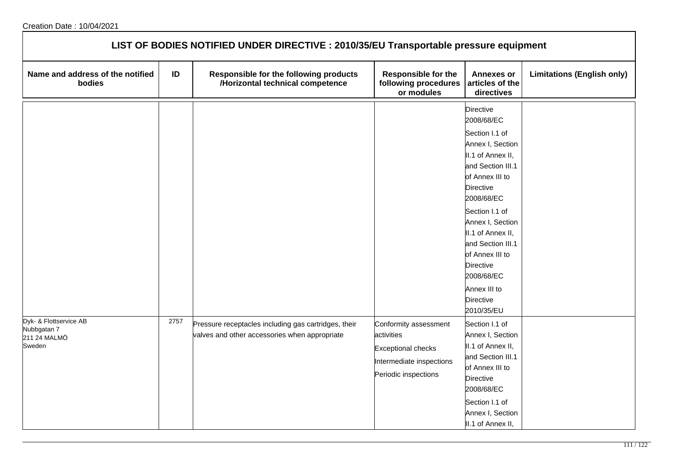|                                                                 |      | LIST OF BODIES NOTIFIED UNDER DIRECTIVE : 2010/35/EU Transportable pressure equipment                 |                                                                                                                      |                                                                                                                                                                                                                                                                                                                                |                                   |
|-----------------------------------------------------------------|------|-------------------------------------------------------------------------------------------------------|----------------------------------------------------------------------------------------------------------------------|--------------------------------------------------------------------------------------------------------------------------------------------------------------------------------------------------------------------------------------------------------------------------------------------------------------------------------|-----------------------------------|
| Name and address of the notified<br>bodies                      | ID   | Responsible for the following products<br>/Horizontal technical competence                            | <b>Responsible for the</b><br>following procedures<br>or modules                                                     | <b>Annexes or</b><br>articles of the<br>directives                                                                                                                                                                                                                                                                             | <b>Limitations (English only)</b> |
|                                                                 |      |                                                                                                       |                                                                                                                      | Directive<br>2008/68/EC<br>Section I.1 of<br>Annex I, Section<br>II.1 of Annex II,<br>and Section III.1<br>of Annex III to<br>Directive<br>2008/68/EC<br>Section I.1 of<br>Annex I, Section<br>II.1 of Annex II,<br>and Section III.1<br>of Annex III to<br>Directive<br>2008/68/EC<br>Annex III to<br>Directive<br>2010/35/EU |                                   |
| Dyk- & Flottservice AB<br>Nubbgatan 7<br>211 24 MALMÖ<br>Sweden | 2757 | Pressure receptacles including gas cartridges, their<br>valves and other accessories when appropriate | Conformity assessment<br>activities<br><b>Exceptional checks</b><br>Intermediate inspections<br>Periodic inspections | Section I.1 of<br>Annex I, Section<br>II.1 of Annex II,<br>and Section III.1<br>of Annex III to<br><b>Directive</b><br>2008/68/EC<br>Section I.1 of<br>Annex I, Section<br>II.1 of Annex II,                                                                                                                                   |                                   |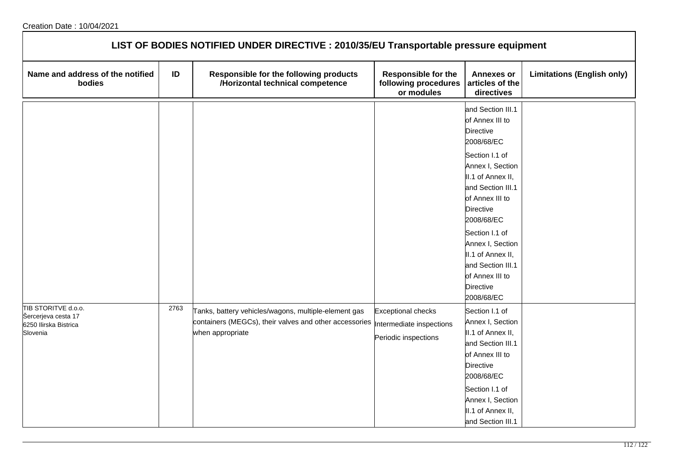| LIST OF BODIES NOTIFIED UNDER DIRECTIVE : 2010/35/EU Transportable pressure equipment |      |                                                                                                                                    |                                                                               |                                                                                                                                                                                                                                                                                                                                                  |                                   |  |
|---------------------------------------------------------------------------------------|------|------------------------------------------------------------------------------------------------------------------------------------|-------------------------------------------------------------------------------|--------------------------------------------------------------------------------------------------------------------------------------------------------------------------------------------------------------------------------------------------------------------------------------------------------------------------------------------------|-----------------------------------|--|
| Name and address of the notified<br>bodies                                            | ID   | Responsible for the following products<br>/Horizontal technical competence                                                         | <b>Responsible for the</b><br>following procedures<br>or modules              | <b>Annexes or</b><br>articles of the<br>directives                                                                                                                                                                                                                                                                                               | <b>Limitations (English only)</b> |  |
|                                                                                       |      |                                                                                                                                    |                                                                               | and Section III.1<br>of Annex III to<br><b>Directive</b><br>2008/68/EC<br>Section I.1 of<br>Annex I, Section<br>II.1 of Annex II,<br>and Section III.1<br>of Annex III to<br><b>Directive</b><br>2008/68/EC<br>Section I.1 of<br>Annex I, Section<br>II.1 of Annex II,<br>and Section III.1<br>of Annex III to<br><b>Directive</b><br>2008/68/EC |                                   |  |
| TIB STORITVE d.o.o.<br>Šercerjeva cesta 17<br>6250 Ilirska Bistrica<br>Slovenia       | 2763 | Tanks, battery vehicles/wagons, multiple-element gas<br>containers (MEGCs), their valves and other accessories<br>when appropriate | <b>Exceptional checks</b><br>Intermediate inspections<br>Periodic inspections | Section I.1 of<br>Annex I, Section<br>II.1 of Annex II,<br>and Section III.1<br>of Annex III to<br><b>Directive</b><br>2008/68/EC<br>Section I.1 of<br>Annex I, Section<br>II.1 of Annex II,<br>and Section III.1                                                                                                                                |                                   |  |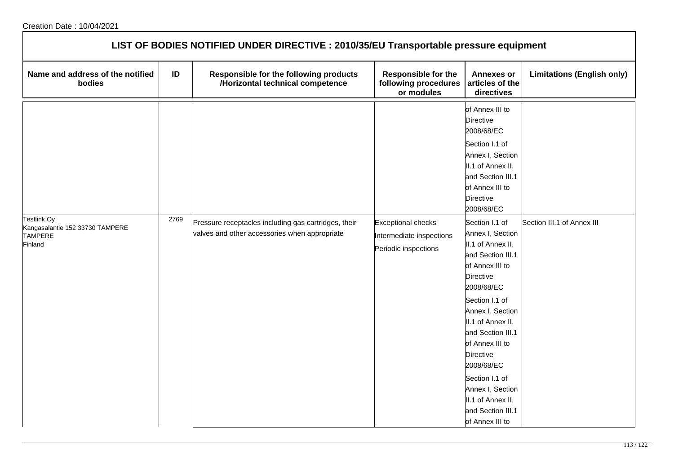| LIST OF BODIES NOTIFIED UNDER DIRECTIVE : 2010/35/EU Transportable pressure equipment |      |                                                                                                       |                                                                               |                                                                                                                                                                   |                                   |  |  |
|---------------------------------------------------------------------------------------|------|-------------------------------------------------------------------------------------------------------|-------------------------------------------------------------------------------|-------------------------------------------------------------------------------------------------------------------------------------------------------------------|-----------------------------------|--|--|
| Name and address of the notified<br>bodies                                            | ID   | Responsible for the following products<br>/Horizontal technical competence                            | <b>Responsible for the</b><br>following procedures<br>or modules              | <b>Annexes or</b><br>articles of the<br>directives                                                                                                                | <b>Limitations (English only)</b> |  |  |
|                                                                                       |      |                                                                                                       |                                                                               | of Annex III to<br><b>Directive</b><br>2008/68/EC<br>Section I.1 of<br>Annex I, Section<br>II.1 of Annex II,<br>and Section III.1<br>of Annex III to<br>Directive |                                   |  |  |
| Testlink Oy<br>Kangasalantie 152 33730 TAMPERE<br><b>TAMPERE</b><br>Finland           | 2769 | Pressure receptacles including gas cartridges, their<br>valves and other accessories when appropriate | <b>Exceptional checks</b><br>Intermediate inspections<br>Periodic inspections | 2008/68/EC<br>Section I.1 of<br>Annex I, Section<br>II.1 of Annex II,<br>and Section III.1<br>of Annex III to<br><b>Directive</b><br>2008/68/EC                   | Section III.1 of Annex III        |  |  |
|                                                                                       |      |                                                                                                       |                                                                               | Section I.1 of<br>Annex I, Section<br>II.1 of Annex II,<br>and Section III.1<br>of Annex III to<br>Directive<br>2008/68/EC                                        |                                   |  |  |
|                                                                                       |      |                                                                                                       |                                                                               | Section I.1 of<br>Annex I, Section<br>II.1 of Annex II,<br>and Section III.1<br>of Annex III to                                                                   |                                   |  |  |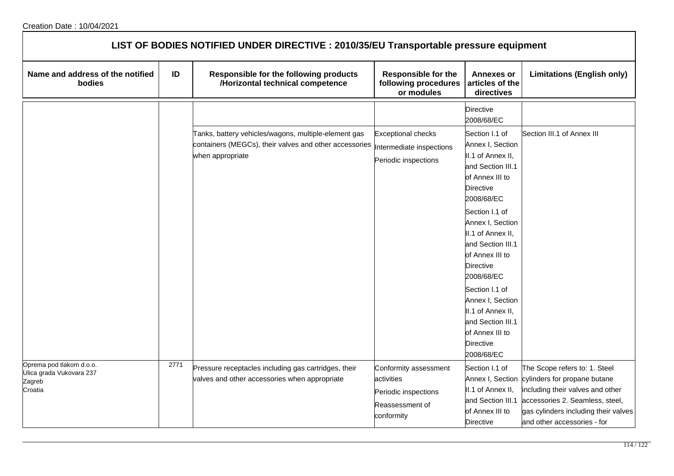|                                                                           |      | LIST OF BODIES NOTIFIED UNDER DIRECTIVE : 2010/35/EU Transportable pressure equipment                                              |                                                                                              |                                                                                                                                                                                                                                                                                                                                                                                                             |                                                                                                                                                                                                             |
|---------------------------------------------------------------------------|------|------------------------------------------------------------------------------------------------------------------------------------|----------------------------------------------------------------------------------------------|-------------------------------------------------------------------------------------------------------------------------------------------------------------------------------------------------------------------------------------------------------------------------------------------------------------------------------------------------------------------------------------------------------------|-------------------------------------------------------------------------------------------------------------------------------------------------------------------------------------------------------------|
| Name and address of the notified<br>bodies                                | ID   | <b>Responsible for the following products</b><br>/Horizontal technical competence                                                  | <b>Responsible for the</b><br>following procedures<br>or modules                             | <b>Annexes or</b><br>articles of the<br>directives                                                                                                                                                                                                                                                                                                                                                          | <b>Limitations (English only)</b>                                                                                                                                                                           |
|                                                                           |      |                                                                                                                                    |                                                                                              | <b>Directive</b><br>2008/68/EC                                                                                                                                                                                                                                                                                                                                                                              |                                                                                                                                                                                                             |
|                                                                           |      | Tanks, battery vehicles/wagons, multiple-element gas<br>containers (MEGCs), their valves and other accessories<br>when appropriate | <b>Exceptional checks</b><br>Intermediate inspections<br>Periodic inspections                | Section I.1 of<br>Annex I, Section<br>II.1 of Annex II,<br>and Section III.1<br>of Annex III to<br><b>Directive</b><br>2008/68/EC<br>Section I.1 of<br>Annex I, Section<br>II.1 of Annex II,<br>and Section III.1<br>of Annex III to<br><b>Directive</b><br>2008/68/EC<br>Section I.1 of<br>Annex I, Section<br>II.1 of Annex II,<br>and Section III.1<br>of Annex III to<br><b>Directive</b><br>2008/68/EC | Section III.1 of Annex III                                                                                                                                                                                  |
| Oprema pod tlakom d.o.o.<br>Ulica grada Vukovara 237<br>Zagreb<br>Croatia | 2771 | Pressure receptacles including gas cartridges, their<br>valves and other accessories when appropriate                              | Conformity assessment<br>activities<br>Periodic inspections<br>Reassessment of<br>conformity | Section I.1 of<br>Annex I, Section<br>II.1 of Annex II,<br>and Section III.1<br>of Annex III to<br><b>Directive</b>                                                                                                                                                                                                                                                                                         | The Scope refers to: 1. Steel<br>cylinders for propane butane<br>including their valves and other<br>accessories 2. Seamless, steel,<br>gas cylinders including their valves<br>and other accessories - for |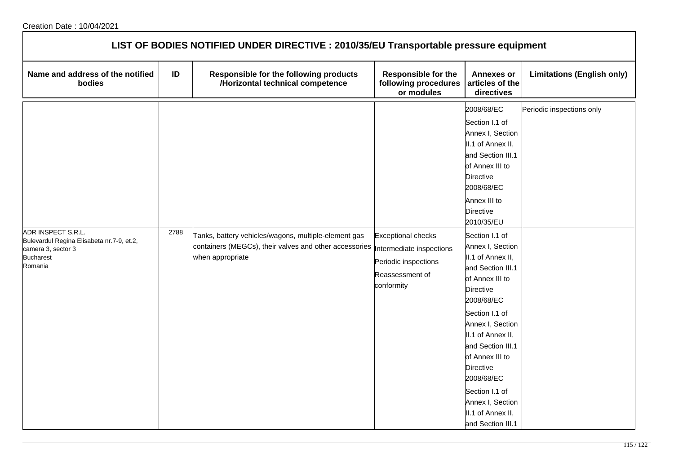| LIST OF BODIES NOTIFIED UNDER DIRECTIVE : 2010/35/EU Transportable pressure equipment                                |      |                                                                                                                                                              |                                                                                    |                                                                                                                                                                                                                                                                                                                                                                                                                                                                                                                                                             |                                   |  |  |
|----------------------------------------------------------------------------------------------------------------------|------|--------------------------------------------------------------------------------------------------------------------------------------------------------------|------------------------------------------------------------------------------------|-------------------------------------------------------------------------------------------------------------------------------------------------------------------------------------------------------------------------------------------------------------------------------------------------------------------------------------------------------------------------------------------------------------------------------------------------------------------------------------------------------------------------------------------------------------|-----------------------------------|--|--|
| Name and address of the notified<br>bodies                                                                           | ID   | Responsible for the following products<br>/Horizontal technical competence                                                                                   | <b>Responsible for the</b><br>following procedures<br>or modules                   | <b>Annexes or</b><br>articles of the<br>directives                                                                                                                                                                                                                                                                                                                                                                                                                                                                                                          | <b>Limitations (English only)</b> |  |  |
| ADR INSPECT S.R.L.<br>Bulevardul Regina Elisabeta nr.7-9, et.2,<br>camera 3, sector 3<br><b>Bucharest</b><br>Romania | 2788 | Tanks, battery vehicles/wagons, multiple-element gas<br>containers (MEGCs), their valves and other accessories  Intermediate inspections<br>when appropriate | <b>Exceptional checks</b><br>Periodic inspections<br>Reassessment of<br>conformity | 2008/68/EC<br>Section I.1 of<br>Annex I, Section<br>II.1 of Annex II,<br>and Section III.1<br>of Annex III to<br><b>Directive</b><br>2008/68/EC<br>Annex III to<br><b>Directive</b><br>2010/35/EU<br>Section I.1 of<br>Annex I, Section<br>II.1 of Annex II,<br>and Section III.1<br>of Annex III to<br><b>Directive</b><br>2008/68/EC<br>Section I.1 of<br>Annex I, Section<br>II.1 of Annex II,<br>and Section III.1<br>of Annex III to<br><b>Directive</b><br>2008/68/EC<br>Section I.1 of<br>Annex I, Section<br>II.1 of Annex II,<br>and Section III.1 | Periodic inspections only         |  |  |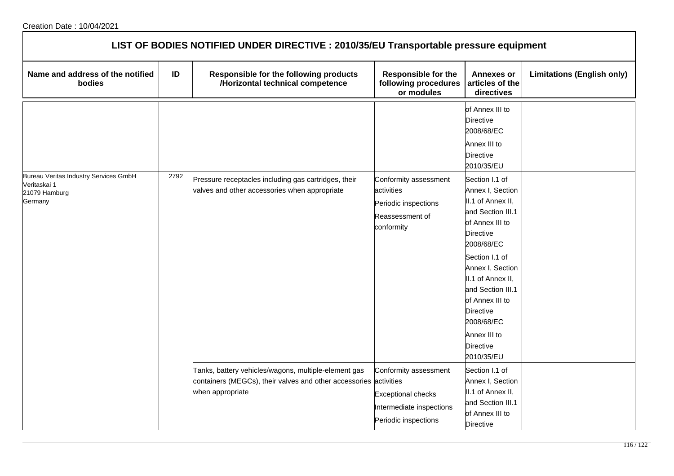## Creation Date : 10/04/2021

| LIST OF BODIES NOTIFIED UNDER DIRECTIVE : 2010/35/EU Transportable pressure equipment |      |                                                                                                                                               |                                                                                                        |                                                                                                                                                                                                                                                                                                                          |                                   |
|---------------------------------------------------------------------------------------|------|-----------------------------------------------------------------------------------------------------------------------------------------------|--------------------------------------------------------------------------------------------------------|--------------------------------------------------------------------------------------------------------------------------------------------------------------------------------------------------------------------------------------------------------------------------------------------------------------------------|-----------------------------------|
| Name and address of the notified<br>bodies                                            | ID   | <b>Responsible for the following products</b><br>/Horizontal technical competence                                                             | <b>Responsible for the</b><br>following procedures<br>or modules                                       | <b>Annexes or</b><br>articles of the<br>directives                                                                                                                                                                                                                                                                       | <b>Limitations (English only)</b> |
|                                                                                       |      |                                                                                                                                               |                                                                                                        | of Annex III to<br><b>Directive</b><br>2008/68/EC<br>Annex III to<br><b>Directive</b><br>2010/35/EU                                                                                                                                                                                                                      |                                   |
| Bureau Veritas Industry Services GmbH<br>Veritaskai 1<br>21079 Hamburg<br>Germany     | 2792 | Pressure receptacles including gas cartridges, their<br>valves and other accessories when appropriate                                         | Conformity assessment<br>activities<br>Periodic inspections<br>Reassessment of<br>conformity           | Section I.1 of<br>Annex I, Section<br>II.1 of Annex II,<br>and Section III.1<br>of Annex III to<br><b>Directive</b><br>2008/68/EC<br>Section I.1 of<br>Annex I, Section<br>II.1 of Annex II,<br>and Section III.1<br>of Annex III to<br><b>Directive</b><br>2008/68/EC<br>Annex III to<br><b>Directive</b><br>2010/35/EU |                                   |
|                                                                                       |      | Tanks, battery vehicles/wagons, multiple-element gas<br>containers (MEGCs), their valves and other accessories activities<br>when appropriate | Conformity assessment<br><b>Exceptional checks</b><br>Intermediate inspections<br>Periodic inspections | Section I.1 of<br>Annex I, Section<br>II.1 of Annex II,<br>and Section III.1<br>of Annex III to<br><b>Directive</b>                                                                                                                                                                                                      |                                   |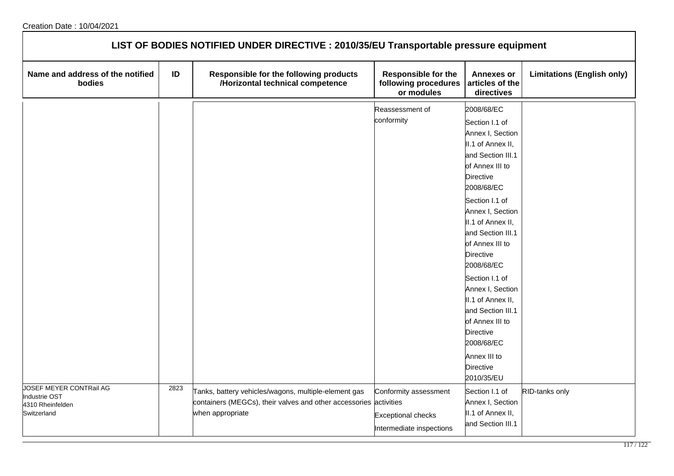| LIST OF BODIES NOTIFIED UNDER DIRECTIVE : 2010/35/EU Transportable pressure equipment |      |                                                                                                                                               |                                                                                |                                                                                                                                                                                                                                                                                                                                                                                                                                                                      |                                   |  |  |
|---------------------------------------------------------------------------------------|------|-----------------------------------------------------------------------------------------------------------------------------------------------|--------------------------------------------------------------------------------|----------------------------------------------------------------------------------------------------------------------------------------------------------------------------------------------------------------------------------------------------------------------------------------------------------------------------------------------------------------------------------------------------------------------------------------------------------------------|-----------------------------------|--|--|
| Name and address of the notified<br>bodies                                            | ID   | Responsible for the following products<br>/Horizontal technical competence                                                                    | <b>Responsible for the</b><br>following procedures<br>or modules               | <b>Annexes or</b><br>articles of the<br>directives                                                                                                                                                                                                                                                                                                                                                                                                                   | <b>Limitations (English only)</b> |  |  |
|                                                                                       |      |                                                                                                                                               | Reassessment of<br>conformity                                                  | 2008/68/EC<br>Section I.1 of<br>Annex I, Section<br>II.1 of Annex II,<br>and Section III.1<br>of Annex III to<br>Directive<br>2008/68/EC<br>Section I.1 of<br>Annex I, Section<br>II.1 of Annex II,<br>and Section III.1<br>of Annex III to<br><b>Directive</b><br>2008/68/EC<br>Section I.1 of<br>Annex I, Section<br>II.1 of Annex II,<br>and Section III.1<br>of Annex III to<br><b>Directive</b><br>2008/68/EC<br>Annex III to<br><b>Directive</b><br>2010/35/EU |                                   |  |  |
| JOSEF MEYER CONTRail AG<br><b>Industrie OST</b><br>4310 Rheinfelden<br>Switzerland    | 2823 | Tanks, battery vehicles/wagons, multiple-element gas<br>containers (MEGCs), their valves and other accessories activities<br>when appropriate | Conformity assessment<br><b>Exceptional checks</b><br>Intermediate inspections | Section I.1 of<br>Annex I, Section<br>II.1 of Annex II,<br>and Section III.1                                                                                                                                                                                                                                                                                                                                                                                         | RID-tanks only                    |  |  |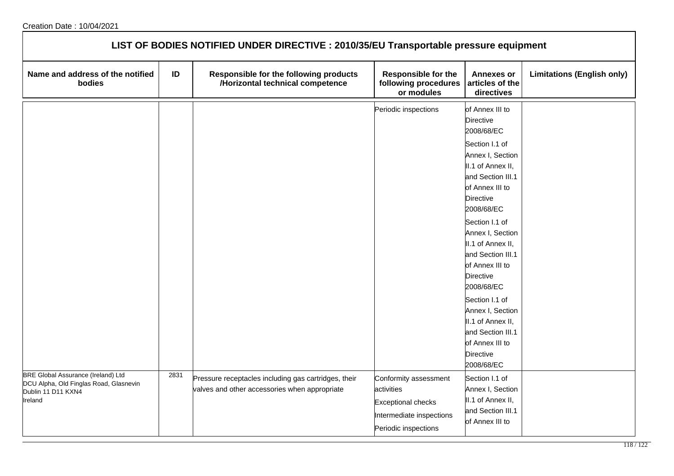| LIST OF BODIES NOTIFIED UNDER DIRECTIVE : 2010/35/EU Transportable pressure equipment                                |      |                                                                                                       |                                                                                                                      |                                                                                                                                   |                                   |  |  |
|----------------------------------------------------------------------------------------------------------------------|------|-------------------------------------------------------------------------------------------------------|----------------------------------------------------------------------------------------------------------------------|-----------------------------------------------------------------------------------------------------------------------------------|-----------------------------------|--|--|
| Name and address of the notified<br>bodies                                                                           | ID   | Responsible for the following products<br>/Horizontal technical competence                            | <b>Responsible for the</b><br>following procedures<br>or modules                                                     | <b>Annexes or</b><br>articles of the<br>directives                                                                                | <b>Limitations (English only)</b> |  |  |
|                                                                                                                      |      |                                                                                                       | Periodic inspections                                                                                                 | of Annex III to<br><b>Directive</b><br>2008/68/EC                                                                                 |                                   |  |  |
|                                                                                                                      |      |                                                                                                       |                                                                                                                      | Section I.1 of<br>Annex I, Section<br>II.1 of Annex II,<br>and Section III.1<br>of Annex III to<br>Directive<br>2008/68/EC        |                                   |  |  |
|                                                                                                                      |      |                                                                                                       |                                                                                                                      | Section I.1 of<br>Annex I, Section<br>II.1 of Annex II,<br>and Section III.1<br>of Annex III to<br><b>Directive</b><br>2008/68/EC |                                   |  |  |
|                                                                                                                      |      |                                                                                                       |                                                                                                                      | Section I.1 of<br>Annex I, Section<br>II.1 of Annex II,<br>and Section III.1<br>of Annex III to<br><b>Directive</b><br>2008/68/EC |                                   |  |  |
| <b>BRE Global Assurance (Ireland) Ltd</b><br>DCU Alpha, Old Finglas Road, Glasnevin<br>Dublin 11 D11 KXN4<br>Ireland | 2831 | Pressure receptacles including gas cartridges, their<br>valves and other accessories when appropriate | Conformity assessment<br>activities<br><b>Exceptional checks</b><br>Intermediate inspections<br>Periodic inspections | Section I.1 of<br>Annex I, Section<br>II.1 of Annex II,<br>and Section III.1<br>of Annex III to                                   |                                   |  |  |

٦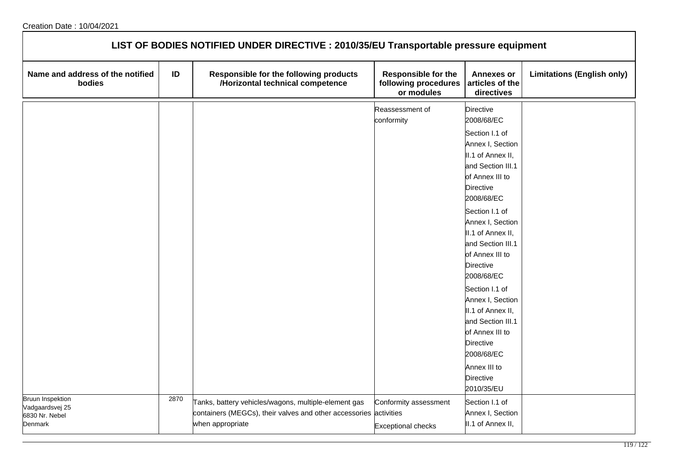| LIST OF BODIES NOTIFIED UNDER DIRECTIVE : 2010/35/EU Transportable pressure equipment |      |                                                                                                                                               |                                                                  |                                                                                                                                                                                                                                                                                                                                                                                                                                                                                                 |                                   |  |  |  |
|---------------------------------------------------------------------------------------|------|-----------------------------------------------------------------------------------------------------------------------------------------------|------------------------------------------------------------------|-------------------------------------------------------------------------------------------------------------------------------------------------------------------------------------------------------------------------------------------------------------------------------------------------------------------------------------------------------------------------------------------------------------------------------------------------------------------------------------------------|-----------------------------------|--|--|--|
| Name and address of the notified<br>bodies                                            | ID   | Responsible for the following products<br>/Horizontal technical competence                                                                    | <b>Responsible for the</b><br>following procedures<br>or modules | <b>Annexes or</b><br>articles of the<br>directives                                                                                                                                                                                                                                                                                                                                                                                                                                              | <b>Limitations (English only)</b> |  |  |  |
|                                                                                       |      |                                                                                                                                               | Reassessment of<br>conformity                                    | <b>Directive</b><br>2008/68/EC<br>Section I.1 of<br>Annex I, Section<br>II.1 of Annex II,<br>and Section III.1<br>of Annex III to<br><b>Directive</b><br>2008/68/EC<br>Section I.1 of<br>Annex I, Section<br>II.1 of Annex II,<br>and Section III.1<br>of Annex III to<br><b>Directive</b><br>2008/68/EC<br>Section I.1 of<br>Annex I, Section<br>II.1 of Annex II,<br>and Section III.1<br>of Annex III to<br><b>Directive</b><br>2008/68/EC<br>Annex III to<br><b>Directive</b><br>2010/35/EU |                                   |  |  |  |
| <b>Bruun Inspektion</b><br>Vadgaardsvej 25<br>6830 Nr. Nebel<br>Denmark               | 2870 | Tanks, battery vehicles/wagons, multiple-element gas<br>containers (MEGCs), their valves and other accessories activities<br>when appropriate | Conformity assessment<br><b>Exceptional checks</b>               | Section I.1 of<br>Annex I, Section<br>II.1 of Annex II,                                                                                                                                                                                                                                                                                                                                                                                                                                         |                                   |  |  |  |

٦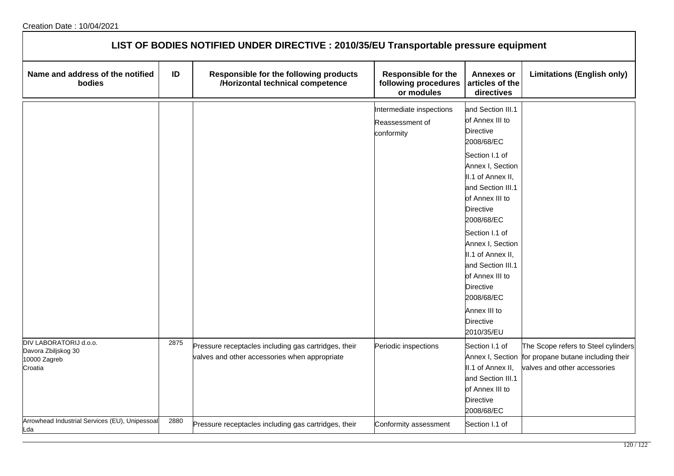|                                                                          |      | LIST OF BODIES NOTIFIED UNDER DIRECTIVE : 2010/35/EU Transportable pressure equipment                 |                                                                  |                                                                                                                                   |                                                                                                           |
|--------------------------------------------------------------------------|------|-------------------------------------------------------------------------------------------------------|------------------------------------------------------------------|-----------------------------------------------------------------------------------------------------------------------------------|-----------------------------------------------------------------------------------------------------------|
| Name and address of the notified<br>bodies                               | ID   | Responsible for the following products<br>/Horizontal technical competence                            | <b>Responsible for the</b><br>following procedures<br>or modules | <b>Annexes or</b><br>articles of the<br>directives                                                                                | <b>Limitations (English only)</b>                                                                         |
|                                                                          |      |                                                                                                       | Intermediate inspections<br>Reassessment of<br>conformity        | and Section III.1<br>of Annex III to<br><b>Directive</b><br>2008/68/EC<br>Section I.1 of                                          |                                                                                                           |
|                                                                          |      |                                                                                                       |                                                                  | Annex I, Section<br>II.1 of Annex II,<br>and Section III.1<br>of Annex III to<br><b>Directive</b><br>2008/68/EC                   |                                                                                                           |
|                                                                          |      |                                                                                                       |                                                                  | Section I.1 of<br>Annex I, Section<br>II.1 of Annex II,<br>and Section III.1<br>of Annex III to<br><b>Directive</b><br>2008/68/EC |                                                                                                           |
|                                                                          |      |                                                                                                       |                                                                  | Annex III to<br><b>Directive</b><br>2010/35/EU                                                                                    |                                                                                                           |
| DIV LABORATORIJ d.o.o.<br>Davora Zbiljskog 30<br>10000 Zagreb<br>Croatia | 2875 | Pressure receptacles including gas cartridges, their<br>valves and other accessories when appropriate | Periodic inspections                                             | Section I.1 of<br>Annex I, Section<br>II.1 of Annex II,<br>and Section III.1<br>of Annex III to<br><b>Directive</b><br>2008/68/EC | The Scope refers to Steel cylinders<br>for propane butane including their<br>valves and other accessories |
| Arrowhead Industrial Services (EU), Unipessoal<br>Lda                    | 2880 | Pressure receptacles including gas cartridges, their                                                  | Conformity assessment                                            | Section I.1 of                                                                                                                    |                                                                                                           |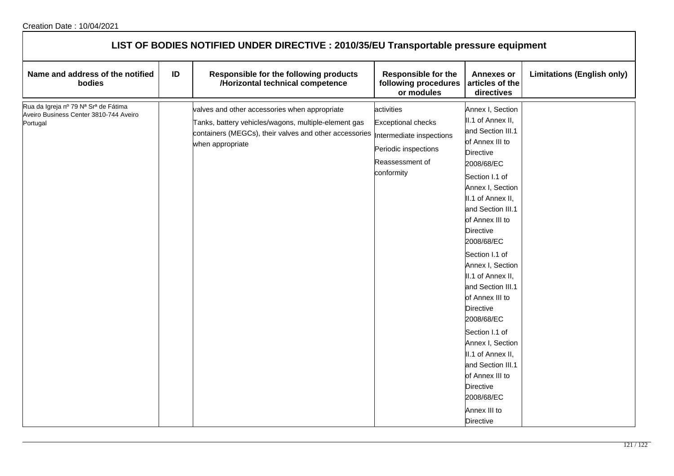| Name and address of the notified<br>bodies                                                 | ID | Responsible for the following products<br>/Horizontal technical competence                                                                                                                                    | <b>Responsible for the</b><br>following procedures<br>or modules                                 | <b>Annexes or</b><br>articles of the<br>directives                                                                                                                                                                                                                                                                                                                                                                                                                                                                                                          | <b>Limitations (English only)</b> |
|--------------------------------------------------------------------------------------------|----|---------------------------------------------------------------------------------------------------------------------------------------------------------------------------------------------------------------|--------------------------------------------------------------------------------------------------|-------------------------------------------------------------------------------------------------------------------------------------------------------------------------------------------------------------------------------------------------------------------------------------------------------------------------------------------------------------------------------------------------------------------------------------------------------------------------------------------------------------------------------------------------------------|-----------------------------------|
| Rua da Igreja nº 79 Nª Srª de Fátima<br>Aveiro Business Center 3810-744 Aveiro<br>Portugal |    | valves and other accessories when appropriate<br>Tanks, battery vehicles/wagons, multiple-element gas<br>containers (MEGCs), their valves and other accessories  Intermediate inspections<br>when appropriate | activities<br><b>Exceptional checks</b><br>Periodic inspections<br>Reassessment of<br>conformity | Annex I, Section<br>II.1 of Annex II,<br>and Section III.1<br>of Annex III to<br>Directive<br>2008/68/EC<br>Section I.1 of<br>Annex I, Section<br>II.1 of Annex II,<br>and Section III.1<br>of Annex III to<br><b>Directive</b><br>2008/68/EC<br>Section I.1 of<br>Annex I, Section<br>II.1 of Annex II,<br>and Section III.1<br>of Annex III to<br><b>Directive</b><br>2008/68/EC<br>Section I.1 of<br>Annex I, Section<br>II.1 of Annex II,<br>and Section III.1<br>of Annex III to<br><b>Directive</b><br>2008/68/EC<br>Annex III to<br><b>Directive</b> |                                   |